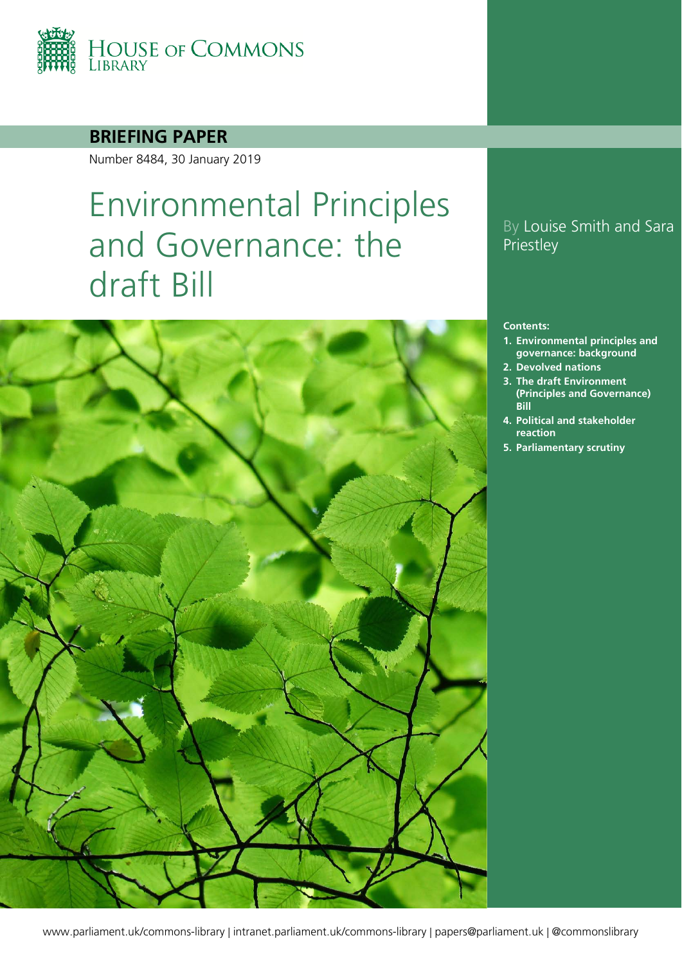

## **BRIEFING PAPER**

Number 8484, 30 January 2019

# Environmental Principles and Governance: the draft Bill



## By Louise Smith and Sara **Priestley**

#### **Contents:**

- **1. [Environmental principles and](#page-4-0)  [governance: background](#page-4-0)**
- **2. [Devolved nations](#page-11-0)**
- **3. [The draft Environment](#page-13-0)  [\(Principles and Governance\)](#page-13-0)  [Bill](#page-13-0)**
- **4. [Political and stakeholder](#page-37-0)  [reaction](#page-37-0)**
- **5. [Parliamentary scrutiny](#page-41-0)**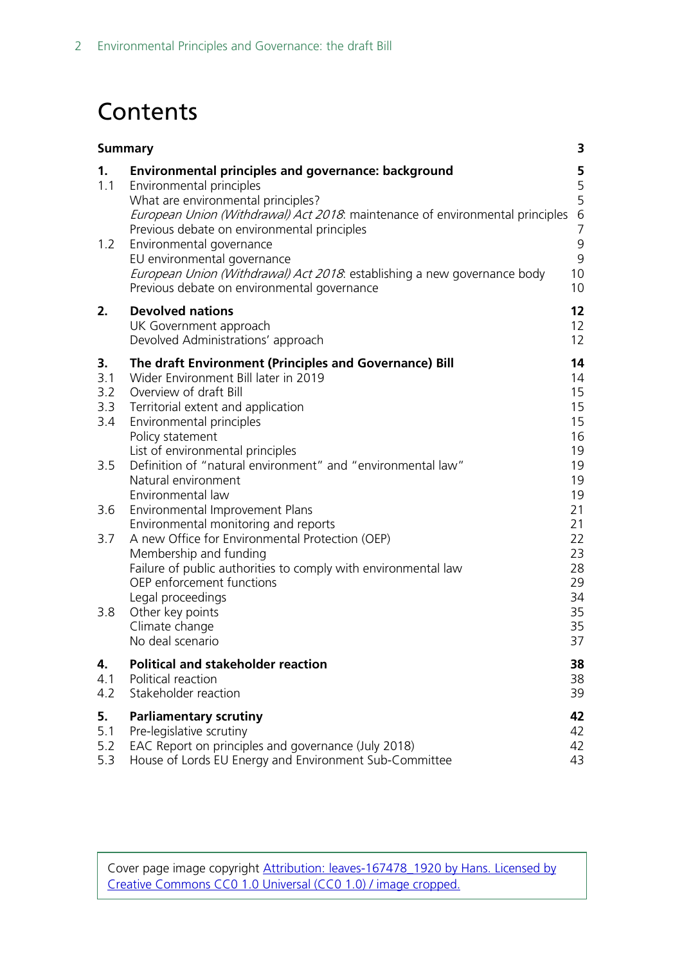# **Contents**

|                                                            | <b>Summary</b>                                                                                                                                                                                                                                                                                                                                                                                                                                                                                                                                                                                                                                                                                      |                                                                                                                      |
|------------------------------------------------------------|-----------------------------------------------------------------------------------------------------------------------------------------------------------------------------------------------------------------------------------------------------------------------------------------------------------------------------------------------------------------------------------------------------------------------------------------------------------------------------------------------------------------------------------------------------------------------------------------------------------------------------------------------------------------------------------------------------|----------------------------------------------------------------------------------------------------------------------|
| 1.<br>1.1<br>1.2                                           | <b>Environmental principles and governance: background</b><br>Environmental principles<br>What are environmental principles?<br>European Union (Withdrawal) Act 2018. maintenance of environmental principles<br>Previous debate on environmental principles<br>Environmental governance<br>EU environmental governance<br>European Union (Withdrawal) Act 2018: establishing a new governance body<br>Previous debate on environmental governance                                                                                                                                                                                                                                                  | <b>5</b><br>5<br>5<br>$\,$ 6 $\,$<br>$\overline{7}$<br>9<br>9<br>10<br>10                                            |
| 2.                                                         | <b>Devolved nations</b><br>UK Government approach<br>Devolved Administrations' approach                                                                                                                                                                                                                                                                                                                                                                                                                                                                                                                                                                                                             | 12<br>12<br>12                                                                                                       |
| 3.<br>3.1<br>3.2<br>3.3<br>3.4<br>3.5<br>3.6<br>3.7<br>3.8 | The draft Environment (Principles and Governance) Bill<br>Wider Environment Bill later in 2019<br>Overview of draft Bill<br>Territorial extent and application<br>Environmental principles<br>Policy statement<br>List of environmental principles<br>Definition of "natural environment" and "environmental law"<br>Natural environment<br>Environmental law<br>Environmental Improvement Plans<br>Environmental monitoring and reports<br>A new Office for Environmental Protection (OEP)<br>Membership and funding<br>Failure of public authorities to comply with environmental law<br>OEP enforcement functions<br>Legal proceedings<br>Other key points<br>Climate change<br>No deal scenario | 14<br>14<br>15<br>15<br>15<br>16<br>19<br>19<br>19<br>19<br>21<br>21<br>22<br>23<br>28<br>29<br>34<br>35<br>35<br>37 |
| 4.<br>4.1<br>4.2                                           | <b>Political and stakeholder reaction</b><br>Political reaction<br>Stakeholder reaction                                                                                                                                                                                                                                                                                                                                                                                                                                                                                                                                                                                                             | 38<br>38<br>39                                                                                                       |
| 5.<br>5.1<br>5.2<br>5.3                                    | <b>Parliamentary scrutiny</b><br>Pre-legislative scrutiny<br>EAC Report on principles and governance (July 2018)<br>House of Lords EU Energy and Environment Sub-Committee                                                                                                                                                                                                                                                                                                                                                                                                                                                                                                                          | 42<br>42<br>42<br>43                                                                                                 |

Cover page image copyright Attribution: [leaves-167478\\_1920](https://pixabay.com/en/leaves-canopy-green-color-167478/) by [Hans.](https://pixabay.com/en/users/Hans-2/) Licensed by [Creative Commons CC0 1.0 Universal \(CC0 1.0\)](https://creativecommons.org/publicdomain/zero/1.0/deed.en) / image cropped.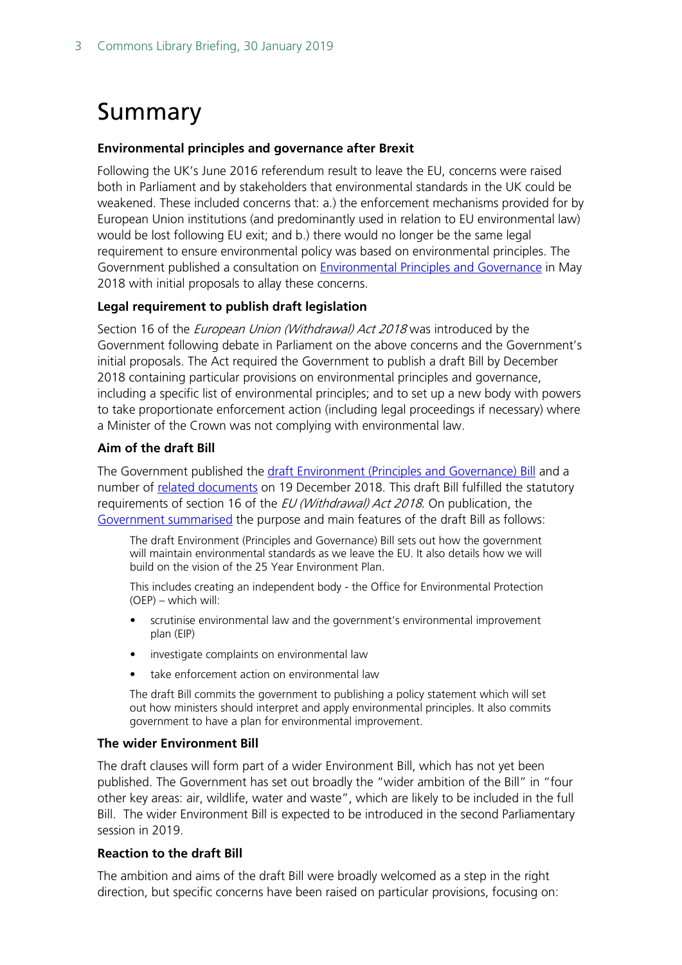# <span id="page-2-0"></span>Summary

### **Environmental principles and governance after Brexit**

Following the UK's June 2016 referendum result to leave the EU, concerns were raised both in Parliament and by stakeholders that environmental standards in the UK could be weakened. These included concerns that: a.) the enforcement mechanisms provided for by European Union institutions (and predominantly used in relation to EU environmental law) would be lost following EU exit; and b.) there would no longer be the same legal requirement to ensure environmental policy was based on environmental principles. The Government published a consultation on [Environmental Principles and Governance](https://consult.defra.gov.uk/eu/environmental-principles-and-governance/) in May 2018 with initial proposals to allay these concerns.

### **Legal requirement to publish draft legislation**

Section 16 of the *European Union (Withdrawal) Act 2018* was introduced by the Government following debate in Parliament on the above concerns and the Government's initial proposals. The Act required the Government to publish a draft Bill by December 2018 containing particular provisions on environmental principles and governance, including a specific list of environmental principles; and to set up a new body with powers to take proportionate enforcement action (including legal proceedings if necessary) where a Minister of the Crown was not complying with environmental law.

### **Aim of the draft Bill**

The Government published the [draft Environment \(Principles and Governance\) Bill](https://www.gov.uk/government/publications/draft-environment-principles-and-governance-bill-2018/environment-bill-policy-paper) and a number of [related documents](https://www.gov.uk/government/publications/draft-environment-principles-and-governance-bill-2018/environment-bill-policy-paper) on 19 December 2018. This draft Bill fulfilled the statutory requirements of section 16 of the EU (Withdrawal) Act 2018. On publication, the [Government summarised](https://www.gov.uk/government/publications/draft-environment-principles-and-governance-bill-2018/environment-bill-policy-paper) the purpose and main features of the draft Bill as follows:

The draft Environment (Principles and Governance) Bill sets out how the government will maintain environmental standards as we leave the EU. It also details how we will build on the vision of the 25 Year Environment Plan.

This includes creating an independent body - the Office for Environmental Protection (OEP) – which will:

- scrutinise environmental law and the government's environmental improvement plan (EIP)
- investigate complaints on environmental law
- take enforcement action on environmental law

The draft Bill commits the government to publishing a policy statement which will set out how ministers should interpret and apply environmental principles. It also commits government to have a plan for environmental improvement.

#### **The wider Environment Bill**

The draft clauses will form part of a wider Environment Bill, which has not yet been published. The Government has set out broadly the "wider ambition of the Bill" in "four other key areas: air, wildlife, water and waste", which are likely to be included in the full Bill. The wider Environment Bill is expected to be introduced in the second Parliamentary session in 2019.

### **Reaction to the draft Bill**

The ambition and aims of the draft Bill were broadly welcomed as a step in the right direction, but specific concerns have been raised on particular provisions, focusing on: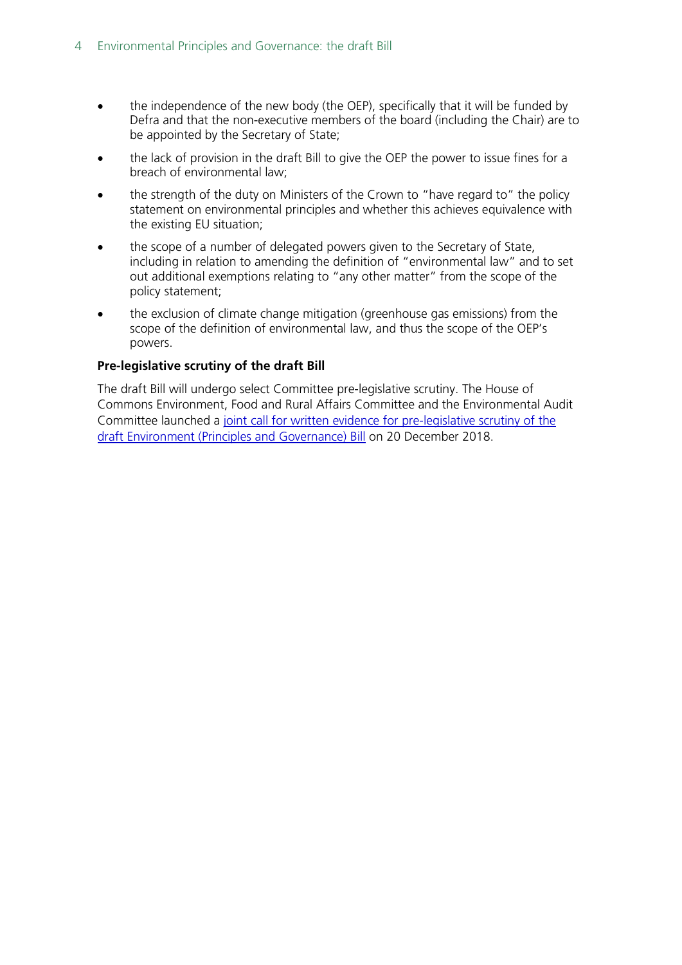- the independence of the new body (the OEP), specifically that it will be funded by Defra and that the non-executive members of the board (including the Chair) are to be appointed by the Secretary of State;
- the lack of provision in the draft Bill to give the OEP the power to issue fines for a breach of environmental law;
- the strength of the duty on Ministers of the Crown to "have regard to" the policy statement on environmental principles and whether this achieves equivalence with the existing EU situation;
- the scope of a number of delegated powers given to the Secretary of State, including in relation to amending the definition of "environmental law" and to set out additional exemptions relating to "any other matter" from the scope of the policy statement;
- the exclusion of climate change mitigation (greenhouse gas emissions) from the scope of the definition of environmental law, and thus the scope of the OEP's powers.

### **Pre-legislative scrutiny of the draft Bill**

The draft Bill will undergo select Committee pre-legislative scrutiny. The House of Commons Environment, Food and Rural Affairs Committee and the Environmental Audit Committee launched a [joint call for written evidence for pre-legislative scrutiny of the](https://www.parliament.uk/business/committees/committees-a-z/commons-select/environment-food-and-rural-affairs-committee/news-parliament-2017/scrutiny-of-the-draft-environment-bill-inquiry-launch-17-19/)  [draft Environment \(Principles and Governance\) Bill](https://www.parliament.uk/business/committees/committees-a-z/commons-select/environment-food-and-rural-affairs-committee/news-parliament-2017/scrutiny-of-the-draft-environment-bill-inquiry-launch-17-19/) on 20 December 2018.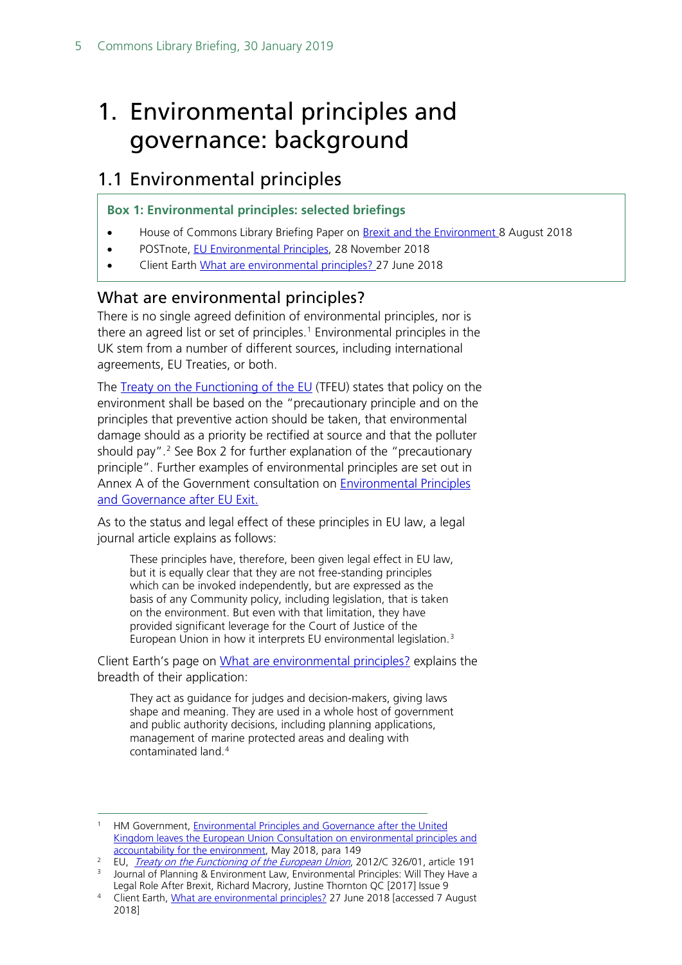# <span id="page-4-0"></span>1. Environmental principles and governance: background

# <span id="page-4-1"></span>1.1 Environmental principles

### **Box 1: Environmental principles: selected briefings**

- House of Commons Library Briefing Paper on [Brexit and the Environment 8](https://researchbriefings.parliament.uk/ResearchBriefing/Summary/CBP-8132) August 2018
- POSTnote, [EU Environmental Principles,](https://researchbriefings.parliament.uk/ResearchBriefing/Summary/POST-PN-0590) 28 November 2018
- Client Earth [What are environmental principles?](https://www.clientearth.org/what-are-environmental-principles-brexit/) 27 June 2018

### <span id="page-4-2"></span>What are environmental principles?

There is no single agreed definition of environmental principles, nor is there an agreed list or set of principles. [1](#page-4-3) Environmental principles in the UK stem from a number of different sources, including international agreements, EU Treaties, or both.

The [Treaty on the Functioning of the EU](https://eur-lex.europa.eu/legal-content/EN/TXT/?uri=CELEX%3A12012E%2FTXT) (TFEU) states that policy on the environment shall be based on the "precautionary principle and on the principles that preventive action should be taken, that environmental damage should as a priority be rectified at source and that the polluter should pay". [2](#page-4-4) See Box 2 for further explanation of the "precautionary principle". Further examples of environmental principles are set out in Annex A of the Government consultation on [Environmental Principles](https://consult.defra.gov.uk/eu/environmental-principles-and-governance/)  [and Governance after EU Exit.](https://consult.defra.gov.uk/eu/environmental-principles-and-governance/)

As to the status and legal effect of these principles in EU law, a legal journal article explains as follows:

These principles have, therefore, been given legal effect in EU law, but it is equally clear that they are not free-standing principles which can be invoked independently, but are expressed as the basis of any Community policy, including legislation, that is taken on the environment. But even with that limitation, they have provided significant leverage for the Court of Justice of the European Union in how it interprets EU environmental legislation.[3](#page-4-5)

Client Earth's page on [What are environmental principles?](https://www.clientearth.org/what-are-environmental-principles-brexit/) explains the breadth of their application:

They act as guidance for judges and decision-makers, giving laws shape and meaning. They are used in a whole host of government and public authority decisions, including planning applications, management of marine protected areas and dealing with contaminated land.[4](#page-4-6)

<span id="page-4-3"></span><sup>&</sup>lt;sup>1</sup> HM Government, **Environmental Principles and Governance after the United** [Kingdom leaves the European Union Consultation on environmental principles and](https://consult.defra.gov.uk/eu/environmental-principles-and-governance/supporting_documents/Environmental%20Principles%20and%20Governance%20after%20EU%20Exit%20%20Consultation%20Document.pdf)  [accountability for the environment,](https://consult.defra.gov.uk/eu/environmental-principles-and-governance/supporting_documents/Environmental%20Principles%20and%20Governance%20after%20EU%20Exit%20%20Consultation%20Document.pdf) May 2018, para 149

<span id="page-4-5"></span><span id="page-4-4"></span><sup>&</sup>lt;sup>2</sup> EU, *[Treaty on the Functioning of the European Union](http://eur-lex.europa.eu/legal-content/EN/TXT/?uri=CELEX%3A12012E%2FTXT)*, 2012/C 326/01, article 191 <sup>3</sup> Journal of Planning & Environment Law, Environmental Principles: Will They Have a

Legal Role After Brexit, Richard Macrory, Justine Thornton QC [2017] Issue 9

<span id="page-4-6"></span><sup>4</sup> Client Earth, [What are environmental principles?](https://www.clientearth.org/what-are-environmental-principles-brexit/) 27 June 2018 [accessed 7 August 2018]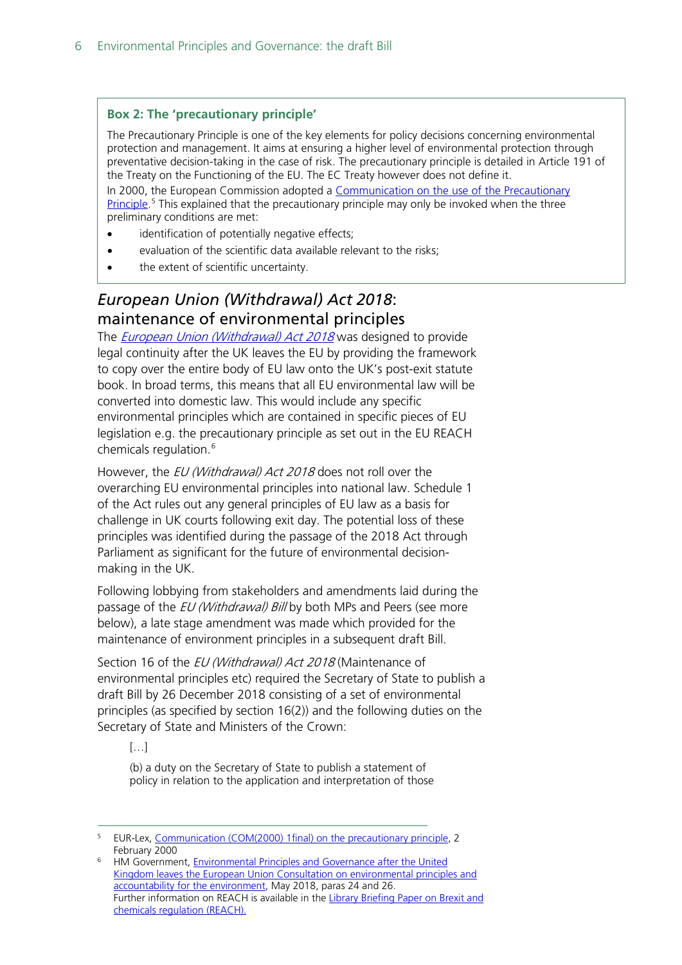### **Box 2: The 'precautionary principle'**

The Precautionary Principle is one of the key elements for policy decisions concerning environmental protection and management. It aims at ensuring a higher level of environmental protection through preventative decision-taking in the case of risk. The precautionary principle is detailed in Article 191 of the Treaty on the Functioning of the EU. The EC Treaty however does not define it.

In 2000, the European Commission adopted a Communication on the use of the Precautionary [Principle.](http://eur-lex.europa.eu/legal-content/EN/TXT/?uri=celex:52000DC0001)<sup>[5](#page-5-1)</sup> This explained that the precautionary principle may only be invoked when the three preliminary conditions are met:

- identification of potentially negative effects;
- evaluation of the scientific data available relevant to the risks;
- the extent of scientific uncertainty.

## <span id="page-5-0"></span>*European Union (Withdrawal) Act 2018*: maintenance of environmental principles

The *European Union [\(Withdrawal\) Act 2018](http://www.legislation.gov.uk/ukpga/2018/16/contents/enacted)* was designed to provide legal continuity after the UK leaves the EU by providing the framework to copy over the entire body of EU law onto the UK's post-exit statute book. In broad terms, this means that all EU environmental law will be converted into domestic law. This would include any specific environmental principles which are contained in specific pieces of EU legislation e.g. the precautionary principle as set out in the EU REACH chemicals regulation.<sup>[6](#page-5-2)</sup>

However, the *EU (Withdrawal) Act 2018* does not roll over the overarching EU environmental principles into national law. Schedule 1 of the Act rules out any general principles of EU law as a basis for challenge in UK courts following exit day. The potential loss of these principles was identified during the passage of the 2018 Act through Parliament as significant for the future of environmental decisionmaking in the UK.

Following lobbying from stakeholders and amendments laid during the passage of the *EU (Withdrawal) Bill* by both MPs and Peers (see more below), a late stage amendment was made which provided for the maintenance of environment principles in a subsequent draft Bill.

Section 16 of the EU (Withdrawal) Act 2018 (Maintenance of environmental principles etc) required the Secretary of State to publish a draft Bill by 26 December 2018 consisting of a set of environmental principles (as specified by section 16(2)) and the following duties on the Secretary of State and Ministers of the Crown:

[…]

(b) a duty on the Secretary of State to publish a statement of policy in relation to the application and interpretation of those

<span id="page-5-1"></span> <sup>5</sup> EUR-Lex, [Communication \(COM\(2000\) 1final\) on the precautionary principle,](http://eur-lex.europa.eu/legal-content/EN/TXT/?uri=LEGISSUM%3Al32042) 2 February 2000

<span id="page-5-2"></span><sup>6</sup> HM Government, [Environmental Principles and Governance after the United](https://consult.defra.gov.uk/eu/environmental-principles-and-governance/supporting_documents/Environmental%20Principles%20and%20Governance%20after%20EU%20Exit%20%20Consultation%20Document.pdf)  [Kingdom leaves the European Union Consultation on environmental principles and](https://consult.defra.gov.uk/eu/environmental-principles-and-governance/supporting_documents/Environmental%20Principles%20and%20Governance%20after%20EU%20Exit%20%20Consultation%20Document.pdf)  [accountability for the environment,](https://consult.defra.gov.uk/eu/environmental-principles-and-governance/supporting_documents/Environmental%20Principles%20and%20Governance%20after%20EU%20Exit%20%20Consultation%20Document.pdf) May 2018, paras 24 and 26. Further information on REACH is available in the [Library Briefing Paper on Brexit and](https://researchbriefings.parliament.uk/ResearchBriefing/Summary/CBP-8403)  [chemicals regulation \(REACH\).](https://researchbriefings.parliament.uk/ResearchBriefing/Summary/CBP-8403)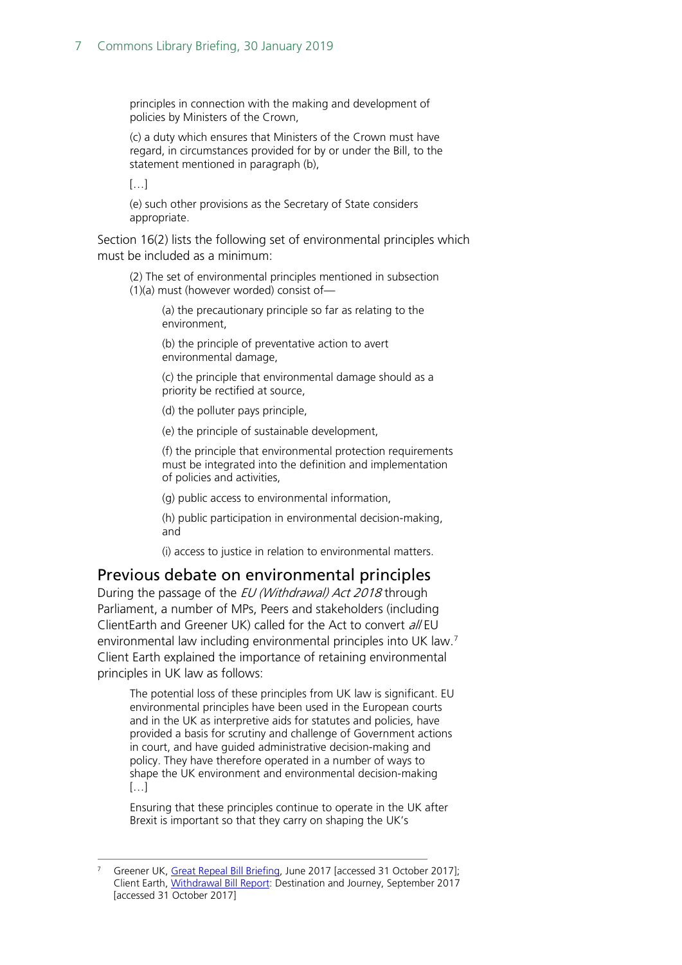principles in connection with the making and development of policies by Ministers of the Crown,

(c) a duty which ensures that Ministers of the Crown must have regard, in circumstances provided for by or under the Bill, to the statement mentioned in paragraph (b),

 $[...]$ 

(e) such other provisions as the Secretary of State considers appropriate.

Section 16(2) lists the following set of environmental principles which must be included as a minimum:

(2) The set of environmental principles mentioned in subsection (1)(a) must (however worded) consist of—

(a) the precautionary principle so far as relating to the environment,

(b) the principle of preventative action to avert environmental damage,

(c) the principle that environmental damage should as a priority be rectified at source,

(d) the polluter pays principle,

(e) the principle of sustainable development,

(f) the principle that environmental protection requirements must be integrated into the definition and implementation of policies and activities,

(g) public access to environmental information,

(h) public participation in environmental decision-making, and

(i) access to justice in relation to environmental matters.

### <span id="page-6-0"></span>Previous debate on environmental principles

During the passage of the EU (Withdrawal) Act 2018 through Parliament, a number of MPs, Peers and stakeholders (including ClientEarth and Greener UK) called for the Act to convert all EU environmental law including environmental principles into UK law.[7](#page-6-1) Client Earth explained the importance of retaining environmental principles in UK law as follows:

The potential loss of these principles from UK law is significant. EU environmental principles have been used in the European courts and in the UK as interpretive aids for statutes and policies, have provided a basis for scrutiny and challenge of Government actions in court, and have guided administrative decision-making and policy. They have therefore operated in a number of ways to shape the UK environment and environmental decision-making […]

Ensuring that these principles continue to operate in the UK after Brexit is important so that they carry on shaping the UK's

<span id="page-6-1"></span>Greener UK, [Great Repeal Bill Briefing,](http://greeneruk.org/resources/GRBill_Briefing.pdf) June 2017 [accessed 31 October 2017]; Client Earth, [Withdrawal Bill Report:](https://www.documents.clientearth.org/wp-content/uploads/library/2017-09-04-withdrawal-bill-report-ce-en.pdf) Destination and Journey, September 2017 [accessed 31 October 2017]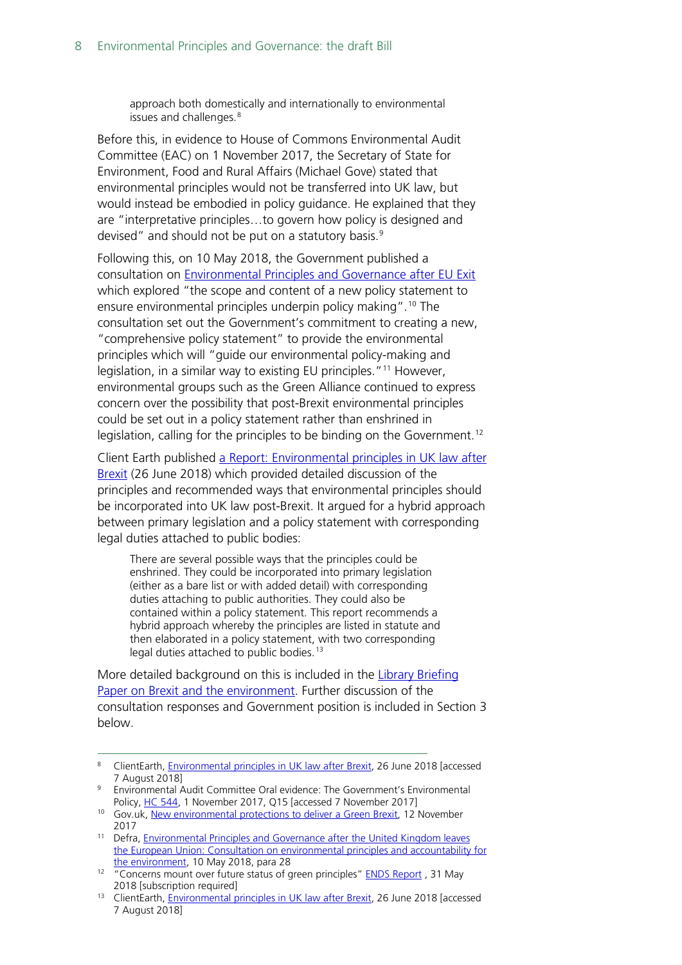approach both domestically and internationally to environmental issues and challenges.<sup>[8](#page-7-0)</sup>

Before this, in evidence to House of Commons Environmental Audit Committee (EAC) on 1 November 2017, the Secretary of State for Environment, Food and Rural Affairs (Michael Gove) stated that environmental principles would not be transferred into UK law, but would instead be embodied in policy guidance. He explained that they are "interpretative principles…to govern how policy is designed and devised" and should not be put on a statutory basis.<sup>[9](#page-7-1)</sup>

Following this, on 10 May 2018, the Government published a consultation on [Environmental Principles and Governance after EU Exit](https://consult.defra.gov.uk/eu/environmental-principles-and-governance/) which explored "the scope and content of a new policy statement to ensure environmental principles underpin policy making".[10](#page-7-2) The consultation set out the Government's commitment to creating a new, "comprehensive policy statement" to provide the environmental principles which will "guide our environmental policy-making and legislation, in a similar way to existing EU principles."<sup>[11](#page-7-3)</sup> However, environmental groups such as the Green Alliance continued to express concern over the possibility that post-Brexit environmental principles could be set out in a policy statement rather than enshrined in legislation, calling for the principles to be binding on the Government.<sup>[12](#page-7-4)</sup>

Client Earth published [a Report: Environmental principles in UK law after](https://www.documents.clientearth.org/library/download-info/environmental-principles-in-uk-law-after-brexit/)  [Brexit](https://www.documents.clientearth.org/library/download-info/environmental-principles-in-uk-law-after-brexit/) (26 June 2018) which provided detailed discussion of the principles and recommended ways that environmental principles should be incorporated into UK law post-Brexit. It argued for a hybrid approach between primary legislation and a policy statement with corresponding legal duties attached to public bodies:

There are several possible ways that the principles could be enshrined. They could be incorporated into primary legislation (either as a bare list or with added detail) with corresponding duties attaching to public authorities. They could also be contained within a policy statement. This report recommends a hybrid approach whereby the principles are listed in statute and then elaborated in a policy statement, with two corresponding legal duties attached to public bodies.<sup>[13](#page-7-5)</sup>

More detailed background on this is included in the [Library Briefing](https://researchbriefings.parliament.uk/ResearchBriefing/Summary/CBP-8132)  [Paper on Brexit and the environment.](https://researchbriefings.parliament.uk/ResearchBriefing/Summary/CBP-8132) Further discussion of the consultation responses and Government position is included in Section [3](#page-13-0) below.

<span id="page-7-0"></span><sup>&</sup>lt;sup>8</sup> ClientEarth, **Environmental principles in UK law after Brexit**, 26 June 2018 [accessed 7 August 2018]

<span id="page-7-1"></span><sup>&</sup>lt;sup>9</sup> Environmental Audit Committee Oral evidence: The Government's Environmental Policy[, HC 544,](http://data.parliament.uk/writtenevidence/committeeevidence.svc/evidencedocument/environmental-audit-committee/the-governments-environmental-policy/oral/72503.pdf) 1 November 2017, Q15 [accessed 7 November 2017]

<span id="page-7-2"></span><sup>&</sup>lt;sup>10</sup> Gov.uk, [New environmental protections to deliver a Green Brexit,](https://www.gov.uk/government/news/new-environmental-protections-to-deliver-a-green-brexit) 12 November 2017

<span id="page-7-3"></span><sup>&</sup>lt;sup>11</sup> Defra, *Environmental Principles and Governance after the United Kingdom leaves* [the European Union: Consultation on environmental principles and accountability for](https://consult.defra.gov.uk/eu/environmental-principles-and-governance/)  [the environment,](https://consult.defra.gov.uk/eu/environmental-principles-and-governance/) 10 May 2018, para 28

<span id="page-7-4"></span><sup>&</sup>lt;sup>12</sup> "Concerns mount over future status of green principles" [ENDS Report](https://www.endsreport.com/article/59878/concerns-mount-over-future-status-of-green-principles), 31 May 2018 [subscription required]

<span id="page-7-5"></span><sup>&</sup>lt;sup>13</sup> ClientEarth, [Environmental principles in UK law after Brexit,](https://www.documents.clientearth.org/library/download-info/environmental-principles-in-uk-law-after-brexit/) 26 June 2018 [accessed 7 August 2018]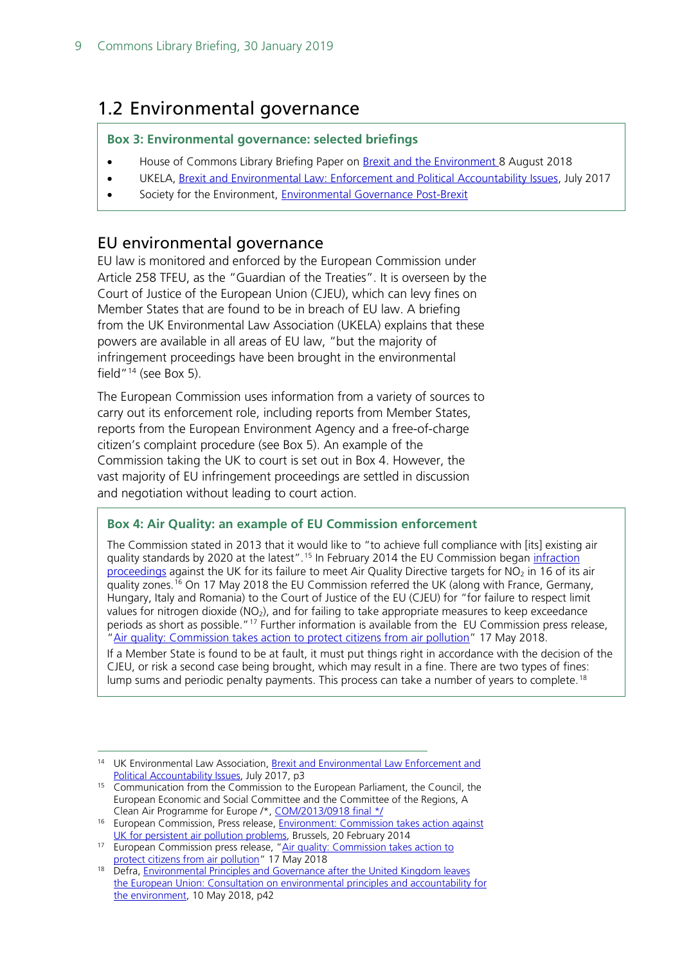# <span id="page-8-0"></span>1.2 Environmental governance

#### **Box 3: Environmental governance: selected briefings**

- House of Commons Library Briefing Paper on [Brexit and the Environment 8](https://researchbriefings.parliament.uk/ResearchBriefing/Summary/CBP-8132) August 2018
- UKELA, [Brexit and Environmental Law: Enforcement and Political Accountability Issues,](https://www.ukela.org/content/doclib/317.pdf) July 2017
- Society for the Environment, [Environmental Governance Post-Brexit](https://socenv.org.uk/page/envgovernance)

### <span id="page-8-1"></span>EU environmental governance

EU law is monitored and enforced by the European Commission under Article 258 TFEU, as the "Guardian of the Treaties". It is overseen by the Court of Justice of the European Union (CJEU), which can levy fines on Member States that are found to be in breach of EU law. A briefing from the UK Environmental Law Association (UKELA) explains that these powers are available in all areas of EU law, "but the majority of infringement proceedings have been brought in the environmental field"<sup>[14](#page-8-2)</sup> (see Box 5).

The European Commission uses information from a variety of sources to carry out its enforcement role, including reports from Member States, reports from the European Environment Agency and a free-of-charge citizen's complaint procedure (see Box 5). An example of the Commission taking the UK to court is set out in Box 4. However, the vast majority of EU infringement proceedings are settled in discussion and negotiation without leading to court action.

#### **Box 4: Air Quality: an example of EU Commission enforcement**

The Commission stated in 2013 that it would like to "to achieve full compliance with [its] existing air quality standards by 2020 at the latest".<sup>[15](#page-8-3)</sup> In February 2014 the EU Commission began infraction [proceedings](http://europa.eu/rapid/press-release_IP-14-154_en.htm) against the UK for its failure to meet Air Quality Directive targets for  $NO<sub>2</sub>$  in 16 of its air quality zones.[16](#page-8-4) On 17 May 2018 the EU Commission referred the UK (along with France, Germany, Hungary, Italy and Romania) to the Court of Justice of the EU (CJEU) for "for failure to respect limit values for nitrogen dioxide  $(NO<sub>2</sub>)$ , and for failing to take appropriate measures to keep exceedance periods as short as possible."<sup>[17](#page-8-5)</sup> Further information is available from the EU Commission press release, ["Air quality: Commission takes action to protect citizens from air pollution"](http://europa.eu/rapid/press-release_IP-18-3450_en.htm) 17 May 2018.

If a Member State is found to be at fault, it must put things right in accordance with the decision of the CJEU, or risk a second case being brought, which may result in a fine. There are two types of fines: lump sums and periodic penalty payments. This process can take a number of years to complete.<sup>[18](#page-8-6)</sup>

<span id="page-8-2"></span><sup>&</sup>lt;sup>14</sup> UK Environmental Law Association, Brexit and Environmental Law Enforcement and [Political Accountability Issues,](https://www.ukela.org/content/doclib/317.pdf) July 2017, p3

<span id="page-8-3"></span><sup>&</sup>lt;sup>15</sup> Communication from the Commission to the European Parliament, the Council, the European Economic and Social Committee and the Committee of the Regions, A Clean Air Programme for Europe /\*, [COM/2013/0918 final \\*/](http://eur-lex.europa.eu/legal-content/en/TXT/?uri=CELEX:52013DC0918)

<span id="page-8-4"></span><sup>&</sup>lt;sup>16</sup> European Commission, Press release, *Environment: Commission takes action against* [UK for persistent air pollution problems,](http://europa.eu/rapid/press-release_IP-14-154_en.htm) Brussels, 20 February 2014

<span id="page-8-5"></span><sup>&</sup>lt;sup>17</sup> European Commission press release, "Air quality: Commission takes action to [protect citizens from air pollution"](http://europa.eu/rapid/press-release_IP-18-3450_en.htm) 17 May 2018

<span id="page-8-6"></span><sup>&</sup>lt;sup>18</sup> Defra, *Environmental Principles and Governance after the United Kingdom leaves* [the European Union: Consultation on environmental principles and accountability for](https://consult.defra.gov.uk/eu/environmental-principles-and-governance/)  [the environment,](https://consult.defra.gov.uk/eu/environmental-principles-and-governance/) 10 May 2018, p42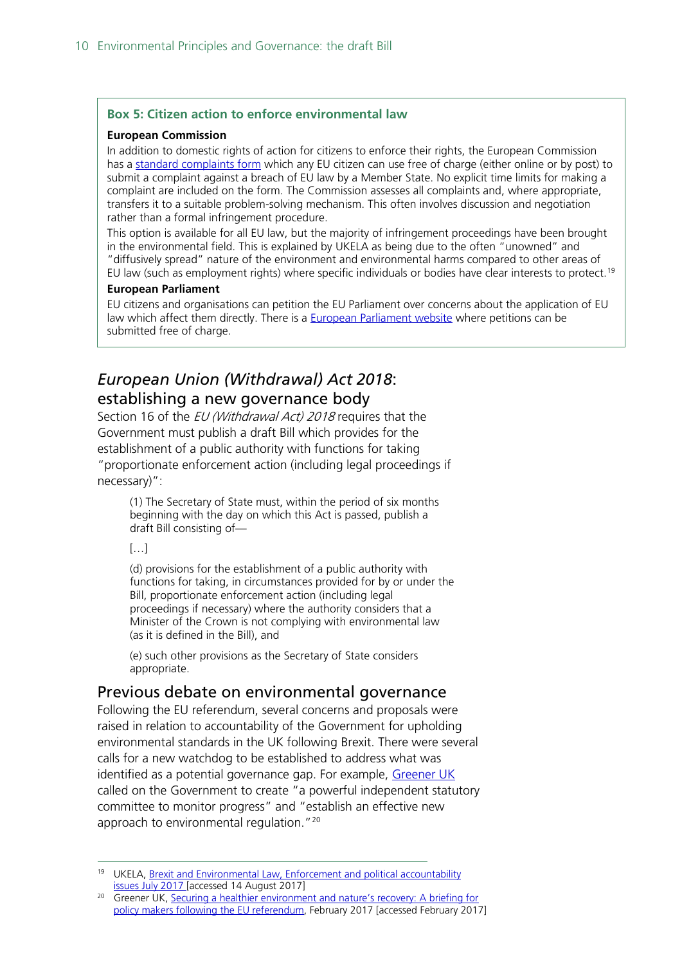#### **Box 5: Citizen action to enforce environmental law**

#### **European Commission**

In addition to domestic rights of action for citizens to enforce their rights, the European Commission has a [standard complaints form](https://ec.europa.eu/info/about-european-commission/contact/problems-and-complaints/complaints-about-breaches-eu-law/how-make-complaint-eu-level_en) which any EU citizen can use free of charge (either online or by post) to submit a complaint against a breach of EU law by a Member State. No explicit time limits for making a complaint are included on the form. The Commission assesses all complaints and, where appropriate, transfers it to a suitable problem-solving mechanism. This often involves discussion and negotiation rather than a formal infringement procedure.

This option is available for all EU law, but the majority of infringement proceedings have been brought in the environmental field. This is explained by UKELA as being due to the often  $\tilde{u}$  unowned" and "diffusively spread" nature of the environment and environmental harms compared to other areas of EU law (such as employment rights) where specific individuals or bodies have clear interests to protect.<sup>[19](#page-9-2)</sup>

#### **European Parliament**

EU citizens and organisations can petition the EU Parliament over concerns about the application of EU law which affect them directly. There is a [European Parliament website](http://www.europarl.europa.eu/atyourservice/en/20150201PVL00037/Petitions) where petitions can be submitted free of charge.

## <span id="page-9-0"></span>*European Union (Withdrawal) Act 2018*: establishing a new governance body

Section 16 of the *EU (Withdrawal Act) 2018* requires that the Government must publish a draft Bill which provides for the establishment of a public authority with functions for taking "proportionate enforcement action (including legal proceedings if necessary)":

(1) The Secretary of State must, within the period of six months beginning with the day on which this Act is passed, publish a draft Bill consisting of—

#### $[...]$

(d) provisions for the establishment of a public authority with functions for taking, in circumstances provided for by or under the Bill, proportionate enforcement action (including legal proceedings if necessary) where the authority considers that a Minister of the Crown is not complying with environmental law (as it is defined in the Bill), and

(e) such other provisions as the Secretary of State considers appropriate.

### <span id="page-9-1"></span>Previous debate on environmental governance

Following the EU referendum, several concerns and proposals were raised in relation to accountability of the Government for upholding environmental standards in the UK following Brexit. There were several calls for a new watchdog to be established to address what was identified as a potential governance gap. For example, [Greener UK](http://greeneruk.org/index.php) called on the Government to create "a powerful independent statutory committee to monitor progress" and "establish an effective new approach to environmental regulation."<sup>[20](#page-9-3)</sup>

<span id="page-9-2"></span><sup>&</sup>lt;sup>19</sup> UKELA, Brexit and Environmental Law, Enforcement and political accountability [issues](https://www.ukela.org/content/doclib/317.pdf) July 2017 [accessed 14 August 2017]

<span id="page-9-3"></span><sup>&</sup>lt;sup>20</sup> Greener UK, Securing a healthier environment and nature's recovery: A briefing for [policy makers following the EU referendum,](http://greeneruk.org/resources/Greener_UK_Environment_%26_Wildlife_Laws.pdf) February 2017 [accessed February 2017]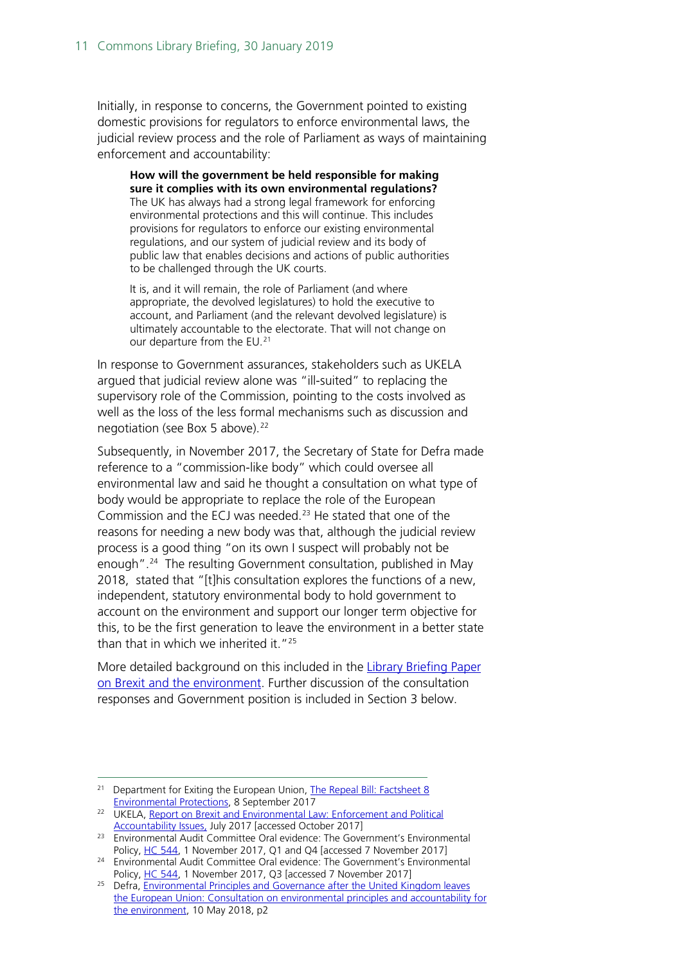Initially, in response to concerns, the Government pointed to existing domestic provisions for regulators to enforce environmental laws, the judicial review process and the role of Parliament as ways of maintaining enforcement and accountability:

**How will the government be held responsible for making sure it complies with its own environmental regulations?** The UK has always had a strong legal framework for enforcing environmental protections and this will continue. This includes provisions for regulators to enforce our existing environmental regulations, and our system of judicial review and its body of public law that enables decisions and actions of public authorities to be challenged through the UK courts.

It is, and it will remain, the role of Parliament (and where appropriate, the devolved legislatures) to hold the executive to account, and Parliament (and the relevant devolved legislature) is ultimately accountable to the electorate. That will not change on our departure from the EU.<sup>[21](#page-10-0)</sup>

In response to Government assurances, stakeholders such as UKELA argued that judicial review alone was "ill-suited" to replacing the supervisory role of the Commission, pointing to the costs involved as well as the loss of the less formal mechanisms such as discussion and negotiation (see Box 5 above).<sup>[22](#page-10-1)</sup>

Subsequently, in November 2017, the Secretary of State for Defra made reference to a "commission-like body" which could oversee all environmental law and said he thought a consultation on what type of body would be appropriate to replace the role of the European Commission and the ECJ was needed.<sup>[23](#page-10-2)</sup> He stated that one of the reasons for needing a new body was that, although the judicial review process is a good thing "on its own I suspect will probably not be enough".[24](#page-10-3) The resulting Government consultation, published in May 2018, stated that "[t]his consultation explores the functions of a new, independent, statutory environmental body to hold government to account on the environment and support our longer term objective for this, to be the first generation to leave the environment in a better state than that in which we inherited it."<sup>[25](#page-10-4)</sup>

More detailed background on this included in the Library Briefing Paper [on Brexit and the environment.](https://researchbriefings.parliament.uk/ResearchBriefing/Summary/CBP-8132) Further discussion of the consultation responses and Government position is included in Section [3](#page-13-0) below.

<span id="page-10-0"></span><sup>&</sup>lt;sup>21</sup> Department for Exiting the European Union, The Repeal Bill: Factsheet 8 [Environmental Protections,](https://www.gov.uk/government/uploads/system/uploads/attachment_data/file/642869/Factsheets_-_Environmental_Protections.pdf) 8 September 2017

<span id="page-10-1"></span><sup>&</sup>lt;sup>22</sup> UKELA, [Report on Brexit and Environmental Law:](https://www.ukela.org/content/doclib/317.pdf) Enforcement and Political

<span id="page-10-2"></span>Accountability Issues, July 2017 [accessed October 2017]<br><sup>23</sup> Environmental Audit Committee Oral evidence: The Government's Environmental Policy[, HC 544,](http://data.parliament.uk/writtenevidence/committeeevidence.svc/evidencedocument/environmental-audit-committee/the-governments-environmental-policy/oral/72503.pdf) 1 November 2017, Q1 and Q4 [accessed 7 November 2017]

<span id="page-10-3"></span><sup>24</sup> Environmental Audit Committee Oral evidence: The Government's Environmental Policy[, HC 544,](http://data.parliament.uk/writtenevidence/committeeevidence.svc/evidencedocument/environmental-audit-committee/the-governments-environmental-policy/oral/72503.pdf) 1 November 2017, Q3 [accessed 7 November 2017]

<span id="page-10-4"></span><sup>&</sup>lt;sup>25</sup> Defra, *Environmental Principles and Governance after the United Kingdom leaves* [the European Union: Consultation on environmental principles and accountability for](https://consult.defra.gov.uk/eu/environmental-principles-and-governance/)  [the environment,](https://consult.defra.gov.uk/eu/environmental-principles-and-governance/) 10 May 2018, p2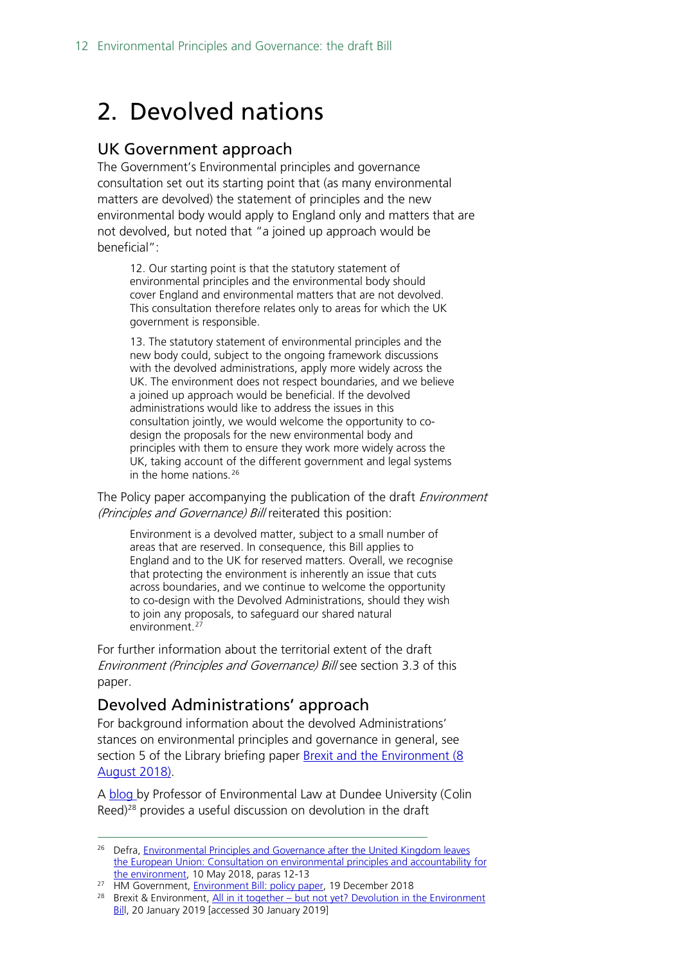# <span id="page-11-0"></span>2. Devolved nations

### <span id="page-11-1"></span>UK Government approach

The Government's Environmental principles and governance consultation set out its starting point that (as many environmental matters are devolved) the statement of principles and the new environmental body would apply to England only and matters that are not devolved, but noted that "a joined up approach would be beneficial":

12. Our starting point is that the statutory statement of environmental principles and the environmental body should cover England and environmental matters that are not devolved. This consultation therefore relates only to areas for which the UK government is responsible.

13. The statutory statement of environmental principles and the new body could, subject to the ongoing framework discussions with the devolved administrations, apply more widely across the UK. The environment does not respect boundaries, and we believe a joined up approach would be beneficial. If the devolved administrations would like to address the issues in this consultation jointly, we would welcome the opportunity to codesign the proposals for the new environmental body and principles with them to ensure they work more widely across the UK, taking account of the different government and legal systems in the home nations.<sup>[26](#page-11-3)</sup>

The Policy paper accompanying the publication of the draft *Environment* (Principles and Governance) Bill reiterated this position:

Environment is a devolved matter, subject to a small number of areas that are reserved. In consequence, this Bill applies to England and to the UK for reserved matters. Overall, we recognise that protecting the environment is inherently an issue that cuts across boundaries, and we continue to welcome the opportunity to co-design with the Devolved Administrations, should they wish to join any proposals, to safeguard our shared natural environment.[27](#page-11-4)

For further information about the territorial extent of the draft Environment (Principles and Governance) Bill see section 3.3 of this paper.

## <span id="page-11-2"></span>Devolved Administrations' approach

For background information about the devolved Administrations' stances on environmental principles and governance in general, see section 5 of the Library briefing paper [Brexit and the Environment](https://researchbriefings.parliament.uk/ResearchBriefing/Summary/CBP-8132) (8 August 2018).

A [blog b](https://www.brexitenvironment.co.uk/2019/01/20/devolution-in-the-environment-bill/)y Professor of Environmental Law at Dundee University (Colin Reed)<sup>[28](#page-11-5)</sup> provides a useful discussion on devolution in the draft

<span id="page-11-3"></span><sup>&</sup>lt;sup>26</sup> Defra, *Environmental Principles and Governance after the United Kingdom leaves* [the European Union: Consultation on environmental principles and accountability for](https://consult.defra.gov.uk/eu/environmental-principles-and-governance/)  [the environment,](https://consult.defra.gov.uk/eu/environmental-principles-and-governance/) 10 May 2018, paras 12-13<br><sup>27</sup> HM Government, **Environment Bill: policy paper**, 19 December 2018

<span id="page-11-5"></span><span id="page-11-4"></span><sup>&</sup>lt;sup>28</sup> Brexit & Environment, All in it together – but not yet? Devolution in the Environment [Bill](https://www.brexitenvironment.co.uk/2019/01/20/devolution-in-the-environment-bill/), 20 January 2019 [accessed 30 January 2019]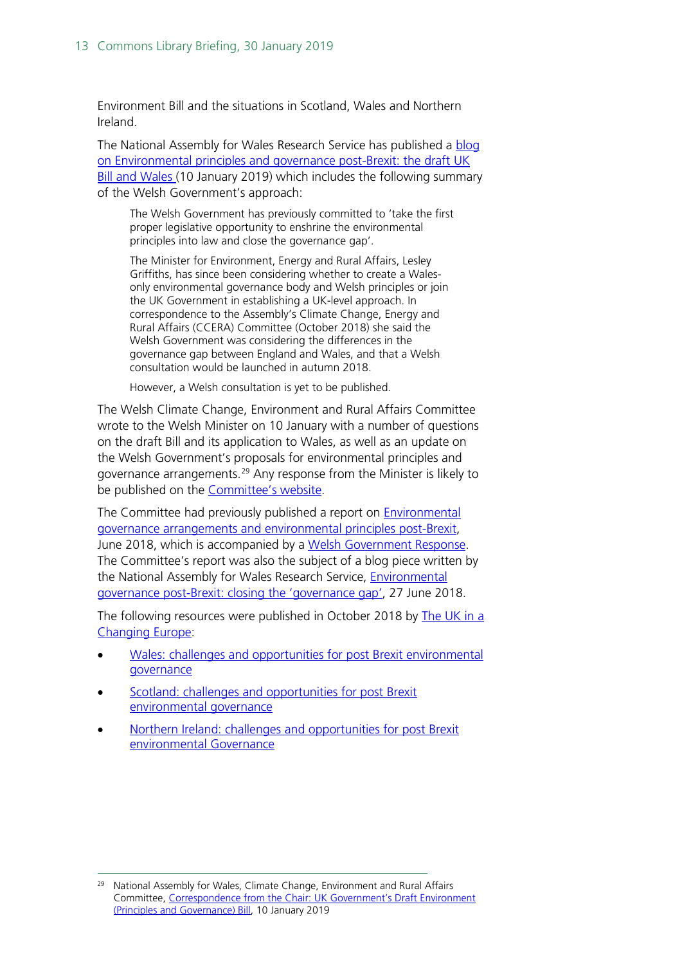Environment Bill and the situations in Scotland, Wales and Northern Ireland.

The National Assembly for Wales Research Service has published a [blog](https://seneddresearch.blog/2019/01/10/environmental-principles-and-governance-post-brexit-the-draft-uk-bill-and-wales/?platform=hootsuite)  [on Environmental principles and governance post-Brexit: the draft UK](https://seneddresearch.blog/2019/01/10/environmental-principles-and-governance-post-brexit-the-draft-uk-bill-and-wales/?platform=hootsuite)  [Bill and Wales \(](https://seneddresearch.blog/2019/01/10/environmental-principles-and-governance-post-brexit-the-draft-uk-bill-and-wales/?platform=hootsuite)10 January 2019) which includes the following summary of the Welsh Government's approach:

The Welsh Government has previously committed to 'take the first proper legislative opportunity to enshrine the environmental principles into law and close the governance gap'.

The Minister for Environment, Energy and Rural Affairs, Lesley Griffiths, has since been considering whether to create a Walesonly environmental governance body and Welsh principles or join the UK Government in establishing a UK-level approach. In correspondence to the Assembly's Climate Change, Energy and Rural Affairs (CCERA) Committee (October 2018) she said the Welsh Government was considering the differences in the governance gap between England and Wales, and that a Welsh consultation would be launched in autumn 2018.

However, a Welsh consultation is yet to be published.

The Welsh Climate Change, Environment and Rural Affairs Committee wrote to the Welsh Minister on 10 January with a number of questions on the draft Bill and its application to Wales, as well as an update on the Welsh Government's proposals for environmental principles and governance arrangements.<sup>[29](#page-12-0)</sup> Any response from the Minister is likely to be published on the [Committee's website.](http://www.assembly.wales/en/bus-home/committees/Pages/Committee-Profile.aspx?cid=444)

The Committee had previously published a report on [Environmental](http://www.assembly.wales/laid%20documents/cr-ld11622/cr-ld11622-e.pdf)  [governance arrangements and environmental principles post-Brexit,](http://www.assembly.wales/laid%20documents/cr-ld11622/cr-ld11622-e.pdf) June 2018, which is accompanied by a [Welsh Government Response.](http://www.assembly.wales/laid%20documents/gen-ld11728/gen-ld11728-e.pdf) The Committee's report was also the subject of a blog piece written by the National Assembly for Wales Research Service, Environmental [governance post-Brexit: closing the 'governance gap',](https://seneddresearch.blog/2018/06/27/environmental-governance-post-brexit-closing-the-governance-gap/) 27 June 2018.

The following resources were published in October 2018 by The UK in a [Changing Europe:](http://ukandeu.ac.uk/)

- [Wales:](http://ukandeu.ac.uk/research-papers/wales-challenges-and-opportunities-to-post-brexit-environmental-governance/) challenges and opportunities for post Brexit environmental governance
- [Scotland:](http://ukandeu.ac.uk/research-papers/scotland-challenges-and-opportunities-for-post-brexit-environmental-governance/) challenges and opportunities for post Brexit environmental governance
- [Northern Ireland:](http://ukandeu.ac.uk/research-papers/northern-ireland-challenges-and-opportunities-for-post-brexit-environmental-governance/) challenges and opportunities for post Brexit environmental Governance

<span id="page-12-0"></span>National Assembly for Wales, Climate Change, Environment and Rural Affairs Committee, Correspondence [from the Chair: UK Government's Draft Environment](http://www.senedd.assembly.wales/documents/s83011/Correspondence%20from%20the%20Chair%20-%2010%20January%202019.pdf)  [\(Principles and Governance\) Bill,](http://www.senedd.assembly.wales/documents/s83011/Correspondence%20from%20the%20Chair%20-%2010%20January%202019.pdf) 10 January 2019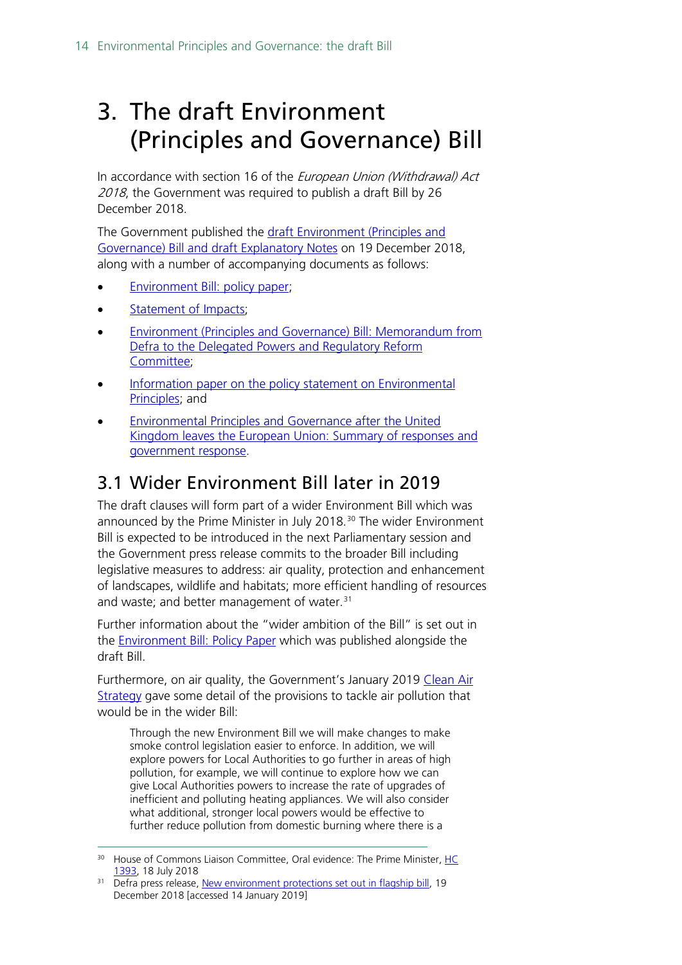# <span id="page-13-0"></span>3. The draft Environment (Principles and Governance) Bill

In accordance with section 16 of the European Union (Withdrawal) Act 2018, the Government was required to publish a draft Bill by 26 December 2018.

The Government published the draft Environment (Principles and [Governance\) Bill and draft Explanatory](https://assets.publishing.service.gov.uk/government/uploads/system/uploads/attachment_data/file/766849/draft-environment-bill-governance-principles.pdf) Notes on 19 December 2018, along with a number of accompanying documents as follows:

- **[Environment Bill: policy paper;](https://www.gov.uk/government/publications/draft-environment-principles-and-governance-bill-2018/environment-bill-policy-paper)**
- Statement of Impacts:
- [Environment \(Principles and Governance\) Bill: Memorandum from](https://www.gov.uk/government/publications/draft-environment-principles-and-governance-bill-2018/environment-principles-and-governance-bill-memorandum-from-defra-to-the-delegated-powers-and-regulatory-reform-committee)  [Defra to the Delegated Powers and Regulatory Reform](https://www.gov.uk/government/publications/draft-environment-principles-and-governance-bill-2018/environment-principles-and-governance-bill-memorandum-from-defra-to-the-delegated-powers-and-regulatory-reform-committee)  [Committee;](https://www.gov.uk/government/publications/draft-environment-principles-and-governance-bill-2018/environment-principles-and-governance-bill-memorandum-from-defra-to-the-delegated-powers-and-regulatory-reform-committee)
- Information paper on the policy statement on Environmental [Principles;](https://assets.publishing.service.gov.uk/government/uploads/system/uploads/attachment_data/file/766299/env-bill-information-paper.pdf) and
- [Environmental Principles and Governance after the United](https://assets.publishing.service.gov.uk/government/uploads/system/uploads/attachment_data/file/767284/env-principles-consult-sum-resp.pdf)  [Kingdom leaves the European Union: Summary of responses and](https://assets.publishing.service.gov.uk/government/uploads/system/uploads/attachment_data/file/767284/env-principles-consult-sum-resp.pdf)  [government response.](https://assets.publishing.service.gov.uk/government/uploads/system/uploads/attachment_data/file/767284/env-principles-consult-sum-resp.pdf)

# <span id="page-13-1"></span>3.1 Wider Environment Bill later in 2019

The draft clauses will form part of a wider Environment Bill which was announced by the Prime Minister in July 2018.<sup>[30](#page-13-2)</sup> The wider Environment Bill is expected to be introduced in the next Parliamentary session and the Government press release commits to the broader Bill including legislative measures to address: air quality, protection and enhancement of landscapes, wildlife and habitats; more efficient handling of resources and waste; and better management of water.<sup>[31](#page-13-3)</sup>

Further information about the "wider ambition of the Bill" is set out in the **Environment Bill: Policy Paper** which was published alongside the draft Bill.

Furthermore, on air quality, the Government's January 2019 Clean Air [Strategy](https://assets.publishing.service.gov.uk/government/uploads/system/uploads/attachment_data/file/770715/clean-air-strategy-2019.pdf) gave some detail of the provisions to tackle air pollution that would be in the wider Bill:

Through the new Environment Bill we will make changes to make smoke control legislation easier to enforce. In addition, we will explore powers for Local Authorities to go further in areas of high pollution, for example, we will continue to explore how we can give Local Authorities powers to increase the rate of upgrades of inefficient and polluting heating appliances. We will also consider what additional, stronger local powers would be effective to further reduce pollution from domestic burning where there is a

<span id="page-13-2"></span><sup>&</sup>lt;sup>30</sup> House of Commons Liaison Committee, Oral evidence: The Prime Minister, HC [1393,](https://www.parliament.uk/documents/commons-committees/liaison/Oral-evidence-with-the-Prime-Minister-18-July-2018-.pdf) 18 July 2018

<span id="page-13-3"></span><sup>&</sup>lt;sup>31</sup> Defra press release, [New environment protections set out in flagship bill,](https://www.gov.uk/government/news/new-environment-protections-set-out-in-flagship-bill--2) 19 December 2018 [accessed 14 January 2019]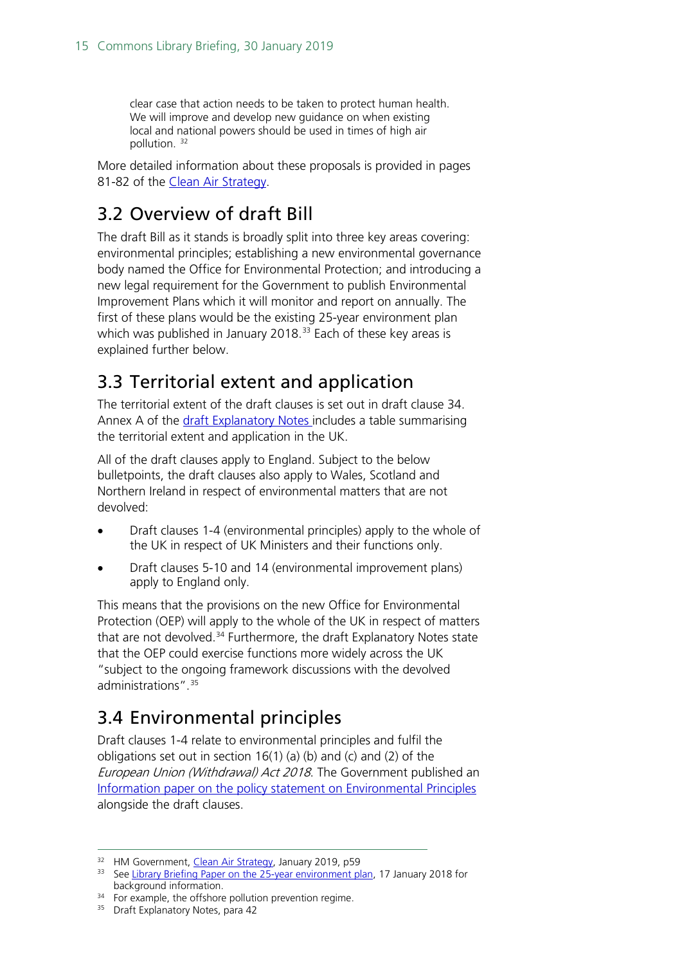clear case that action needs to be taken to protect human health. We will improve and develop new guidance on when existing local and national powers should be used in times of high air pollution. [32](#page-14-3)

More detailed information about these proposals is provided in pages 81-82 of the [Clean Air Strategy.](https://assets.publishing.service.gov.uk/government/uploads/system/uploads/attachment_data/file/770715/clean-air-strategy-2019.pdf)

# <span id="page-14-0"></span>3.2 Overview of draft Bill

The draft Bill as it stands is broadly split into three key areas covering: environmental principles; establishing a new environmental governance body named the Office for Environmental Protection; and introducing a new legal requirement for the Government to publish Environmental Improvement Plans which it will monitor and report on annually. The first of these plans would be the existing 25-year environment plan which was published in January 2018.<sup>[33](#page-14-4)</sup> Each of these key areas is explained further below.

# <span id="page-14-1"></span>3.3 Territorial extent and application

The territorial extent of the draft clauses is set out in draft clause 34. Annex A of the [draft Explanatory Notes i](https://assets.publishing.service.gov.uk/government/uploads/system/uploads/attachment_data/file/766849/draft-environment-bill-governance-principles.pdf)ncludes a table summarising the territorial extent and application in the UK.

All of the draft clauses apply to England. Subject to the below bulletpoints, the draft clauses also apply to Wales, Scotland and Northern Ireland in respect of environmental matters that are not devolved:

- Draft clauses 1-4 (environmental principles) apply to the whole of the UK in respect of UK Ministers and their functions only.
- Draft clauses 5-10 and 14 (environmental improvement plans) apply to England only.

This means that the provisions on the new Office for Environmental Protection (OEP) will apply to the whole of the UK in respect of matters that are not devolved.<sup>[34](#page-14-5)</sup> Furthermore, the draft Explanatory Notes state that the OEP could exercise functions more widely across the UK "subject to the ongoing framework discussions with the devolved administrations".[35](#page-14-6)

# <span id="page-14-2"></span>3.4 Environmental principles

Draft clauses 1-4 relate to environmental principles and fulfil the obligations set out in section 16(1) (a) (b) and (c) and (2) of the European Union (Withdrawal) Act 2018. The Government published an [Information paper on the policy statement](https://assets.publishing.service.gov.uk/government/uploads/system/uploads/attachment_data/file/766299/env-bill-information-paper.pdf) on Environmental Principles alongside the draft clauses.

<span id="page-14-3"></span><sup>&</sup>lt;sup>32</sup> HM Government, *Clean Air Strategy*, January 2019, p59

<span id="page-14-4"></span><sup>&</sup>lt;sup>33</sup> See Library Briefing Paper on the  $25$ -year environment plan, 17 January 2018 for background information.

<span id="page-14-6"></span><span id="page-14-5"></span><sup>&</sup>lt;sup>34</sup> For example, the offshore pollution prevention regime.

<sup>&</sup>lt;sup>35</sup> Draft Explanatory Notes, para 42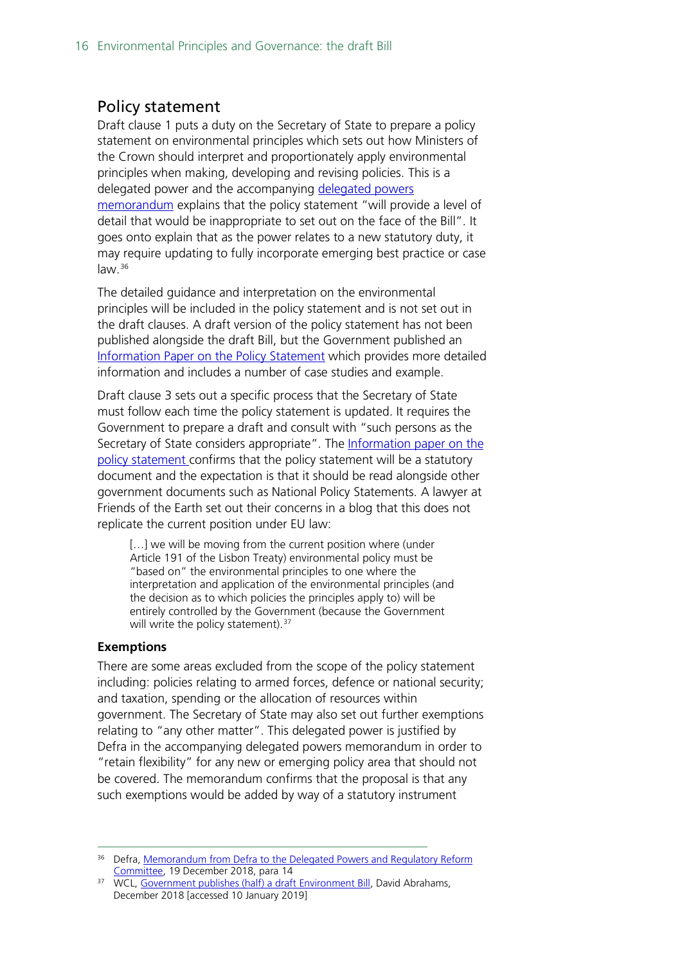### <span id="page-15-0"></span>Policy statement

Draft clause 1 puts a duty on the Secretary of State to prepare a policy statement on environmental principles which sets out how Ministers of the Crown should interpret and proportionately apply environmental principles when making, developing and revising policies. This is a delegated power and the accompanying [delegated powers](https://www.gov.uk/government/publications/draft-environment-principles-and-governance-bill-2018/environment-principles-and-governance-bill-memorandum-from-defra-to-the-delegated-powers-and-regulatory-reform-committee)  [memorandum](https://www.gov.uk/government/publications/draft-environment-principles-and-governance-bill-2018/environment-principles-and-governance-bill-memorandum-from-defra-to-the-delegated-powers-and-regulatory-reform-committee) explains that the policy statement "will provide a level of detail that would be inappropriate to set out on the face of the Bill". It goes onto explain that as the power relates to a new statutory duty, it may require updating to fully incorporate emerging best practice or case law.<sup>[36](#page-15-1)</sup>

The detailed guidance and interpretation on the environmental principles will be included in the policy statement and is not set out in the draft clauses. A draft version of the policy statement has not been published alongside the draft Bill, but the Government published an [Information Paper on the Policy Statement](https://assets.publishing.service.gov.uk/government/uploads/system/uploads/attachment_data/file/766299/env-bill-information-paper.pdf) which provides more detailed information and includes a number of case studies and example.

Draft clause 3 sets out a specific process that the Secretary of State must follow each time the policy statement is updated. It requires the Government to prepare a draft and consult with "such persons as the Secretary of State considers appropriate". The Information paper on the [policy statement c](https://assets.publishing.service.gov.uk/government/uploads/system/uploads/attachment_data/file/766299/env-bill-information-paper.pdf)onfirms that the policy statement will be a statutory document and the expectation is that it should be read alongside other government documents such as National Policy Statements. A lawyer at Friends of the Earth set out their concerns in a blog that this does not replicate the current position under EU law:

[...] we will be moving from the current position where (under Article 191 of the Lisbon Treaty) environmental policy must be "based on" the environmental principles to one where the interpretation and application of the environmental principles (and the decision as to which policies the principles apply to) will be entirely controlled by the Government (because the Government will write the policy statement).  $37$ 

#### **Exemptions**

There are some areas excluded from the scope of the policy statement including: policies relating to armed forces, defence or national security; and taxation, spending or the allocation of resources within government. The Secretary of State may also set out further exemptions relating to "any other matter". This delegated power is justified by Defra in the accompanying delegated powers memorandum in order to "retain flexibility" for any new or emerging policy area that should not be covered. The memorandum confirms that the proposal is that any such exemptions would be added by way of a statutory instrument

<span id="page-15-1"></span><sup>&</sup>lt;sup>36</sup> Defra, Memorandum from Defra to the Delegated Powers and Regulatory Reform [Committee,](https://www.gov.uk/government/publications/draft-environment-principles-and-governance-bill-2018/environment-principles-and-governance-bill-memorandum-from-defra-to-the-delegated-powers-and-regulatory-reform-committee) 19 December 2018, para 14

<span id="page-15-2"></span><sup>&</sup>lt;sup>37</sup> WCL[, Government publishes \(half\) a draft Environment Bill,](https://www.wcl.org.uk/government-publishes-(half)-a-draft-environment-bill.asp) David Abrahams, December 2018 [accessed 10 January 2019]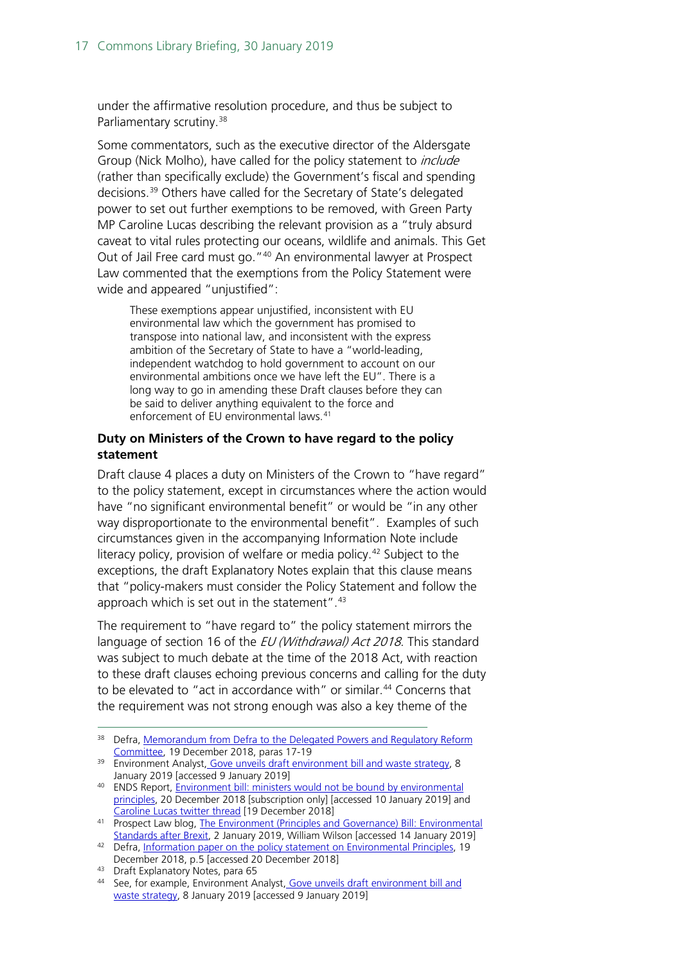under the affirmative resolution procedure, and thus be subject to Parliamentary scrutiny.<sup>[38](#page-16-0)</sup>

Some commentators, such as the executive director of the Aldersgate Group (Nick Molho), have called for the policy statement to *include* (rather than specifically exclude) the Government's fiscal and spending decisions.[39](#page-16-1) Others have called for the Secretary of State's delegated power to set out further exemptions to be removed, with Green Party MP Caroline Lucas describing the relevant provision as a "truly absurd caveat to vital rules protecting our oceans, wildlife and animals. This Get Out of Jail Free card must go."[40](#page-16-2) An environmental lawyer at Prospect Law commented that the exemptions from the Policy Statement were wide and appeared "unjustified":

These exemptions appear unjustified, inconsistent with EU environmental law which the government has promised to transpose into national law, and inconsistent with the express ambition of the Secretary of State to have a "world-leading, independent watchdog to hold government to account on our environmental ambitions once we have left the EU". There is a long way to go in amending these Draft clauses before they can be said to deliver anything equivalent to the force and enforcement of EU environmental laws.<sup>[41](#page-16-3)</sup>

### **Duty on Ministers of the Crown to have regard to the policy statement**

Draft clause 4 places a duty on Ministers of the Crown to "have regard" to the policy statement, except in circumstances where the action would have "no significant environmental benefit" or would be "in any other way disproportionate to the environmental benefit". Examples of such circumstances given in the accompanying Information Note include literacy policy, provision of welfare or media policy.<sup>[42](#page-16-4)</sup> Subject to the exceptions, the draft Explanatory Notes explain that this clause means that "policy-makers must consider the Policy Statement and follow the approach which is set out in the statement". [43](#page-16-5)

The requirement to "have regard to" the policy statement mirrors the language of section 16 of the *EU (Withdrawal) Act 2018*. This standard was subject to much debate at the time of the 2018 Act, with reaction to these draft clauses echoing previous concerns and calling for the duty to be elevated to "act in accordance with" or similar. [44](#page-16-6) Concerns that the requirement was not strong enough was also a key theme of the

<span id="page-16-0"></span><sup>&</sup>lt;sup>38</sup> Defra, Memorandum from Defra to the Delegated Powers and Regulatory Reform [Committee,](https://www.gov.uk/government/publications/draft-environment-principles-and-governance-bill-2018/environment-principles-and-governance-bill-memorandum-from-defra-to-the-delegated-powers-and-regulatory-reform-committee) 19 December 2018, paras 17-19

<span id="page-16-1"></span><sup>&</sup>lt;sup>39</sup> Environment Analyst, [Gove unveils draft environment bill and waste strategy,](https://environment-analyst.com/73152/gove-unveils-draft-environment-bill-and-waste-strategy) 8<br>January 2019 [accessed 9 January 2019]

<span id="page-16-2"></span><sup>40</sup> ENDS Report, Environment bill: ministers would not be bound by environmental [principles,](https://www.endsreport.com/article/61780/environment-bill-ministers-would-not-be-bound-by-environmental-principles) 20 December 2018 [subscription only] [accessed 10 January 2019] and [Caroline Lucas twitter thread](https://twitter.com/carolinelucas/status/1075442884206313473) [19 December 2018]

<span id="page-16-3"></span>Prospect Law blog, The Environment (Principles and Governance) Bill: Environmental<br>Standards after Brexit, 2 January 2019, William Wilson Jaccessed 14 January 2019]

<span id="page-16-4"></span><sup>&</sup>lt;sup>42</sup> Defra, [Information paper on the policy statement on Environmental Principles,](https://assets.publishing.service.gov.uk/government/uploads/system/uploads/attachment_data/file/766299/env-bill-information-paper.pdf) 19 December 2018, p.5 [accessed 20 December 2018]

<span id="page-16-5"></span><sup>43</sup> Draft Explanatory Notes, para 65

<span id="page-16-6"></span><sup>44</sup> See, for example, Environment Analyst, Gove unveils draft environment bill and [waste strategy,](https://environment-analyst.com/73152/gove-unveils-draft-environment-bill-and-waste-strategy) 8 January 2019 [accessed 9 January 2019]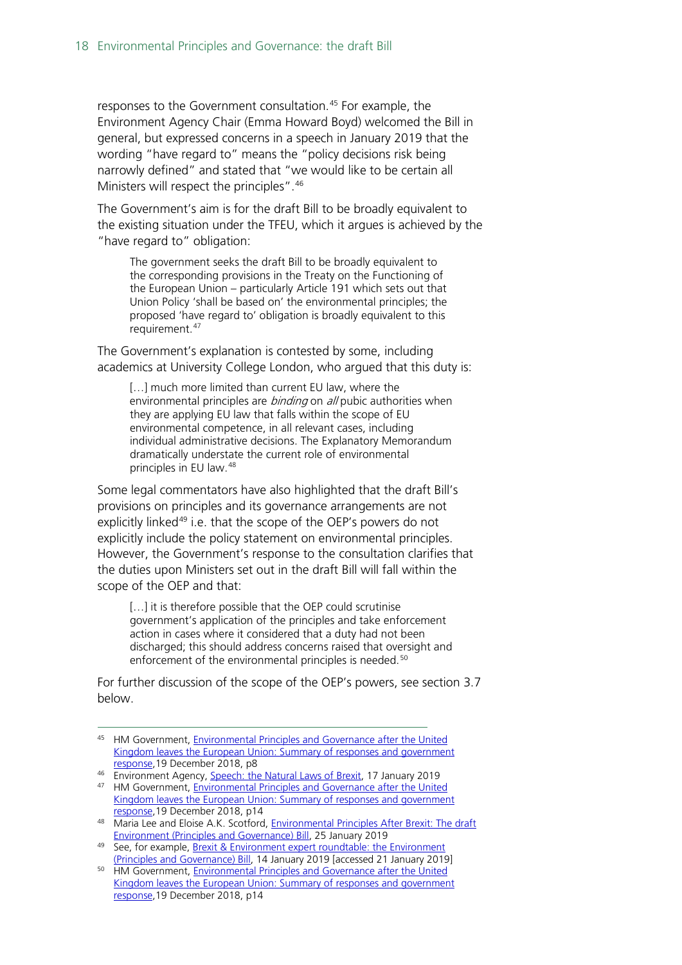responses to the Government consultation.<sup>[45](#page-17-0)</sup> For example, the Environment Agency Chair (Emma Howard Boyd) welcomed the Bill in general, but expressed concerns in a speech in January 2019 that the wording "have regard to" means the "policy decisions risk being narrowly defined" and stated that "we would like to be certain all Ministers will respect the principles".<sup>[46](#page-17-1)</sup>

The Government's aim is for the draft Bill to be broadly equivalent to the existing situation under the TFEU, which it argues is achieved by the "have regard to" obligation:

The government seeks the draft Bill to be broadly equivalent to the corresponding provisions in the Treaty on the Functioning of the European Union – particularly Article 191 which sets out that Union Policy 'shall be based on' the environmental principles; the proposed 'have regard to' obligation is broadly equivalent to this requirement.<sup>[47](#page-17-2)</sup>

The Government's explanation is contested by some, including academics at University College London, who argued that this duty is:

[...] much more limited than current EU law, where the environmental principles are *binding* on all pubic authorities when they are applying EU law that falls within the scope of EU environmental competence, in all relevant cases, including individual administrative decisions. The Explanatory Memorandum dramatically understate the current role of environmental principles in EU law.[48](#page-17-3)

Some legal commentators have also highlighted that the draft Bill's provisions on principles and its governance arrangements are not explicitly linked<sup>[49](#page-17-4)</sup> i.e. that the scope of the OEP's powers do not explicitly include the policy statement on environmental principles. However, the Government's response to the consultation clarifies that the duties upon Ministers set out in the draft Bill will fall within the scope of the OEP and that:

[...] it is therefore possible that the OEP could scrutinise government's application of the principles and take enforcement action in cases where it considered that a duty had not been discharged; this should address concerns raised that oversight and enforcement of the environmental principles is needed.<sup>[50](#page-17-5)</sup>

For further discussion of the scope of the OEP's powers, see section [3.7](#page-21-0) below.

<span id="page-17-0"></span><sup>45</sup> HM Government, Environmental Principles and Governance after the United [Kingdom leaves the European Union: Summary of responses and government](https://assets.publishing.service.gov.uk/government/uploads/system/uploads/attachment_data/file/767284/env-principles-consult-sum-resp.pdf)  [response,1](https://assets.publishing.service.gov.uk/government/uploads/system/uploads/attachment_data/file/767284/env-principles-consult-sum-resp.pdf)9 December 2018, p8

<sup>46</sup> Environment Agency, [Speech: the Natural Laws of Brexit,](https://www.gov.uk/government/speeches/the-natural-laws-of-brexit) 17 January 2019

<span id="page-17-2"></span><span id="page-17-1"></span><sup>47</sup> HM Government, Environmental Principles and Governance after the United [Kingdom leaves the European Union: Summary of responses and government](https://assets.publishing.service.gov.uk/government/uploads/system/uploads/attachment_data/file/767284/env-principles-consult-sum-resp.pdf)  [response,1](https://assets.publishing.service.gov.uk/government/uploads/system/uploads/attachment_data/file/767284/env-principles-consult-sum-resp.pdf)9 December 2018, p14

<span id="page-17-3"></span><sup>48</sup> Maria Lee and Eloise A.K. Scotford, Environmental Principles After Brexit: The draft [Environment \(Principles and Governance\) Bill,](https://papers.ssrn.com/sol3/papers.cfm?abstract_id=3322341) 25 January 2019

<span id="page-17-4"></span><sup>49</sup> See, for example, Brexit & Environment expert roundtable: the Environment [\(Principles and Governance\) Bill,](https://www.brexitenvironment.co.uk/2019/01/14/expert-roundtable-environment-principles-and-governance-bill/) 14 January 2019 [accessed 21 January 2019]

<span id="page-17-5"></span><sup>&</sup>lt;sup>50</sup> HM Government, Environmental Principles and Governance after the United [Kingdom leaves the European Union: Summary of responses and government](https://assets.publishing.service.gov.uk/government/uploads/system/uploads/attachment_data/file/767284/env-principles-consult-sum-resp.pdf)  [response,1](https://assets.publishing.service.gov.uk/government/uploads/system/uploads/attachment_data/file/767284/env-principles-consult-sum-resp.pdf)9 December 2018, p14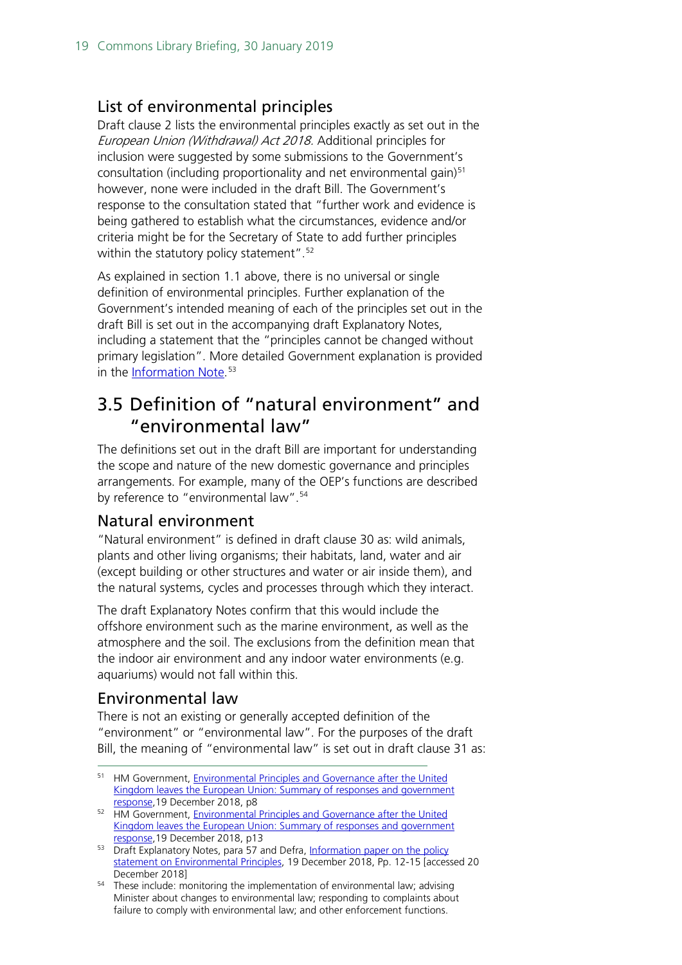### <span id="page-18-0"></span>List of environmental principles

Draft clause 2 lists the environmental principles exactly as set out in the European Union (Withdrawal) Act 2018. Additional principles for inclusion were suggested by some submissions to the Government's consultation (including proportionality and net environmental gain)<sup>[51](#page-18-4)</sup> however, none were included in the draft Bill. The Government's response to the consultation stated that "further work and evidence is being gathered to establish what the circumstances, evidence and/or criteria might be for the Secretary of State to add further principles within the statutory policy statement".<sup>[52](#page-18-5)</sup>

As explained in section [1.1](#page-4-1) above, there is no universal or single definition of environmental principles. Further explanation of the Government's intended meaning of each of the principles set out in the draft Bill is set out in the accompanying draft Explanatory Notes, including a statement that the "principles cannot be changed without primary legislation". More detailed Government explanation is provided in the <u>Information Note</u>.<sup>[53](#page-18-6)</sup>

# <span id="page-18-1"></span>3.5 Definition of "natural environment" and "environmental law"

The definitions set out in the draft Bill are important for understanding the scope and nature of the new domestic governance and principles arrangements. For example, many of the OEP's functions are described by reference to "environmental law".<sup>[54](#page-18-7)</sup>

### <span id="page-18-2"></span>Natural environment

"Natural environment" is defined in draft clause 30 as: wild animals, plants and other living organisms; their habitats, land, water and air (except building or other structures and water or air inside them), and the natural systems, cycles and processes through which they interact.

The draft Explanatory Notes confirm that this would include the offshore environment such as the marine environment, as well as the atmosphere and the soil. The exclusions from the definition mean that the indoor air environment and any indoor water environments (e.g. aquariums) would not fall within this.

### <span id="page-18-3"></span>Environmental law

There is not an existing or generally accepted definition of the "environment" or "environmental law". For the purposes of the draft Bill, the meaning of "environmental law" is set out in draft clause 31 as:

<span id="page-18-4"></span><sup>&</sup>lt;sup>51</sup> HM Government, Environmental Principles and Governance after the United [Kingdom leaves the European Union: Summary of responses and government](https://assets.publishing.service.gov.uk/government/uploads/system/uploads/attachment_data/file/767284/env-principles-consult-sum-resp.pdf)  [response,1](https://assets.publishing.service.gov.uk/government/uploads/system/uploads/attachment_data/file/767284/env-principles-consult-sum-resp.pdf)9 December 2018, p8

<span id="page-18-5"></span><sup>&</sup>lt;sup>52</sup> HM Government, Environmental Principles and Governance after the United Kingdom leaves the European Union: Summary of responses and government [response,1](https://assets.publishing.service.gov.uk/government/uploads/system/uploads/attachment_data/file/767284/env-principles-consult-sum-resp.pdf)9 December 2018, p13

<span id="page-18-6"></span><sup>53</sup> Draft Explanatory Notes, para 57 and Defra, Information paper on the policy [statement on Environmental Principles,](https://assets.publishing.service.gov.uk/government/uploads/system/uploads/attachment_data/file/766299/env-bill-information-paper.pdf) 19 December 2018, Pp. 12-15 [accessed 20 December 2018]

<span id="page-18-7"></span><sup>&</sup>lt;sup>54</sup> These include: monitoring the implementation of environmental law; advising Minister about changes to environmental law; responding to complaints about failure to comply with environmental law; and other enforcement functions.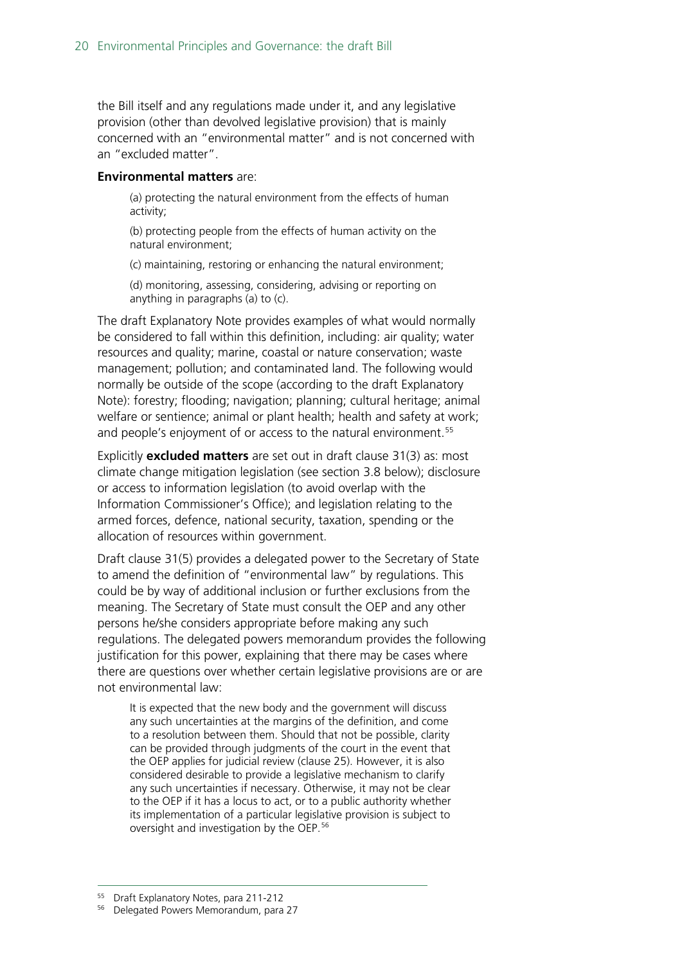the Bill itself and any regulations made under it, and any legislative provision (other than devolved legislative provision) that is mainly concerned with an "environmental matter" and is not concerned with an "excluded matter".

#### **Environmental matters** are:

(a) protecting the natural environment from the effects of human activity;

(b) protecting people from the effects of human activity on the natural environment;

(c) maintaining, restoring or enhancing the natural environment;

(d) monitoring, assessing, considering, advising or reporting on anything in paragraphs (a) to (c).

The draft Explanatory Note provides examples of what would normally be considered to fall within this definition, including: air quality; water resources and quality; marine, coastal or nature conservation; waste management; pollution; and contaminated land. The following would normally be outside of the scope (according to the draft Explanatory Note): forestry; flooding; navigation; planning; cultural heritage; animal welfare or sentience; animal or plant health; health and safety at work; and people's enjoyment of or access to the natural environment.<sup>[55](#page-19-0)</sup>

Explicitly **excluded matters** are set out in draft clause 31(3) as: most climate change mitigation legislation (see section [3.8](#page-34-0) below); disclosure or access to information legislation (to avoid overlap with the Information Commissioner's Office); and legislation relating to the armed forces, defence, national security, taxation, spending or the allocation of resources within government.

Draft clause 31(5) provides a delegated power to the Secretary of State to amend the definition of "environmental law" by regulations. This could be by way of additional inclusion or further exclusions from the meaning. The Secretary of State must consult the OEP and any other persons he/she considers appropriate before making any such regulations. The delegated powers memorandum provides the following justification for this power, explaining that there may be cases where there are questions over whether certain legislative provisions are or are not environmental law:

It is expected that the new body and the government will discuss any such uncertainties at the margins of the definition, and come to a resolution between them. Should that not be possible, clarity can be provided through judgments of the court in the event that the OEP applies for judicial review (clause 25). However, it is also considered desirable to provide a legislative mechanism to clarify any such uncertainties if necessary. Otherwise, it may not be clear to the OEP if it has a locus to act, or to a public authority whether its implementation of a particular legislative provision is subject to oversight and investigation by the OEP.[56](#page-19-1)

<span id="page-19-0"></span> <sup>55</sup> Draft Explanatory Notes, para 211-212

<span id="page-19-1"></span><sup>56</sup> Delegated Powers Memorandum, para 27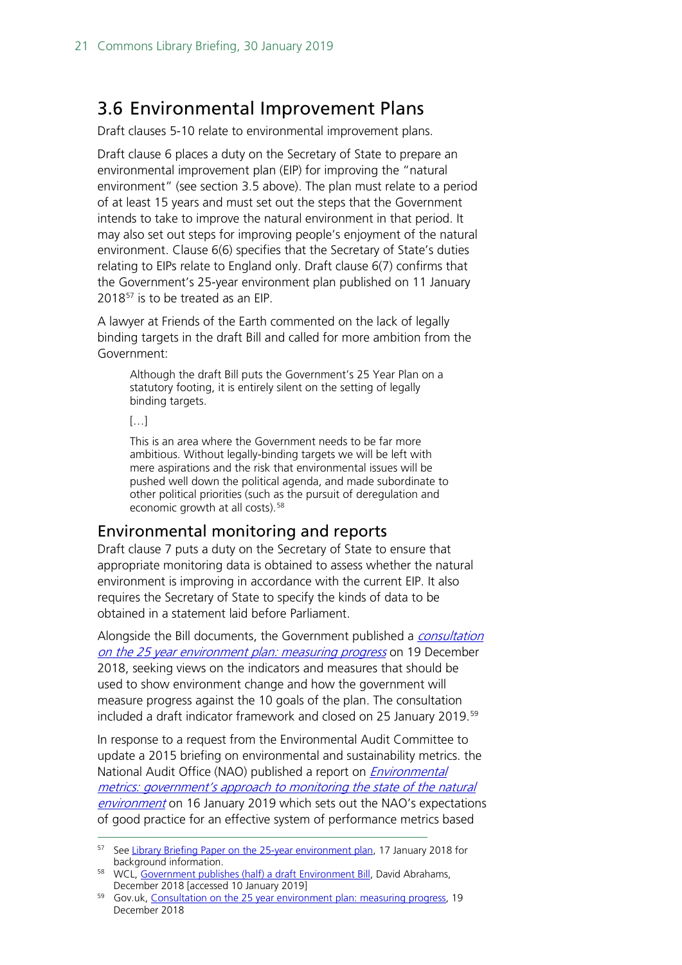## <span id="page-20-0"></span>3.6 Environmental Improvement Plans

Draft clauses 5-10 relate to environmental improvement plans.

Draft clause 6 places a duty on the Secretary of State to prepare an environmental improvement plan (EIP) for improving the "natural environment" (see section [3.5](#page-18-1) above). The plan must relate to a period of at least 15 years and must set out the steps that the Government intends to take to improve the natural environment in that period. It may also set out steps for improving people's enjoyment of the natural environment. Clause 6(6) specifies that the Secretary of State's duties relating to EIPs relate to England only. Draft clause 6(7) confirms that the Government's 25-year environment plan published on 11 January 2018<sup>[57](#page-20-2)</sup> is to be treated as an EIP.

A lawyer at Friends of the Earth commented on the lack of legally binding targets in the draft Bill and called for more ambition from the Government:

Although the draft Bill puts the Government's 25 Year Plan on a statutory footing, it is entirely silent on the setting of legally binding targets.

 $[...]$ 

This is an area where the Government needs to be far more ambitious. Without legally-binding targets we will be left with mere aspirations and the risk that environmental issues will be pushed well down the political agenda, and made subordinate to other political priorities (such as the pursuit of deregulation and economic growth at all costs).<sup>[58](#page-20-3)</sup>

### <span id="page-20-1"></span>Environmental monitoring and reports

Draft clause 7 puts a duty on the Secretary of State to ensure that appropriate monitoring data is obtained to assess whether the natural environment is improving in accordance with the current EIP. It also requires the Secretary of State to specify the kinds of data to be obtained in a statement laid before Parliament.

Alongside the Bill documents, the Government published a *consultation* [on the 25 year environment plan: measuring progress](https://www.gov.uk/government/consultations/25-year-environment-plan-measuring-progress?utm_source=5a9d14ba-9d94-46de-988a-e8a5180a1dac&utm_medium=email&utm_campaign=govuk-notifications&utm_content=immediate) on 19 December 2018, seeking views on the indicators and measures that should be used to show environment change and how the government will measure progress against the 10 goals of the plan. The consultation included a draft indicator framework and closed on 25 January 2019.<sup>[59](#page-20-4)</sup>

In response to a request from the Environmental Audit Committee to update a 2015 briefing on environmental and sustainability metrics. the National Audit Office (NAO) published a report on *Environmental* [metrics: government's approach to monitoring the state of the natural](https://www.nao.org.uk/report/environmental-metrics-governments-approach-to-monitoring-the-state-of-the-natural-environment/)  [environment](https://www.nao.org.uk/report/environmental-metrics-governments-approach-to-monitoring-the-state-of-the-natural-environment/) on 16 January 2019 which sets out the NAO's expectations of good practice for an effective system of performance metrics based

<span id="page-20-2"></span><sup>&</sup>lt;sup>57</sup> See [Library Briefing Paper on the 25-year environment plan,](https://researchbriefings.parliament.uk/ResearchBriefing/Summary/CBP-8196) 17 January 2018 for background information.

<span id="page-20-3"></span><sup>58</sup> WCL[, Government publishes \(half\) a draft Environment Bill,](https://www.wcl.org.uk/government-publishes-(half)-a-draft-environment-bill.asp) David Abrahams, December 2018 [accessed 10 January 2019]

<span id="page-20-4"></span><sup>59</sup> Gov.uk, [Consultation on the 25 year environment plan: measuring progress,](https://www.gov.uk/government/consultations/25-year-environment-plan-measuring-progress?utm_source=5a9d14ba-9d94-46de-988a-e8a5180a1dac&utm_medium=email&utm_campaign=govuk-notifications&utm_content=immediate) 19 December 2018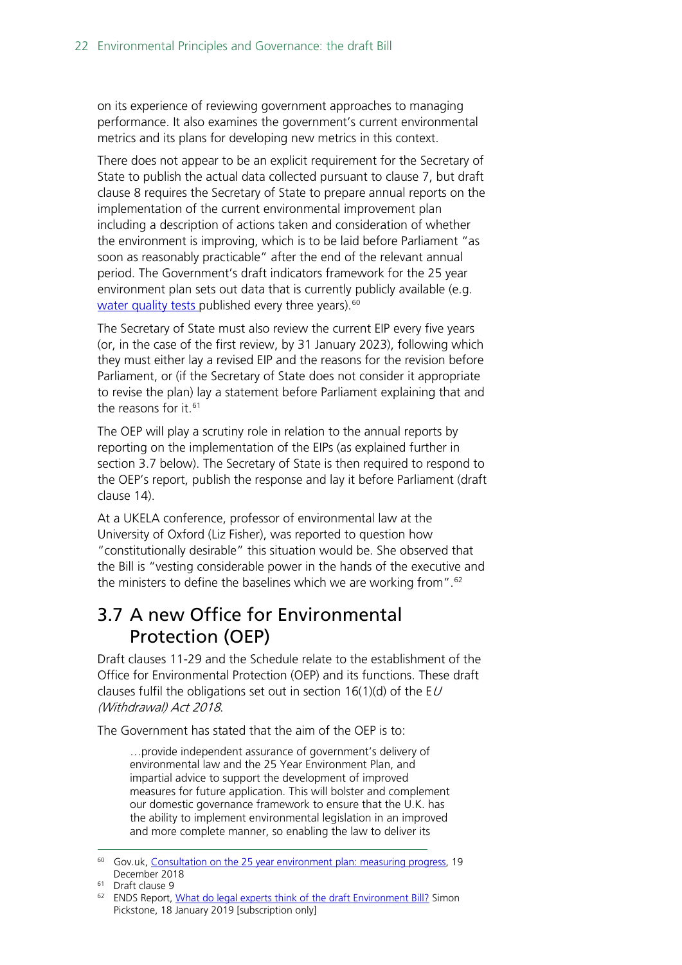on its experience of reviewing government approaches to managing performance. It also examines the government's current environmental metrics and its plans for developing new metrics in this context.

There does not appear to be an explicit requirement for the Secretary of State to publish the actual data collected pursuant to clause 7, but draft clause 8 requires the Secretary of State to prepare annual reports on the implementation of the current environmental improvement plan including a description of actions taken and consideration of whether the environment is improving, which is to be laid before Parliament "as soon as reasonably practicable" after the end of the relevant annual period. The Government's draft indicators framework for the 25 year environment plan sets out data that is currently publicly available (e.g. [water quality tests p](https://data.gov.uk/dataset/92659478-0d30-4484-bfef-6abfbe72b4a5/wfd-cycle-2-site-classifications-2016)ublished every three years).<sup>[60](#page-21-1)</sup>

The Secretary of State must also review the current EIP every five years (or, in the case of the first review, by 31 January 2023), following which they must either lay a revised EIP and the reasons for the revision before Parliament, or (if the Secretary of State does not consider it appropriate to revise the plan) lay a statement before Parliament explaining that and the reasons for it.<sup>[61](#page-21-2)</sup>

The OEP will play a scrutiny role in relation to the annual reports by reporting on the implementation of the EIPs (as explained further in section [3.7](#page-21-0) below). The Secretary of State is then required to respond to the OEP's report, publish the response and lay it before Parliament (draft clause 14).

At a UKELA conference, professor of environmental law at the University of Oxford (Liz Fisher), was reported to question how "constitutionally desirable" this situation would be. She observed that the Bill is "vesting considerable power in the hands of the executive and the ministers to define the baselines which we are working from".[62](#page-21-3)

# <span id="page-21-0"></span>3.7 A new Office for Environmental Protection (OEP)

Draft clauses 11-29 and the Schedule relate to the establishment of the Office for Environmental Protection (OEP) and its functions. These draft clauses fulfil the obligations set out in section  $16(1)(d)$  of the EU (Withdrawal) Act 2018.

The Government has stated that the aim of the OEP is to:

…provide independent assurance of government's delivery of environmental law and the 25 Year Environment Plan, and impartial advice to support the development of improved measures for future application. This will bolster and complement our domestic governance framework to ensure that the U.K. has the ability to implement environmental legislation in an improved and more complete manner, so enabling the law to deliver its

<span id="page-21-1"></span><sup>&</sup>lt;sup>60</sup> Gov.uk, [Consultation on the 25 year environment plan: measuring progress,](https://www.gov.uk/government/consultations/25-year-environment-plan-measuring-progress?utm_source=5a9d14ba-9d94-46de-988a-e8a5180a1dac&utm_medium=email&utm_campaign=govuk-notifications&utm_content=immediate) 19 December 2018

<span id="page-21-2"></span><sup>61</sup> Draft clause 9

<span id="page-21-3"></span><sup>62</sup> ENDS Report, [What do legal experts think of the draft Environment Bill?](https://www.endsreport.com/article/61947/what-do-legal-experts-think-of-the-draft-environment-bill) Simon Pickstone, 18 January 2019 [subscription only]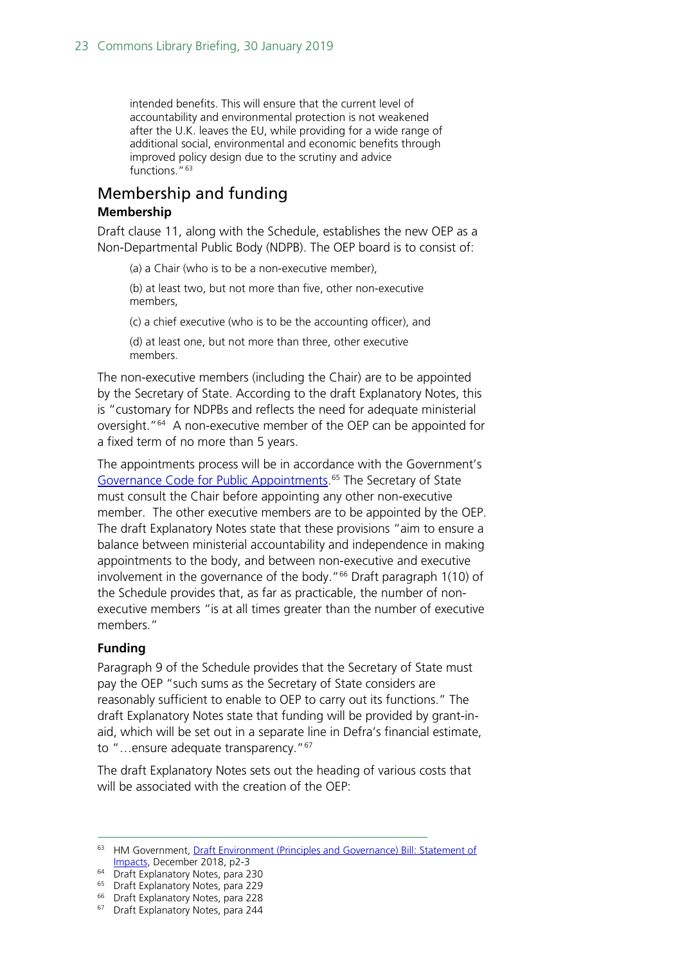intended benefits. This will ensure that the current level of accountability and environmental protection is not weakened after the U.K. leaves the EU, while providing for a wide range of additional social, environmental and economic benefits through improved policy design due to the scrutiny and advice functions."<sup>[63](#page-22-1)</sup>

## <span id="page-22-0"></span>Membership and funding

#### **Membership**

Draft clause 11, along with the Schedule, establishes the new OEP as a Non-Departmental Public Body (NDPB). The OEP board is to consist of:

(a) a Chair (who is to be a non-executive member),

(b) at least two, but not more than five, other non-executive members,

(c) a chief executive (who is to be the accounting officer), and

(d) at least one, but not more than three, other executive members.

The non-executive members (including the Chair) are to be appointed by the Secretary of State. According to the draft Explanatory Notes, this is "customary for NDPBs and reflects the need for adequate ministerial oversight."[64](#page-22-2) A non-executive member of the OEP can be appointed for a fixed term of no more than 5 years.

The appointments process will be in accordance with the Government's [Governance Code for Public Appointments.](https://www.gov.uk/government/publications/governance-code-for-public-appointments)<sup>[65](#page-22-3)</sup> The Secretary of State must consult the Chair before appointing any other non-executive member. The other executive members are to be appointed by the OEP. The draft Explanatory Notes state that these provisions "aim to ensure a balance between ministerial accountability and independence in making appointments to the body, and between non-executive and executive involvement in the governance of the body." $66$  Draft paragraph 1(10) of the Schedule provides that, as far as practicable, the number of nonexecutive members "is at all times greater than the number of executive members."

#### **Funding**

Paragraph 9 of the Schedule provides that the Secretary of State must pay the OEP "such sums as the Secretary of State considers are reasonably sufficient to enable to OEP to carry out its functions." The draft Explanatory Notes state that funding will be provided by grant-inaid, which will be set out in a separate line in Defra's financial estimate, to "...ensure adequate transparency."<sup>[67](#page-22-5)</sup>

The draft Explanatory Notes sets out the heading of various costs that will be associated with the creation of the OEP:

<span id="page-22-1"></span><sup>&</sup>lt;sup>63</sup> HM Government, Draft Environment (Principles and Governance) Bill: Statement of [Impacts,](https://assets.publishing.service.gov.uk/government/uploads/system/uploads/attachment_data/file/766291/env-bill-statement-impacts.pdf) December 2018, p2-3

<sup>&</sup>lt;sup>64</sup> Draft Explanatory Notes, para 230

<span id="page-22-3"></span><span id="page-22-2"></span><sup>&</sup>lt;sup>65</sup> Draft Explanatory Notes, para 229

<span id="page-22-4"></span><sup>&</sup>lt;sup>66</sup> Draft Explanatory Notes, para 228

<span id="page-22-5"></span><sup>&</sup>lt;sup>67</sup> Draft Explanatory Notes, para 244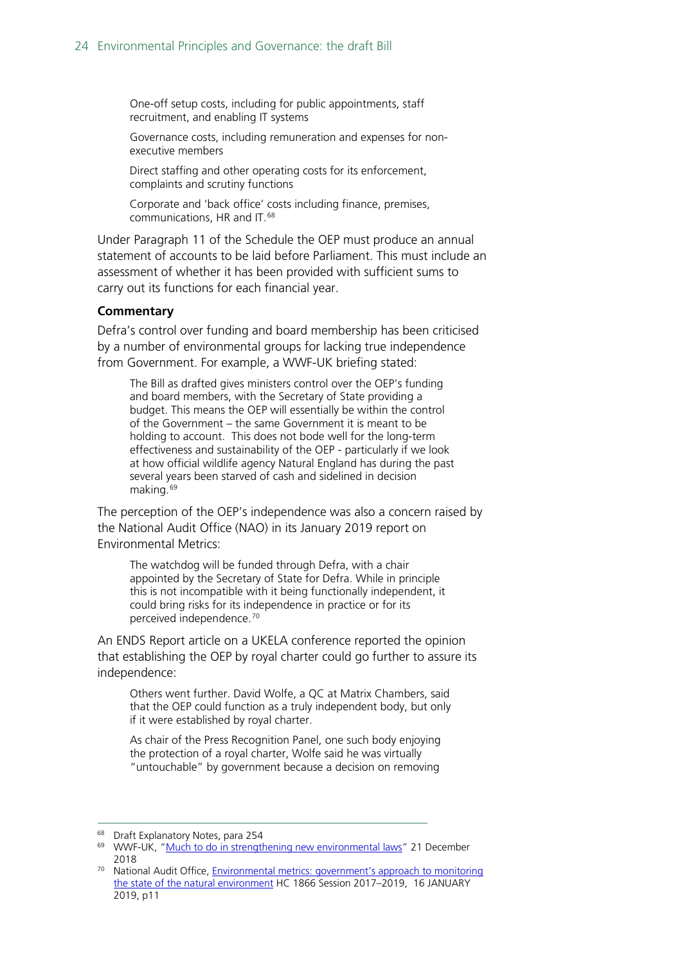One-off setup costs, including for public appointments, staff recruitment, and enabling IT systems

Governance costs, including remuneration and expenses for nonexecutive members

Direct staffing and other operating costs for its enforcement, complaints and scrutiny functions

Corporate and 'back office' costs including finance, premises, communications, HR and IT.[68](#page-23-0)

Under Paragraph 11 of the Schedule the OEP must produce an annual statement of accounts to be laid before Parliament. This must include an assessment of whether it has been provided with sufficient sums to carry out its functions for each financial year.

#### **Commentary**

Defra's control over funding and board membership has been criticised by a number of environmental groups for lacking true independence from Government. For example, a WWF-UK briefing stated:

The Bill as drafted gives ministers control over the OEP's funding and board members, with the Secretary of State providing a budget. This means the OEP will essentially be within the control of the Government – the same Government it is meant to be holding to account. This does not bode well for the long-term effectiveness and sustainability of the OEP - particularly if we look at how official wildlife agency Natural England has during the past several years been starved of cash and sidelined in decision making.[69](#page-23-1)

The perception of the OEP's independence was also a concern raised by the National Audit Office (NAO) in its January 2019 report on Environmental Metrics:

The watchdog will be funded through Defra, with a chair appointed by the Secretary of State for Defra. While in principle this is not incompatible with it being functionally independent, it could bring risks for its independence in practice or for its perceived independence.[70](#page-23-2)

An ENDS Report article on a UKELA conference reported the opinion that establishing the OEP by royal charter could go further to assure its independence:

Others went further. David Wolfe, a QC at Matrix Chambers, said that the OEP could function as a truly independent body, but only if it were established by royal charter.

As chair of the Press Recognition Panel, one such body enjoying the protection of a royal charter, Wolfe said he was virtually "untouchable" by government because a decision on removing

<sup>&</sup>lt;sup>68</sup> Draft Explanatory Notes, para 254

<span id="page-23-1"></span><span id="page-23-0"></span><sup>69</sup> WWF-UK, ["Much to do in strengthening new environmental laws"](https://www.wwf.org.uk/updates/much-do-strengthening-new-environment-laws) 21 December 2018

<span id="page-23-2"></span><sup>&</sup>lt;sup>70</sup> National Audit Office, *Environmental metrics: government's approach to monitoring* [the state of the natural environment](https://www.nao.org.uk/wp-content/uploads/2019/01/Environmental-metrics-governments-approach-to-monitoring-the-state-of-the-natural-environment.pdf) HC 1866 Session 2017–2019, 16 JANUARY 2019, p11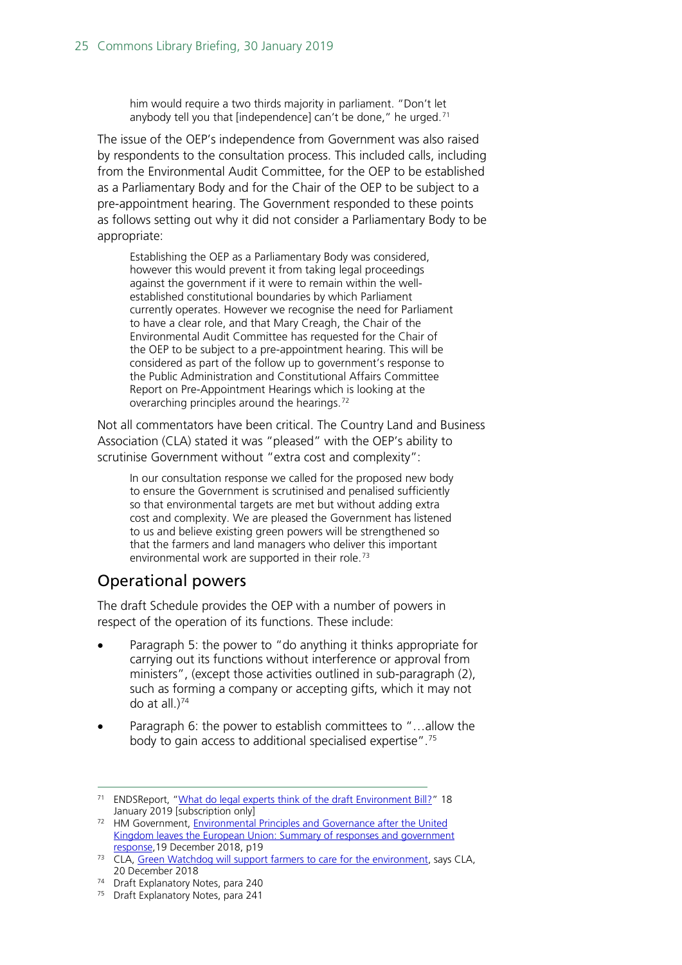him would require a two thirds majority in parliament. "Don't let anybody tell you that [independence] can't be done," he urged.<sup>[71](#page-24-0)</sup>

The issue of the OEP's independence from Government was also raised by respondents to the consultation process. This included calls, including from the Environmental Audit Committee, for the OEP to be established as a Parliamentary Body and for the Chair of the OEP to be subject to a pre-appointment hearing. The Government responded to these points as follows setting out why it did not consider a Parliamentary Body to be appropriate:

Establishing the OEP as a Parliamentary Body was considered, however this would prevent it from taking legal proceedings against the government if it were to remain within the wellestablished constitutional boundaries by which Parliament currently operates. However we recognise the need for Parliament to have a clear role, and that Mary Creagh, the Chair of the Environmental Audit Committee has requested for the Chair of the OEP to be subject to a pre-appointment hearing. This will be considered as part of the follow up to government's response to the Public Administration and Constitutional Affairs Committee Report on Pre-Appointment Hearings which is looking at the overarching principles around the hearings.[72](#page-24-1)

Not all commentators have been critical. The Country Land and Business Association (CLA) stated it was "pleased" with the OEP's ability to scrutinise Government without "extra cost and complexity":

In our consultation response we called for the proposed new body to ensure the Government is scrutinised and penalised sufficiently so that environmental targets are met but without adding extra cost and complexity. We are pleased the Government has listened to us and believe existing green powers will be strengthened so that the farmers and land managers who deliver this important environmental work are supported in their role.<sup>[73](#page-24-2)</sup>

## Operational powers

The draft Schedule provides the OEP with a number of powers in respect of the operation of its functions. These include:

- Paragraph 5: the power to "do anything it thinks appropriate for carrying out its functions without interference or approval from ministers", (except those activities outlined in sub-paragraph (2), such as forming a company or accepting gifts, which it may not do at all.) [74](#page-24-3)
- Paragraph 6: the power to establish committees to "…allow the body to gain access to additional specialised expertise".[75](#page-24-4)

<span id="page-24-0"></span><sup>&</sup>lt;sup>71</sup> ENDSReport, ["What do legal experts think of the draft Environment Bill?"](https://www.endsreport.com/article/61947/what-do-legal-experts-think-of-the-draft-environment-bill) 18 January 2019 [subscription only]

<span id="page-24-1"></span><sup>72</sup> HM Government, Environmental Principles and Governance after the United [Kingdom leaves the European Union: Summary of responses and government](https://assets.publishing.service.gov.uk/government/uploads/system/uploads/attachment_data/file/767284/env-principles-consult-sum-resp.pdf)  [response,1](https://assets.publishing.service.gov.uk/government/uploads/system/uploads/attachment_data/file/767284/env-principles-consult-sum-resp.pdf)9 December 2018, p19

<span id="page-24-2"></span><sup>&</sup>lt;sup>73</sup> CLA, [Green Watchdog will support farmers to care for the environment,](https://www.cla.org.uk/green-watchdog-will-support-farmers-care-environment-says-cla) says CLA, 20 December 2018

<span id="page-24-3"></span><sup>74</sup> Draft Explanatory Notes, para 240

<span id="page-24-4"></span><sup>&</sup>lt;sup>75</sup> Draft Explanatory Notes, para 241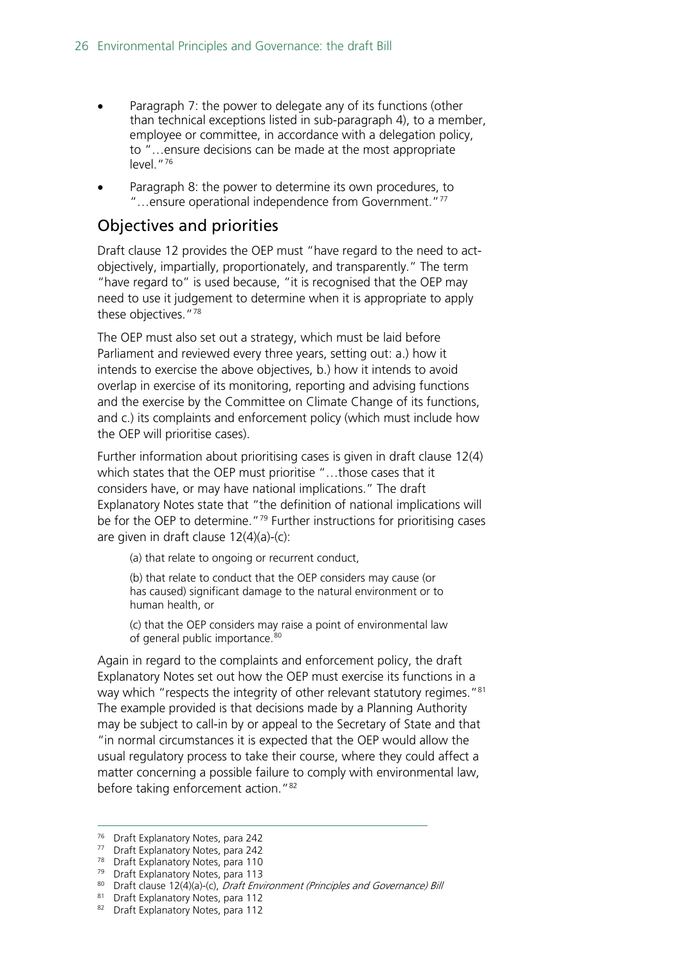- Paragraph 7: the power to delegate any of its functions (other than technical exceptions listed in sub-paragraph 4), to a member, employee or committee, in accordance with a delegation policy, to "…ensure decisions can be made at the most appropriate level."[76](#page-25-0)
- Paragraph 8: the power to determine its own procedures, to "…ensure operational independence from Government."[77](#page-25-1)

### Objectives and priorities

Draft clause 12 provides the OEP must "have regard to the need to actobjectively, impartially, proportionately, and transparently." The term "have regard to" is used because, "it is recognised that the OEP may need to use it judgement to determine when it is appropriate to apply these objectives."[78](#page-25-2)

The OEP must also set out a strategy, which must be laid before Parliament and reviewed every three years, setting out: a.) how it intends to exercise the above objectives, b.) how it intends to avoid overlap in exercise of its monitoring, reporting and advising functions and the exercise by the Committee on Climate Change of its functions, and c.) its complaints and enforcement policy (which must include how the OEP will prioritise cases).

Further information about prioritising cases is given in draft clause 12(4) which states that the OEP must prioritise "…those cases that it considers have, or may have national implications." The draft Explanatory Notes state that "the definition of national implications will be for the OEP to determine. $179$  $179$  Further instructions for prioritising cases are given in draft clause 12(4)(a)-(c):

(a) that relate to ongoing or recurrent conduct,

(b) that relate to conduct that the OEP considers may cause (or has caused) significant damage to the natural environment or to human health, or

(c) that the OEP considers may raise a point of environmental law of general public importance.<sup>[80](#page-25-4)</sup>

Again in regard to the complaints and enforcement policy, the draft Explanatory Notes set out how the OEP must exercise its functions in a way which "respects the integrity of other relevant statutory regimes."<sup>81</sup> The example provided is that decisions made by a Planning Authority may be subject to call-in by or appeal to the Secretary of State and that "in normal circumstances it is expected that the OEP would allow the usual regulatory process to take their course, where they could affect a matter concerning a possible failure to comply with environmental law, before taking enforcement action.["82](#page-25-6)

<span id="page-25-1"></span><span id="page-25-0"></span> <sup>76</sup> Draft Explanatory Notes, para 242

<sup>77</sup> Draft Explanatory Notes, para 242

<sup>78</sup> Draft Explanatory Notes, para 110

<span id="page-25-3"></span><span id="page-25-2"></span><sup>79</sup> Draft Explanatory Notes, para 113

<sup>80</sup> Draft clause 12(4)(a)-(c), Draft Environment (Principles and Governance) Bill

<span id="page-25-5"></span><span id="page-25-4"></span><sup>81</sup> Draft Explanatory Notes, para 112

<span id="page-25-6"></span><sup>82</sup> Draft Explanatory Notes, para 112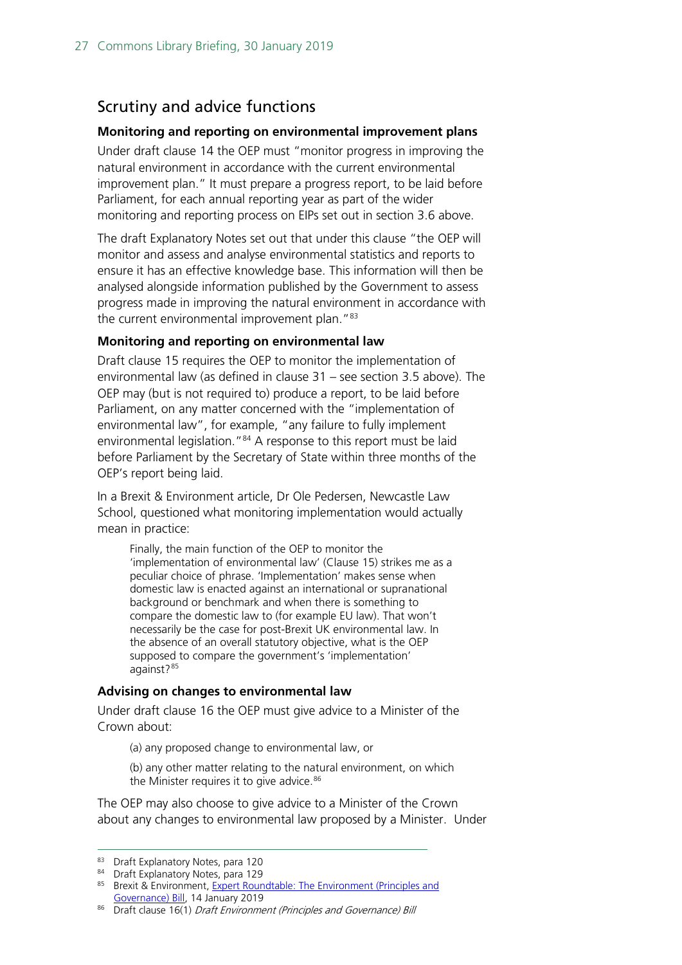## Scrutiny and advice functions

### **Monitoring and reporting on environmental improvement plans**

Under draft clause 14 the OEP must "monitor progress in improving the natural environment in accordance with the current environmental improvement plan." It must prepare a progress report, to be laid before Parliament, for each annual reporting year as part of the wider monitoring and reporting process on EIPs set out in section [3.6](#page-20-0) above.

The draft Explanatory Notes set out that under this clause "the OEP will monitor and assess and analyse environmental statistics and reports to ensure it has an effective knowledge base. This information will then be analysed alongside information published by the Government to assess progress made in improving the natural environment in accordance with the current environmental improvement plan."<sup>[83](#page-26-0)</sup>

### **Monitoring and reporting on environmental law**

Draft clause 15 requires the OEP to monitor the implementation of environmental law (as defined in clause 31 – see section [3.5](#page-18-1) above). The OEP may (but is not required to) produce a report, to be laid before Parliament, on any matter concerned with the "implementation of environmental law", for example, "any failure to fully implement environmental legislation."[84](#page-26-1) A response to this report must be laid before Parliament by the Secretary of State within three months of the OEP's report being laid.

In a Brexit & Environment article, Dr Ole Pedersen, Newcastle Law School, questioned what monitoring implementation would actually mean in practice:

Finally, the main function of the OEP to monitor the 'implementation of environmental law' (Clause 15) strikes me as a peculiar choice of phrase. 'Implementation' makes sense when domestic law is enacted against an international or supranational background or benchmark and when there is something to compare the domestic law to (for example EU law). That won't necessarily be the case for post-Brexit UK environmental law. In the absence of an overall statutory objective, what is the OEP supposed to compare the government's 'implementation' against?<sup>[85](#page-26-2)</sup>

### **Advising on changes to environmental law**

Under draft clause 16 the OEP must give advice to a Minister of the Crown about:

(a) any proposed change to environmental law, or

(b) any other matter relating to the natural environment, on which the Minister requires it to give advice.<sup>[86](#page-26-3)</sup>

The OEP may also choose to give advice to a Minister of the Crown about any changes to environmental law proposed by a Minister. Under

<span id="page-26-0"></span><sup>83</sup> Draft Explanatory Notes, para 120

<span id="page-26-1"></span><sup>84</sup> Draft Explanatory Notes, para 129

<span id="page-26-2"></span><sup>85</sup> Brexit & Environment, Expert Roundtable: The Environment (Principles and [Governance\) Bill,](https://www.brexitenvironment.co.uk/2019/01/14/expert-roundtable-environment-principles-and-governance-bill/) 14 January 2019

<span id="page-26-3"></span><sup>86</sup> Draft clause 16(1) Draft Environment (Principles and Governance) Bill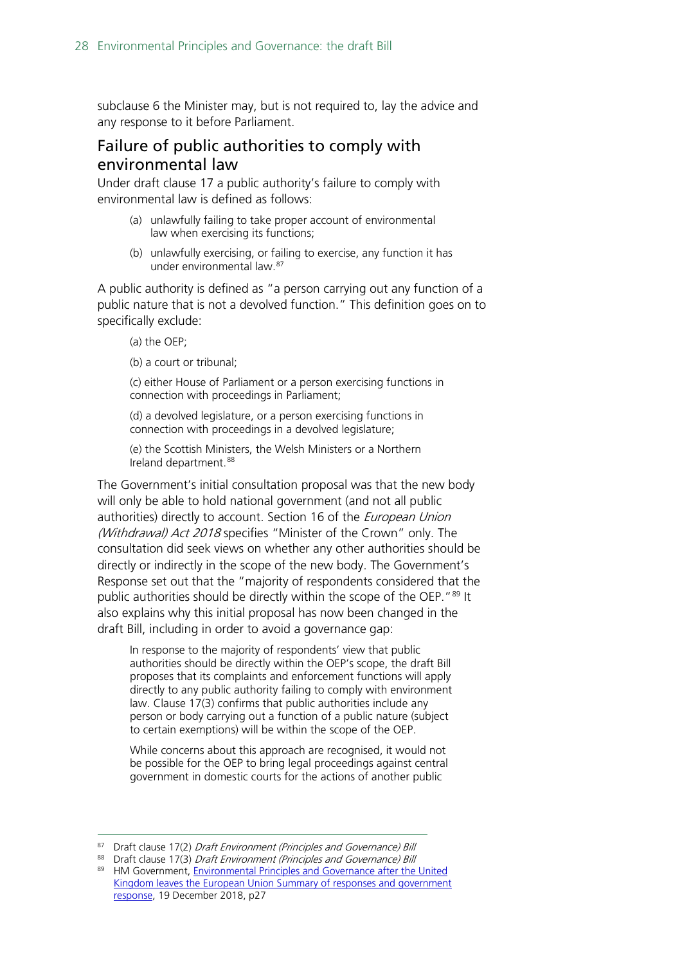subclause 6 the Minister may, but is not required to, lay the advice and any response to it before Parliament.

### <span id="page-27-0"></span>Failure of public authorities to comply with environmental law

Under draft clause 17 a public authority's failure to comply with environmental law is defined as follows:

- (a) unlawfully failing to take proper account of environmental law when exercising its functions;
- (b) unlawfully exercising, or failing to exercise, any function it has under environmental law.[87](#page-27-1)

A public authority is defined as "a person carrying out any function of a public nature that is not a devolved function." This definition goes on to specifically exclude:

(a) the OEP;

(b) a court or tribunal;

(c) either House of Parliament or a person exercising functions in connection with proceedings in Parliament;

(d) a devolved legislature, or a person exercising functions in connection with proceedings in a devolved legislature;

(e) the Scottish Ministers, the Welsh Ministers or a Northern Ireland department.<sup>[88](#page-27-2)</sup>

The Government's initial consultation proposal was that the new body will only be able to hold national government (and not all public authorities) directly to account. Section 16 of the *European Union* (Withdrawal) Act 2018 specifies "Minister of the Crown" only. The consultation did seek views on whether any other authorities should be directly or indirectly in the scope of the new body. The Government's Response set out that the "majority of respondents considered that the public authorities should be directly within the scope of the OEP."<sup>[89](#page-27-3)</sup> It also explains why this initial proposal has now been changed in the draft Bill, including in order to avoid a governance gap:

In response to the majority of respondents' view that public authorities should be directly within the OEP's scope, the draft Bill proposes that its complaints and enforcement functions will apply directly to any public authority failing to comply with environment law. Clause 17(3) confirms that public authorities include any person or body carrying out a function of a public nature (subject to certain exemptions) will be within the scope of the OEP.

While concerns about this approach are recognised, it would not be possible for the OEP to bring legal proceedings against central government in domestic courts for the actions of another public

<sup>87</sup> Draft clause 17(2) Draft Environment (Principles and Governance) Bill

<span id="page-27-2"></span><span id="page-27-1"></span><sup>88</sup> Draft clause 17(3) Draft Environment (Principles and Governance) Bill

<span id="page-27-3"></span><sup>89</sup> HM Government, Environmental Principles and Governance after the United [Kingdom leaves the European Union Summary of responses and government](https://assets.publishing.service.gov.uk/government/uploads/system/uploads/attachment_data/file/767284/env-principles-consult-sum-resp.pdf)  [response,](https://assets.publishing.service.gov.uk/government/uploads/system/uploads/attachment_data/file/767284/env-principles-consult-sum-resp.pdf) 19 December 2018, p27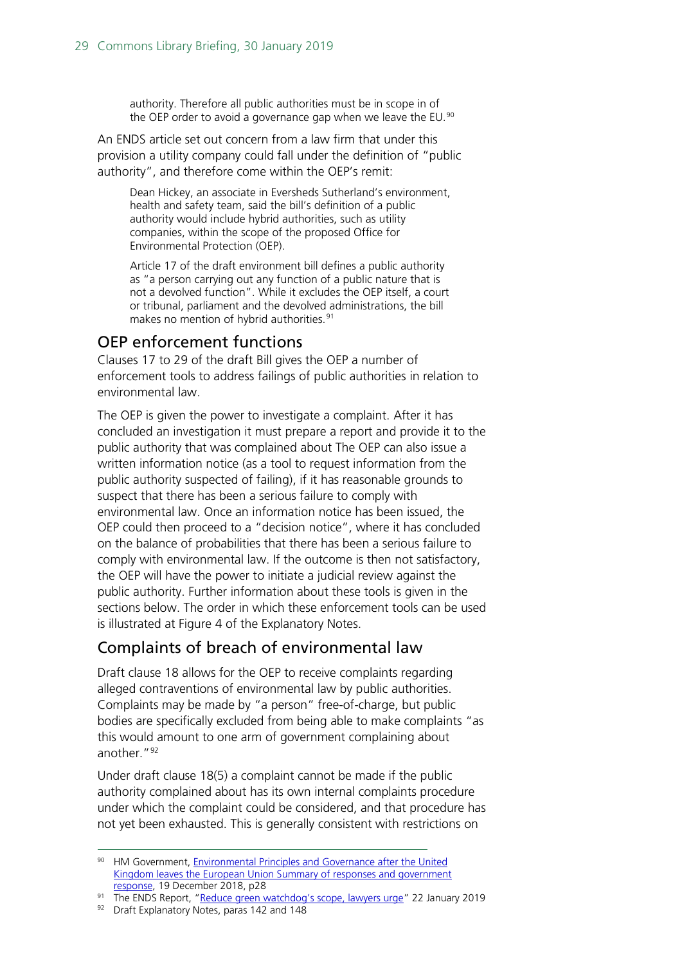authority. Therefore all public authorities must be in scope in of the OEP order to avoid a governance gap when we leave the EU.<sup>[90](#page-28-1)</sup>

An ENDS article set out concern from a law firm that under this provision a utility company could fall under the definition of "public authority", and therefore come within the OEP's remit:

Dean Hickey, an associate in Eversheds Sutherland's environment, health and safety team, said the bill's definition of a public authority would include hybrid authorities, such as utility companies, within the scope of the proposed Office for Environmental Protection (OEP).

Article 17 of the draft environment bill defines a public authority as "a person carrying out any function of a public nature that is not a devolved function". While it excludes the OEP itself, a court or tribunal, parliament and the devolved administrations, the bill makes no mention of hybrid authorities.<sup>[91](#page-28-2)</sup>

### <span id="page-28-0"></span>OEP enforcement functions

Clauses 17 to 29 of the draft Bill gives the OEP a number of enforcement tools to address failings of public authorities in relation to environmental law.

The OEP is given the power to investigate a complaint. After it has concluded an investigation it must prepare a report and provide it to the public authority that was complained about The OEP can also issue a written information notice (as a tool to request information from the public authority suspected of failing), if it has reasonable grounds to suspect that there has been a serious failure to comply with environmental law. Once an information notice has been issued, the OEP could then proceed to a "decision notice", where it has concluded on the balance of probabilities that there has been a serious failure to comply with environmental law. If the outcome is then not satisfactory, the OEP will have the power to initiate a judicial review against the public authority. Further information about these tools is given in the sections below. The order in which these enforcement tools can be used is illustrated at Figure 4 of the Explanatory Notes.

### Complaints of breach of environmental law

Draft clause 18 allows for the OEP to receive complaints regarding alleged contraventions of environmental law by public authorities. Complaints may be made by "a person" free-of-charge, but public bodies are specifically excluded from being able to make complaints "as this would amount to one arm of government complaining about another."<sup>92</sup>

Under draft clause 18(5) a complaint cannot be made if the public authority complained about has its own internal complaints procedure under which the complaint could be considered, and that procedure has not yet been exhausted. This is generally consistent with restrictions on

<span id="page-28-1"></span><sup>90</sup> HM Government, Environmental Principles and Governance after the United [Kingdom leaves the European Union Summary of responses and government](https://assets.publishing.service.gov.uk/government/uploads/system/uploads/attachment_data/file/767284/env-principles-consult-sum-resp.pdf)  [response,](https://assets.publishing.service.gov.uk/government/uploads/system/uploads/attachment_data/file/767284/env-principles-consult-sum-resp.pdf) 19 December 2018, p28

<span id="page-28-2"></span><sup>91</sup> The ENDS Report, ["Reduce green watchdog's scope, lawyers urge"](https://www.endsreport.com/article/61971/reduce-green-watchdogs-scope-lawyers-urge) 22 January 2019

<span id="page-28-3"></span><sup>92</sup> Draft Explanatory Notes, paras 142 and 148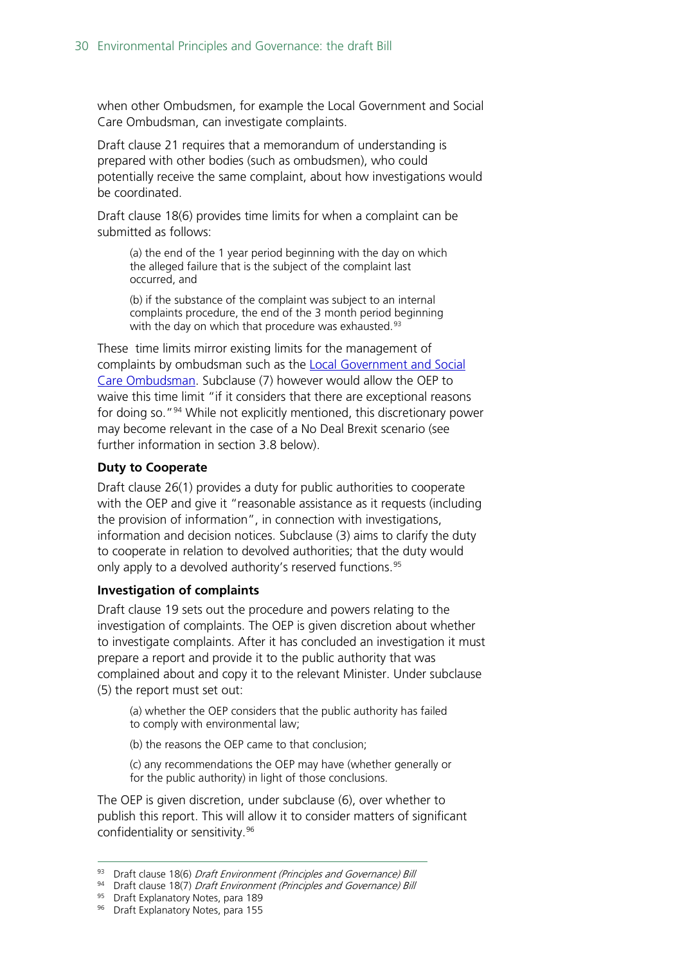when other Ombudsmen, for example the Local Government and Social Care Ombudsman, can investigate complaints.

Draft clause 21 requires that a memorandum of understanding is prepared with other bodies (such as ombudsmen), who could potentially receive the same complaint, about how investigations would be coordinated.

Draft clause 18(6) provides time limits for when a complaint can be submitted as follows:

(a) the end of the 1 year period beginning with the day on which the alleged failure that is the subject of the complaint last occurred, and

(b) if the substance of the complaint was subject to an internal complaints procedure, the end of the 3 month period beginning with the day on which that procedure was exhausted.<sup>[93](#page-29-0)</sup>

These time limits mirror existing limits for the management of complaints by ombudsman such as the [Local Government and Social](https://www.lgo.org.uk/make-a-complaint)  [Care Ombudsman.](https://www.lgo.org.uk/make-a-complaint) Subclause (7) however would allow the OEP to waive this time limit "if it considers that there are exceptional reasons for doing so."[94](#page-29-1) While not explicitly mentioned, this discretionary power may become relevant in the case of a No Deal Brexit scenario (see further information in section [3.8](#page-34-0) below).

### **Duty to Cooperate**

Draft clause 26(1) provides a duty for public authorities to cooperate with the OEP and give it "reasonable assistance as it requests (including the provision of information", in connection with investigations, information and decision notices. Subclause (3) aims to clarify the duty to cooperate in relation to devolved authorities; that the duty would only apply to a devolved authority's reserved functions.<sup>[95](#page-29-2)</sup>

### **Investigation of complaints**

Draft clause 19 sets out the procedure and powers relating to the investigation of complaints. The OEP is given discretion about whether to investigate complaints. After it has concluded an investigation it must prepare a report and provide it to the public authority that was complained about and copy it to the relevant Minister. Under subclause (5) the report must set out:

(a) whether the OEP considers that the public authority has failed to comply with environmental law;

(b) the reasons the OEP came to that conclusion;

(c) any recommendations the OEP may have (whether generally or for the public authority) in light of those conclusions.

The OEP is given discretion, under subclause (6), over whether to publish this report. This will allow it to consider matters of significant confidentiality or sensitivity.<sup>[96](#page-29-3)</sup>

<sup>93</sup> Draft clause 18(6) Draft Environment (Principles and Governance) Bill

<span id="page-29-1"></span><span id="page-29-0"></span><sup>94</sup> Draft clause 18(7) Draft Environment (Principles and Governance) Bill

<span id="page-29-2"></span><sup>95</sup> Draft Explanatory Notes, para 189

<span id="page-29-3"></span><sup>96</sup> Draft Explanatory Notes, para 155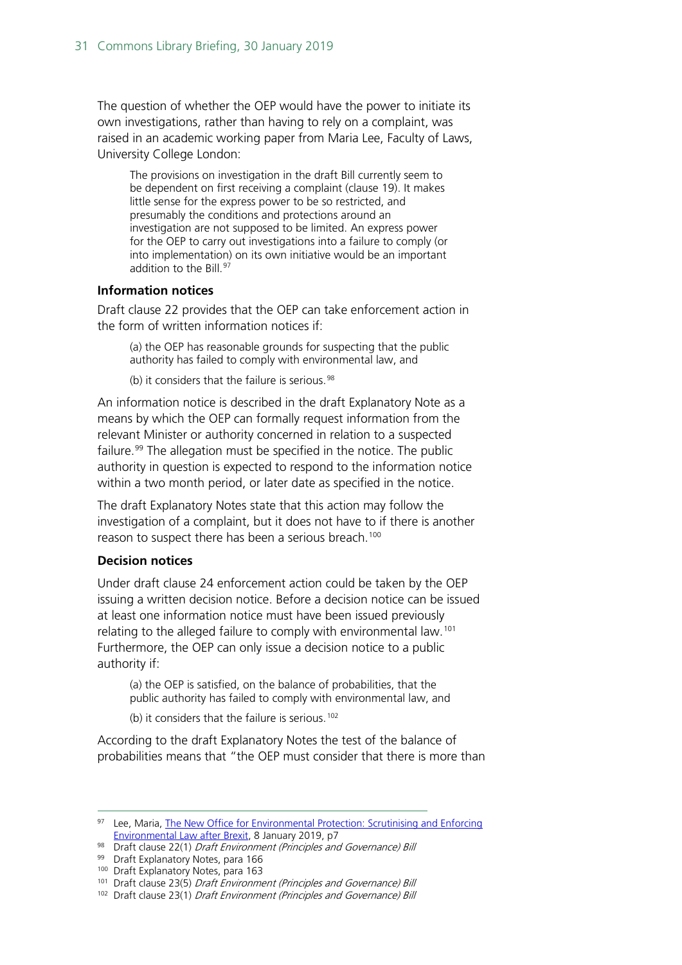The question of whether the OEP would have the power to initiate its own investigations, rather than having to rely on a complaint, was raised in an academic working paper from Maria Lee, Faculty of Laws, University College London:

The provisions on investigation in the draft Bill currently seem to be dependent on first receiving a complaint (clause 19). It makes little sense for the express power to be so restricted, and presumably the conditions and protections around an investigation are not supposed to be limited. An express power for the OEP to carry out investigations into a failure to comply (or into implementation) on its own initiative would be an important addition to the Bill.<sup>[97](#page-30-0)</sup>

#### **Information notices**

Draft clause 22 provides that the OEP can take enforcement action in the form of written information notices if:

(a) the OEP has reasonable grounds for suspecting that the public authority has failed to comply with environmental law, and

(b) it considers that the failure is serious. $98$ 

An information notice is described in the draft Explanatory Note as a means by which the OEP can formally request information from the relevant Minister or authority concerned in relation to a suspected failure.<sup>[99](#page-30-2)</sup> The allegation must be specified in the notice. The public authority in question is expected to respond to the information notice within a two month period, or later date as specified in the notice.

The draft Explanatory Notes state that this action may follow the investigation of a complaint, but it does not have to if there is another reason to suspect there has been a serious breach.<sup>[100](#page-30-3)</sup>

#### **Decision notices**

Under draft clause 24 enforcement action could be taken by the OEP issuing a written decision notice. Before a decision notice can be issued at least one information notice must have been issued previously relating to the alleged failure to comply with environmental law.<sup>[101](#page-30-4)</sup> Furthermore, the OEP can only issue a decision notice to a public authority if:

(a) the OEP is satisfied, on the balance of probabilities, that the public authority has failed to comply with environmental law, and

(b) it considers that the failure is serious.<sup>[102](#page-30-5)</sup>

According to the draft Explanatory Notes the test of the balance of probabilities means that "the OEP must consider that there is more than

<span id="page-30-0"></span><sup>97</sup> Lee, Maria, The New Office for Environmental Protection: Scrutinising and Enforcing [Environmental Law after Brexit,](https://papers.ssrn.com/sol3/papers.cfm?abstract_id=3312296) 8 January 2019, p7

<span id="page-30-1"></span><sup>98</sup> Draft clause 22(1) Draft Environment (Principles and Governance) Bill

<span id="page-30-2"></span><sup>99</sup> Draft Explanatory Notes, para 166

<span id="page-30-3"></span><sup>&</sup>lt;sup>100</sup> Draft Explanatory Notes, para 163

<span id="page-30-4"></span><sup>101</sup> Draft clause 23(5) Draft Environment (Principles and Governance) Bill

<span id="page-30-5"></span><sup>102</sup> Draft clause 23(1) Draft Environment (Principles and Governance) Bill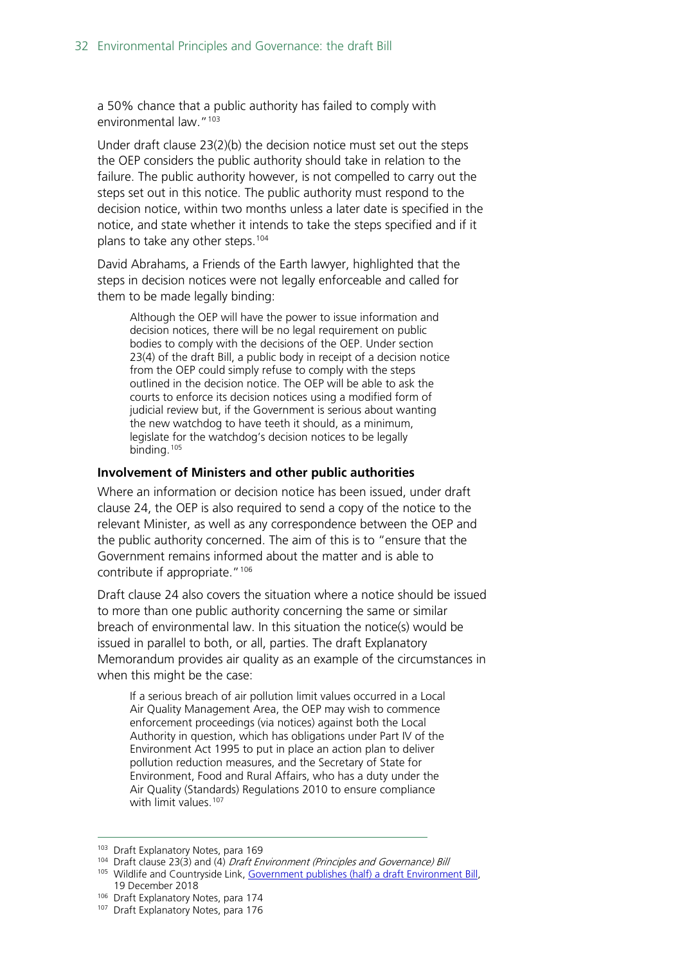a 50% chance that a public authority has failed to comply with environmental law."<sup>[103](#page-31-0)</sup>

Under draft clause 23(2)(b) the decision notice must set out the steps the OEP considers the public authority should take in relation to the failure. The public authority however, is not compelled to carry out the steps set out in this notice. The public authority must respond to the decision notice, within two months unless a later date is specified in the notice, and state whether it intends to take the steps specified and if it plans to take any other steps.<sup>[104](#page-31-1)</sup>

David Abrahams, a Friends of the Earth lawyer, highlighted that the steps in decision notices were not legally enforceable and called for them to be made legally binding:

Although the OEP will have the power to issue information and decision notices, there will be no legal requirement on public bodies to comply with the decisions of the OEP. Under section 23(4) of the draft Bill, a public body in receipt of a decision notice from the OEP could simply refuse to comply with the steps outlined in the decision notice. The OEP will be able to ask the courts to enforce its decision notices using a modified form of judicial review but, if the Government is serious about wanting the new watchdog to have teeth it should, as a minimum, legislate for the watchdog's decision notices to be legally binding.[105](#page-31-2)

#### **Involvement of Ministers and other public authorities**

Where an information or decision notice has been issued, under draft clause 24, the OEP is also required to send a copy of the notice to the relevant Minister, as well as any correspondence between the OEP and the public authority concerned. The aim of this is to "ensure that the Government remains informed about the matter and is able to contribute if appropriate."<sup>[106](#page-31-3)</sup>

Draft clause 24 also covers the situation where a notice should be issued to more than one public authority concerning the same or similar breach of environmental law. In this situation the notice(s) would be issued in parallel to both, or all, parties. The draft Explanatory Memorandum provides air quality as an example of the circumstances in when this might be the case:

If a serious breach of air pollution limit values occurred in a Local Air Quality Management Area, the OEP may wish to commence enforcement proceedings (via notices) against both the Local Authority in question, which has obligations under Part IV of the Environment Act 1995 to put in place an action plan to deliver pollution reduction measures, and the Secretary of State for Environment, Food and Rural Affairs, who has a duty under the Air Quality (Standards) Regulations 2010 to ensure compliance with limit values.<sup>[107](#page-31-4)</sup>

<span id="page-31-0"></span><sup>103</sup> Draft Explanatory Notes, para 169

<span id="page-31-1"></span><sup>104</sup> Draft clause 23(3) and (4) Draft Environment (Principles and Governance) Bill

<span id="page-31-2"></span><sup>105</sup> Wildlife and Countryside Link, Government publishes (half) a draft Environment Bill, 19 December 2018

<span id="page-31-4"></span><span id="page-31-3"></span><sup>106</sup> Draft Explanatory Notes, para 174

<sup>&</sup>lt;sup>107</sup> Draft Explanatory Notes, para 176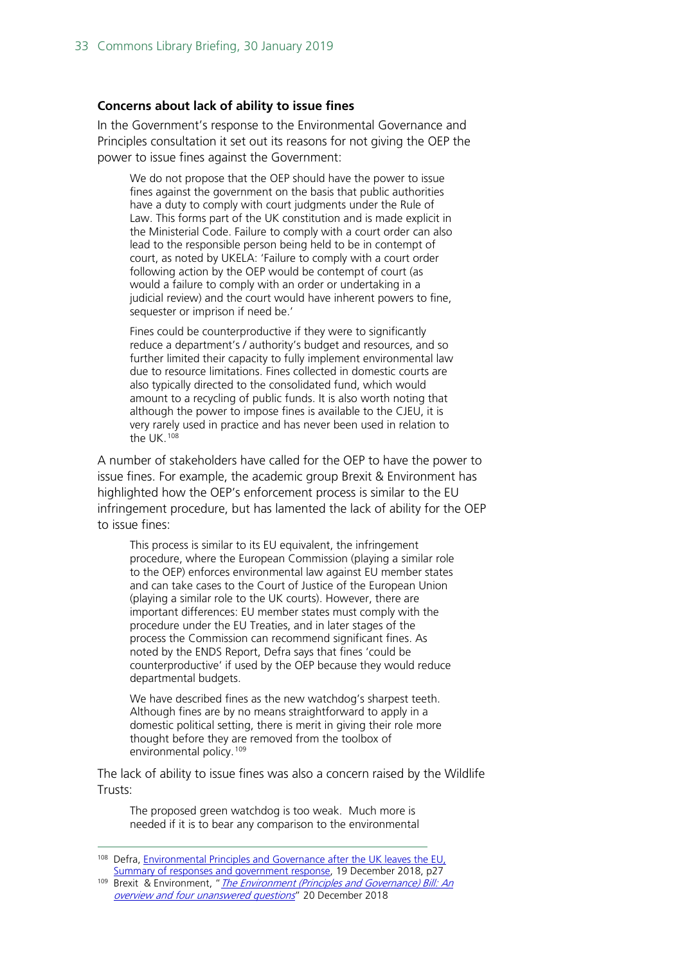#### **Concerns about lack of ability to issue fines**

In the Government's response to the Environmental Governance and Principles consultation it set out its reasons for not giving the OEP the power to issue fines against the Government:

We do not propose that the OEP should have the power to issue fines against the government on the basis that public authorities have a duty to comply with court judgments under the Rule of Law. This forms part of the UK constitution and is made explicit in the Ministerial Code. Failure to comply with a court order can also lead to the responsible person being held to be in contempt of court, as noted by UKELA: 'Failure to comply with a court order following action by the OEP would be contempt of court (as would a failure to comply with an order or undertaking in a judicial review) and the court would have inherent powers to fine, sequester or imprison if need be.'

Fines could be counterproductive if they were to significantly reduce a department's / authority's budget and resources, and so further limited their capacity to fully implement environmental law due to resource limitations. Fines collected in domestic courts are also typically directed to the consolidated fund, which would amount to a recycling of public funds. It is also worth noting that although the power to impose fines is available to the CJEU, it is very rarely used in practice and has never been used in relation to the UK.[108](#page-32-0)

A number of stakeholders have called for the OEP to have the power to issue fines. For example, the academic group Brexit & Environment has highlighted how the OEP's enforcement process is similar to the EU infringement procedure, but has lamented the lack of ability for the OEP to issue fines:

This process is similar to its EU equivalent, the infringement procedure, where the European Commission (playing a similar role to the OEP) enforces environmental law against EU member states and can take cases to the Court of Justice of the European Union (playing a similar role to the UK courts). However, there are important differences: EU member states must comply with the procedure under the EU Treaties, and in later stages of the process the Commission can recommend significant fines. As noted by the ENDS Report, Defra says that fines 'could be counterproductive' if used by the OEP because they would reduce departmental budgets.

We have described fines as the new watchdog's sharpest teeth. Although fines are by no means straightforward to apply in a domestic political setting, there is merit in giving their role more thought before they are removed from the toolbox of environmental policy.<sup>[109](#page-32-1)</sup>

The lack of ability to issue fines was also a concern raised by the Wildlife Trusts:

The proposed green watchdog is too weak. Much more is needed if it is to bear any comparison to the environmental

<span id="page-32-0"></span> <sup>108</sup> Defra, Environmental Principles [and Governance after the UK leaves the EU,](https://assets.publishing.service.gov.uk/government/uploads/system/uploads/attachment_data/file/767284/env-principles-consult-sum-resp.pdf)  [Summary of responses and government response,](https://assets.publishing.service.gov.uk/government/uploads/system/uploads/attachment_data/file/767284/env-principles-consult-sum-resp.pdf) 19 December 2018, p27

<span id="page-32-1"></span><sup>109</sup> Brexit & Environment, " The Environment (Principles and Governance) Bill: An [overview and four unanswered questions](https://www.brexitenvironment.co.uk/2018/12/20/environment-principles-and-governance-bill/)" 20 December 2018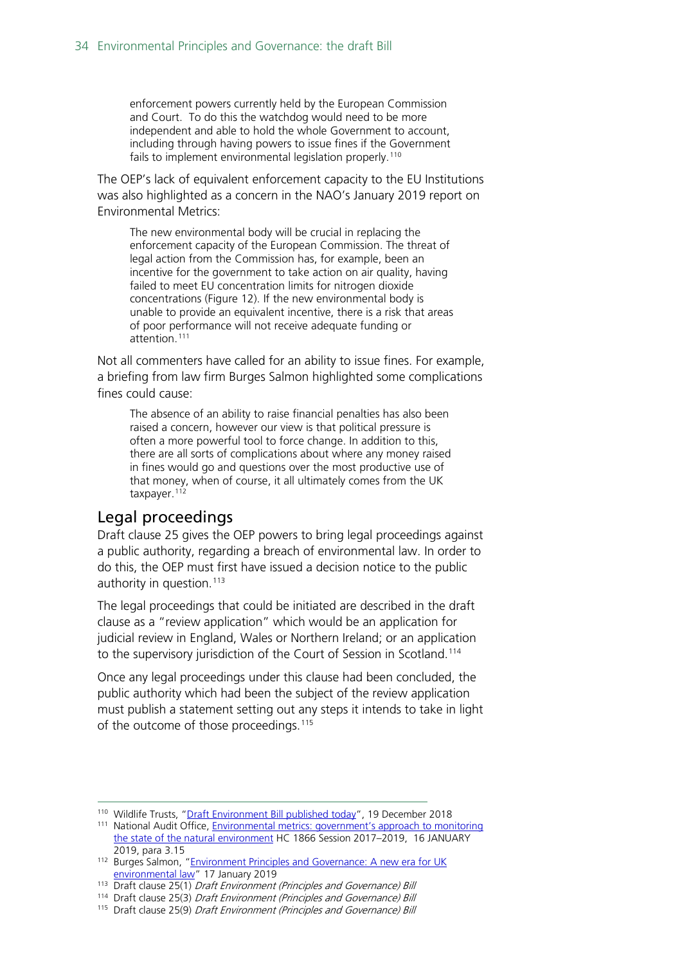enforcement powers currently held by the European Commission and Court. To do this the watchdog would need to be more independent and able to hold the whole Government to account, including through having powers to issue fines if the Government fails to implement environmental legislation properly.<sup>[110](#page-33-1)</sup>

The OEP's lack of equivalent enforcement capacity to the EU Institutions was also highlighted as a concern in the NAO's January 2019 report on Environmental Metrics:

The new environmental body will be crucial in replacing the enforcement capacity of the European Commission. The threat of legal action from the Commission has, for example, been an incentive for the government to take action on air quality, having failed to meet EU concentration limits for nitrogen dioxide concentrations (Figure 12). If the new environmental body is unable to provide an equivalent incentive, there is a risk that areas of poor performance will not receive adequate funding or attention.[111](#page-33-2)

Not all commenters have called for an ability to issue fines. For example, a briefing from law firm Burges Salmon highlighted some complications fines could cause:

The absence of an ability to raise financial penalties has also been raised a concern, however our view is that political pressure is often a more powerful tool to force change. In addition to this, there are all sorts of complications about where any money raised in fines would go and questions over the most productive use of that money, when of course, it all ultimately comes from the UK taxpayer.<sup>[112](#page-33-3)</sup>

### <span id="page-33-0"></span>Legal proceedings

Draft clause 25 gives the OEP powers to bring legal proceedings against a public authority, regarding a breach of environmental law. In order to do this, the OEP must first have issued a decision notice to the public authority in question.<sup>[113](#page-33-4)</sup>

The legal proceedings that could be initiated are described in the draft clause as a "review application" which would be an application for judicial review in England, Wales or Northern Ireland; or an application to the supervisory jurisdiction of the Court of Session in Scotland. [114](#page-33-5)

Once any legal proceedings under this clause had been concluded, the public authority which had been the subject of the review application must publish a statement setting out any steps it intends to take in light of the outcome of those proceedings.<sup>[115](#page-33-6)</sup>

<span id="page-33-1"></span><sup>110</sup> Wildlife Trusts, ["Draft Environment Bill published today"](https://www.wildlifetrusts.org/news/draft-environment-bill-published-today), 19 December 2018

<span id="page-33-2"></span><sup>&</sup>lt;sup>111</sup> National Audit Office, **Environmental metrics: government's approach to monitoring** [the state of the natural environment](https://www.nao.org.uk/wp-content/uploads/2019/01/Environmental-metrics-governments-approach-to-monitoring-the-state-of-the-natural-environment.pdf) HC 1866 Session 2017–2019, 16 JANUARY 2019, para 3.15

<span id="page-33-3"></span><sup>112</sup> Burges Salmon, "Environment Principles and Governance: A new era for UK [environmental law"](https://www.burges-salmon.com/news-and-insight/legal-updates/environmental-principles-and-governance-a-new-era-for-uk-environmental-law/) 17 January 2019

<span id="page-33-4"></span><sup>&</sup>lt;sup>113</sup> Draft clause 25(1) Draft Environment (Principles and Governance) Bill

<span id="page-33-5"></span><sup>114</sup> Draft clause 25(3) Draft Environment (Principles and Governance) Bill

<span id="page-33-6"></span><sup>115</sup> Draft clause 25(9) Draft Environment (Principles and Governance) Bill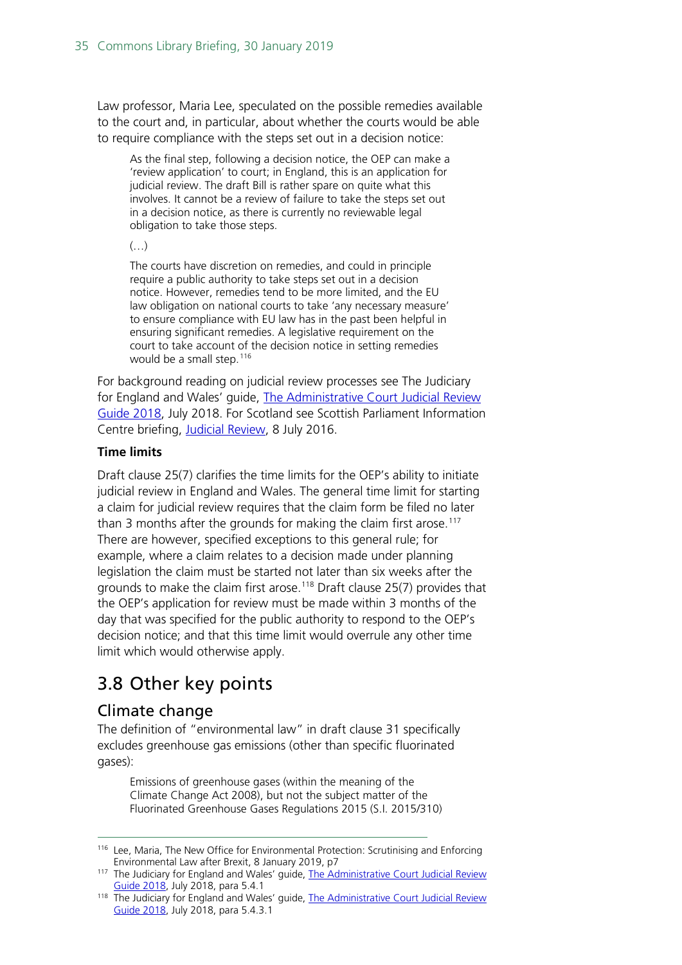Law professor, Maria Lee, speculated on the possible remedies available to the court and, in particular, about whether the courts would be able to require compliance with the steps set out in a decision notice:

As the final step, following a decision notice, the OEP can make a 'review application' to court; in England, this is an application for judicial review. The draft Bill is rather spare on quite what this involves. It cannot be a review of failure to take the steps set out in a decision notice, as there is currently no reviewable legal obligation to take those steps.

 $(\ldots)$ 

The courts have discretion on remedies, and could in principle require a public authority to take steps set out in a decision notice. However, remedies tend to be more limited, and the EU law obligation on national courts to take 'any necessary measure' to ensure compliance with EU law has in the past been helpful in ensuring significant remedies. A legislative requirement on the court to take account of the decision notice in setting remedies would be a small step.<sup>[116](#page-34-2)</sup>

For background reading on judicial review processes see The Judiciary for England and Wales' guide, [The Administrative Court Judicial Review](https://assets.publishing.service.gov.uk/government/uploads/system/uploads/attachment_data/file/727626/Admin_Court_JRG_2018_content_v3_web.pdf)  [Guide 2018,](https://assets.publishing.service.gov.uk/government/uploads/system/uploads/attachment_data/file/727626/Admin_Court_JRG_2018_content_v3_web.pdf) July 2018. For Scotland see Scottish Parliament Information Centre briefing, **Judicial Review**, 8 July 2016.

### **Time limits**

Draft clause 25(7) clarifies the time limits for the OEP's ability to initiate judicial review in England and Wales. The general time limit for starting a claim for judicial review requires that the claim form be filed no later than 3 months after the grounds for making the claim first arose.<sup>[117](#page-34-3)</sup> There are however, specified exceptions to this general rule; for example, where a claim relates to a decision made under planning legislation the claim must be started not later than six weeks after the grounds to make the claim first arose.<sup>118</sup> Draft clause 25(7) provides that the OEP's application for review must be made within 3 months of the day that was specified for the public authority to respond to the OEP's decision notice; and that this time limit would overrule any other time limit which would otherwise apply.

# <span id="page-34-0"></span>3.8 Other key points

### <span id="page-34-1"></span>Climate change

The definition of "environmental law" in draft clause 31 specifically excludes greenhouse gas emissions (other than specific fluorinated gases):

Emissions of greenhouse gases (within the meaning of the Climate Change Act 2008), but not the subject matter of the Fluorinated Greenhouse Gases Regulations 2015 (S.I. 2015/310)

<span id="page-34-2"></span><sup>&</sup>lt;sup>116</sup> Lee, Maria, The New Office for Environmental Protection: Scrutinising and Enforcing Environmental Law after Brexit, 8 January 2019, p7

<span id="page-34-3"></span><sup>&</sup>lt;sup>117</sup> The Judiciary for England and Wales' guide, The Administrative Court Judicial Review [Guide 2018,](https://assets.publishing.service.gov.uk/government/uploads/system/uploads/attachment_data/file/727626/Admin_Court_JRG_2018_content_v3_web.pdf) July 2018, para 5.4.1

<span id="page-34-4"></span><sup>&</sup>lt;sup>118</sup> The Judiciary for England and Wales' guide, The Administrative Court Judicial Review [Guide 2018,](https://assets.publishing.service.gov.uk/government/uploads/system/uploads/attachment_data/file/727626/Admin_Court_JRG_2018_content_v3_web.pdf) July 2018, para 5.4.3.1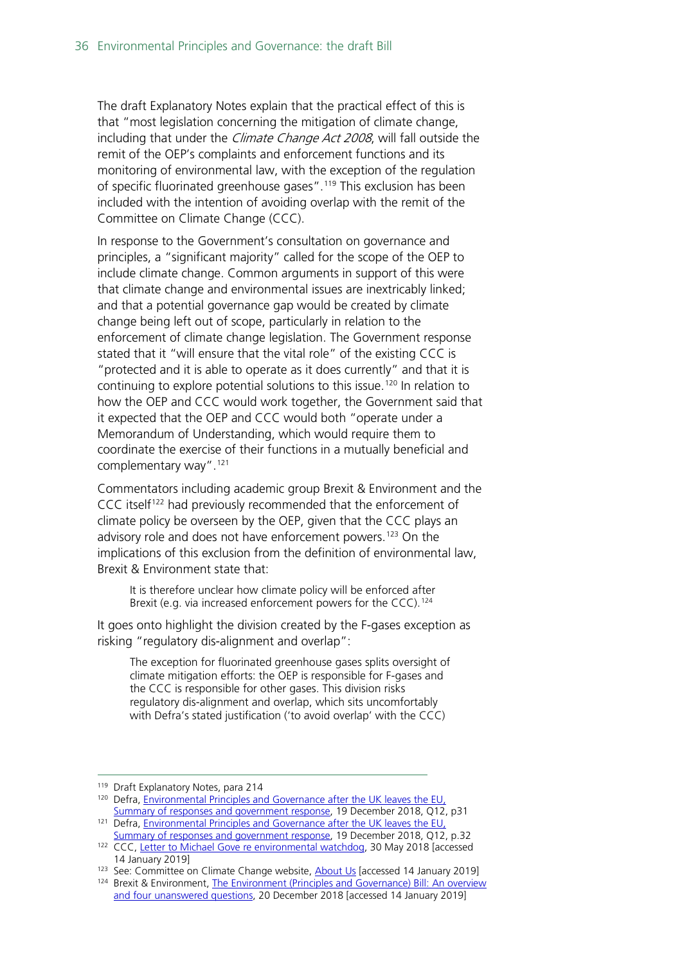The draft Explanatory Notes explain that the practical effect of this is that "most legislation concerning the mitigation of climate change, including that under the *Climate Change Act 2008*, will fall outside the remit of the OEP's complaints and enforcement functions and its monitoring of environmental law, with the exception of the regulation of specific fluorinated greenhouse gases".<sup>[119](#page-35-0)</sup> This exclusion has been included with the intention of avoiding overlap with the remit of the Committee on Climate Change (CCC).

In response to the Government's consultation on governance and principles, a "significant majority" called for the scope of the OEP to include climate change. Common arguments in support of this were that climate change and environmental issues are inextricably linked; and that a potential governance gap would be created by climate change being left out of scope, particularly in relation to the enforcement of climate change legislation. The Government response stated that it "will ensure that the vital role" of the existing CCC is "protected and it is able to operate as it does currently" and that it is continuing to explore potential solutions to this issue. [120](#page-35-1) In relation to how the OEP and CCC would work together, the Government said that it expected that the OEP and CCC would both "operate under a Memorandum of Understanding, which would require them to coordinate the exercise of their functions in a mutually beneficial and complementary way"[.121](#page-35-2)

Commentators including academic group Brexit & Environment and the CCC itself<sup>[122](#page-35-3)</sup> had previously recommended that the enforcement of climate policy be overseen by the OEP, given that the CCC plays an advisory role and does not have enforcement powers.<sup>[123](#page-35-4)</sup> On the implications of this exclusion from the definition of environmental law, Brexit & Environment state that:

It is therefore unclear how climate policy will be enforced after Brexit (e.g. via increased enforcement powers for the CCC).<sup>[124](#page-35-5)</sup>

It goes onto highlight the division created by the F-gases exception as risking "regulatory dis-alignment and overlap":

The exception for fluorinated greenhouse gases splits oversight of climate mitigation efforts: the OEP is responsible for F-gases and the CCC is responsible for other gases. This division risks regulatory dis-alignment and overlap, which sits uncomfortably with Defra's stated justification ('to avoid overlap' with the CCC)

<span id="page-35-1"></span><span id="page-35-0"></span><sup>&</sup>lt;sup>119</sup> Draft Explanatory Notes, para 214

<sup>&</sup>lt;sup>120</sup> Defra, Environmental Principles and Governance after the UK leaves the EU, [Summary of responses and government response,](https://assets.publishing.service.gov.uk/government/uploads/system/uploads/attachment_data/file/767284/env-principles-consult-sum-resp.pdf) 19 December 2018, Q12, p31

<span id="page-35-2"></span><sup>&</sup>lt;sup>121</sup> Defra, *Environmental Principles and Governance after the UK leaves the EU*, [Summary of responses and government response,](https://assets.publishing.service.gov.uk/government/uploads/system/uploads/attachment_data/file/767284/env-principles-consult-sum-resp.pdf) 19 December 2018, Q12, p.32

<span id="page-35-3"></span><sup>&</sup>lt;sup>122</sup> CCC, [Letter to Michael Gove re environmental watchdog,](https://www.theccc.org.uk/wp-content/uploads/2018/06/Letter-CCC-to-Michael-Gove-Environmental-Watchdog.pdf) 30 May 2018 [accessed 14 January 2019]

<span id="page-35-4"></span><sup>123</sup> See: Committee on Climate Change website, [About Us](https://www.theccc.org.uk/about/) [accessed 14 January 2019]

<span id="page-35-5"></span><sup>124</sup> Brexit & Environment, [The Environment \(Principles and Governance\) Bill: An](https://www.brexitenvironment.co.uk/2018/12/20/environment-principles-and-governance-bill/) overview [and four unanswered questions,](https://www.brexitenvironment.co.uk/2018/12/20/environment-principles-and-governance-bill/) 20 December 2018 [accessed 14 January 2019]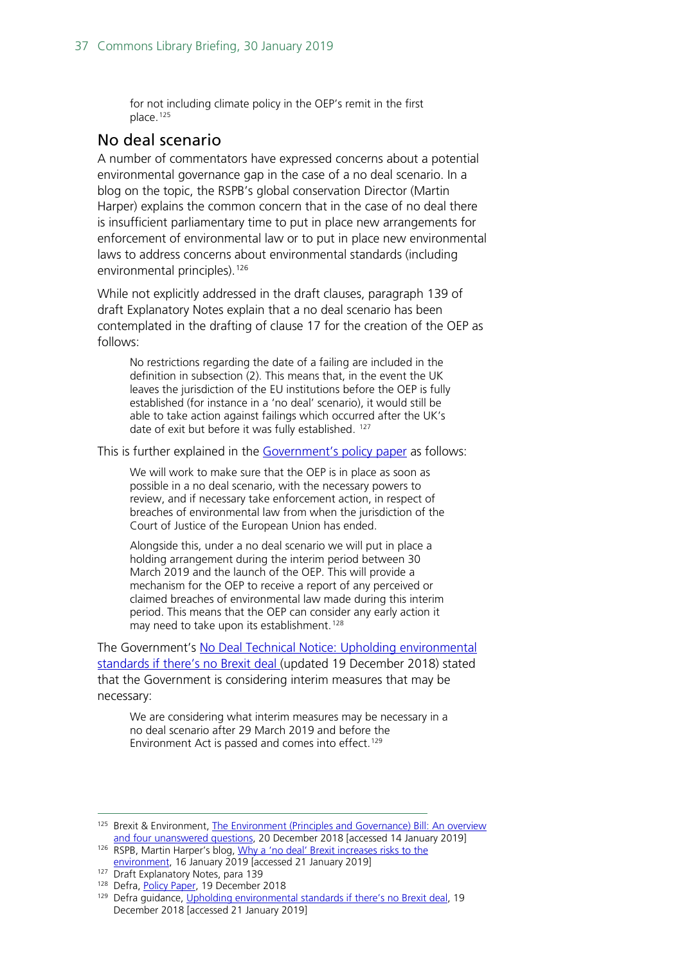for not including climate policy in the OEP's remit in the first place.[125](#page-36-1)

### <span id="page-36-0"></span>No deal scenario

A number of commentators have expressed concerns about a potential environmental governance gap in the case of a no deal scenario. In a blog on the topic, the RSPB's global conservation Director (Martin Harper) explains the common concern that in the case of no deal there is insufficient parliamentary time to put in place new arrangements for enforcement of environmental law or to put in place new environmental laws to address concerns about environmental standards (including environmental principles). [126](#page-36-2)

While not explicitly addressed in the draft clauses, paragraph 139 of draft Explanatory Notes explain that a no deal scenario has been contemplated in the drafting of clause 17 for the creation of the OEP as follows:

No restrictions regarding the date of a failing are included in the definition in subsection (2). This means that, in the event the UK leaves the jurisdiction of the EU institutions before the OEP is fully established (for instance in a 'no deal' scenario), it would still be able to take action against failings which occurred after the UK's date of exit but before it was fully established. <sup>[127](#page-36-3)</sup>

This is further explained in the [Government's policy paper](https://www.gov.uk/government/publications/draft-environment-principles-and-governance-bill-2018/environment-bill-policy-paper) as follows:

We will work to make sure that the OEP is in place as soon as possible in a no deal scenario, with the necessary powers to review, and if necessary take enforcement action, in respect of breaches of environmental law from when the jurisdiction of the Court of Justice of the European Union has ended.

Alongside this, under a no deal scenario we will put in place a holding arrangement during the interim period between 30 March 2019 and the launch of the OEP. This will provide a mechanism for the OEP to receive a report of any perceived or claimed breaches of environmental law made during this interim period. This means that the OEP can consider any early action it may need to take upon its establishment.<sup>[128](#page-36-4)</sup>

The Government's [No Deal Technical Notice: Upholding environmental](https://www.gov.uk/government/publications/upholding-environmental-standards-if-theres-no-brexit-deal/upholding-environmental-standards-if-theres-no-brexit-deal)  [standards if there's no Brexit deal \(](https://www.gov.uk/government/publications/upholding-environmental-standards-if-theres-no-brexit-deal/upholding-environmental-standards-if-theres-no-brexit-deal)updated 19 December 2018) stated that the Government is considering interim measures that may be necessary:

We are considering what interim measures may be necessary in a no deal scenario after 29 March 2019 and before the Environment Act is passed and comes into effect.<sup>[129](#page-36-5)</sup>

<span id="page-36-1"></span><sup>125</sup> Brexit & Environment, [The Environment \(Principles and Governance\) Bill: An](https://www.brexitenvironment.co.uk/2018/12/20/environment-principles-and-governance-bill/) overview [and four unanswered questions,](https://www.brexitenvironment.co.uk/2018/12/20/environment-principles-and-governance-bill/) 20 December 2018 [accessed 14 January 2019] 126 RSPB, Martin Harper's blog, [Why a 'no deal' Brexit increases risks to the](https://community.rspb.org.uk/ourwork/b/martinharper/posts/why-a-no-deal-brexit-increases-risks-to-the-environment) 

<span id="page-36-2"></span>[environment,](https://community.rspb.org.uk/ourwork/b/martinharper/posts/why-a-no-deal-brexit-increases-risks-to-the-environment) 16 January 2019 [accessed 21 January 2019]

<span id="page-36-3"></span><sup>127</sup> Draft Explanatory Notes, para 139

<span id="page-36-4"></span><sup>&</sup>lt;sup>128</sup> Defra, [Policy Paper,](https://www.gov.uk/government/publications/draft-environment-principles-and-governance-bill-2018/environment-bill-policy-paper) 19 December 2018

<span id="page-36-5"></span><sup>&</sup>lt;sup>129</sup> Defra guidance, [Upholding environmental standards if there's no Brexit deal,](https://www.gov.uk/government/publications/upholding-environmental-standards-if-theres-no-brexit-deal/upholding-environmental-standards-if-theres-no-brexit-deal) 19 December 2018 [accessed 21 January 2019]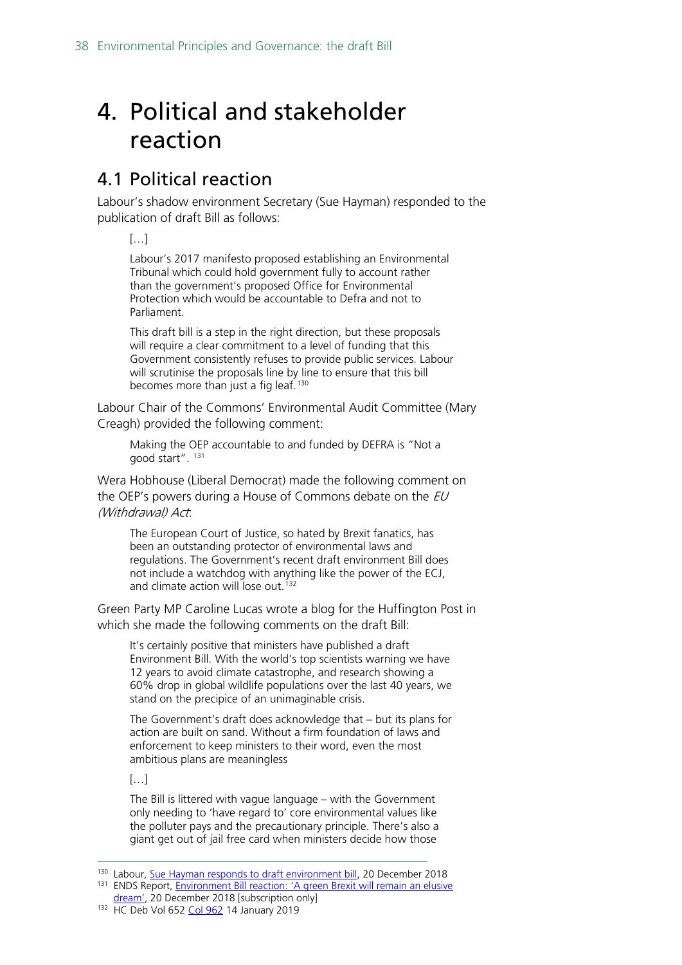# <span id="page-37-0"></span>4. Political and stakeholder reaction

# <span id="page-37-1"></span>4.1 Political reaction

Labour's shadow environment Secretary (Sue Hayman) responded to the publication of draft Bill as follows:

[…]

Labour's 2017 manifesto proposed establishing an Environmental Tribunal which could hold government fully to account rather than the government's proposed Office for Environmental Protection which would be accountable to Defra and not to Parliament.

This draft bill is a step in the right direction, but these proposals will require a clear commitment to a level of funding that this Government consistently refuses to provide public services. Labour will scrutinise the proposals line by line to ensure that this bill becomes more than just a fig leaf.<sup>[130](#page-37-2)</sup>

Labour Chair of the Commons' Environmental Audit Committee (Mary Creagh) provided the following comment:

Making the OEP accountable to and funded by DEFRA is "Not a good start". [131](#page-37-3)

Wera Hobhouse (Liberal Democrat) made the following comment on the OEP's powers during a House of Commons debate on the  $EU$ (Withdrawal) Act:

The European Court of Justice, so hated by Brexit fanatics, has been an outstanding protector of environmental laws and regulations. The Government's recent draft environment Bill does not include a watchdog with anything like the power of the ECJ, and climate action will lose out.<sup>[132](#page-37-4)</sup>

Green Party MP Caroline Lucas wrote a blog for the Huffington Post in which she made the following comments on the draft Bill:

It's certainly positive that ministers have published a draft Environment Bill. With the world's top scientists warning we have 12 years to avoid climate catastrophe, and research showing a 60% drop in global wildlife populations over the last 40 years, we stand on the precipice of an unimaginable crisis.

The Government's draft does acknowledge that – but its plans for action are built on sand. Without a firm foundation of laws and enforcement to keep ministers to their word, even the most ambitious plans are meaningless

 $[...]$ 

The Bill is littered with vague language – with the Government only needing to 'have regard to' core environmental values like the polluter pays and the precautionary principle. There's also a giant get out of jail free card when ministers decide how those

<span id="page-37-3"></span><span id="page-37-2"></span><sup>&</sup>lt;sup>130</sup> Labour, <u>Sue Hayman responds to draft environment bill</u>, 20 December 2018<br><sup>131</sup> ENDS Report, <u>Environment Bill reaction: 'A green Brexit will remain an elusive</u><br>dream', 20 December 2018 [subscription only]

<span id="page-37-4"></span><sup>132</sup> HC Deb Vol 652 [Col 962](http://bit.ly/2RPuE21) 14 January 2019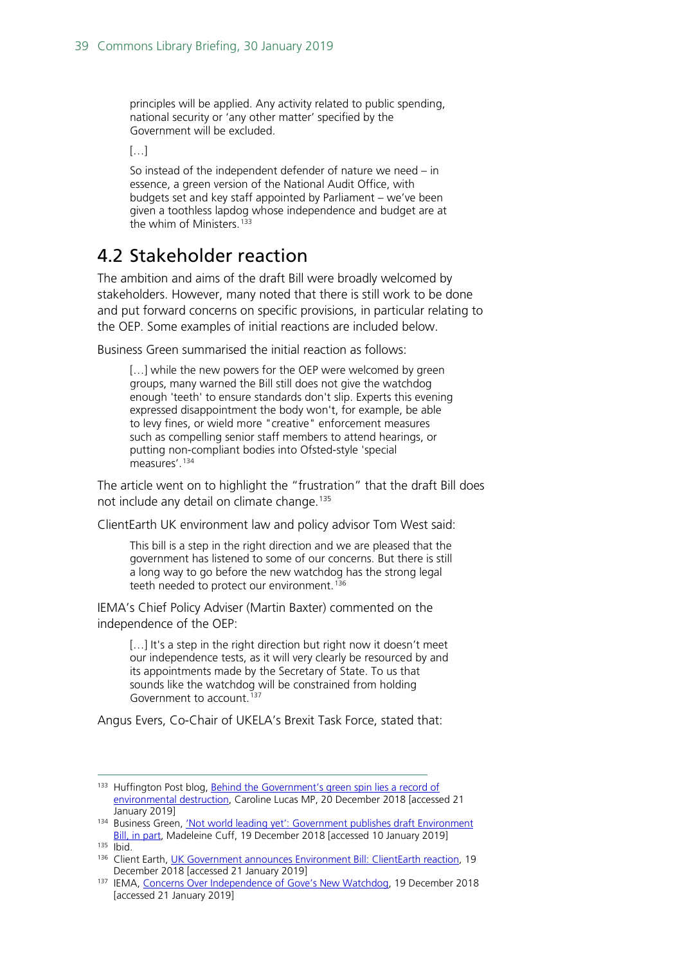principles will be applied. Any activity related to public spending, national security or 'any other matter' specified by the Government will be excluded.

 $[...]$ 

So instead of the independent defender of nature we need – in essence, a green version of the National Audit Office, with budgets set and key staff appointed by Parliament – we've been given a toothless lapdog whose independence and budget are at the whim of Ministers.<sup>[133](#page-38-1)</sup>

# <span id="page-38-0"></span>4.2 Stakeholder reaction

The ambition and aims of the draft Bill were broadly welcomed by stakeholders. However, many noted that there is still work to be done and put forward concerns on specific provisions, in particular relating to the OEP. Some examples of initial reactions are included below.

Business Green summarised the initial reaction as follows:

[...] while the new powers for the OEP were welcomed by green groups, many warned the Bill still does not give the watchdog enough 'teeth' to ensure standards don't slip. Experts this evening expressed disappointment the body won't, for example, be able to levy fines, or wield more "creative" enforcement measures such as compelling senior staff members to attend hearings, or putting non-compliant bodies into Ofsted-style 'special measures'.[134](#page-38-2)

The article went on to highlight the "frustration" that the draft Bill does not include any detail on climate change.<sup>[135](#page-38-3)</sup>

ClientEarth UK environment law and policy advisor Tom West said:

This bill is a step in the right direction and we are pleased that the government has listened to some of our concerns. But there is still a long way to go before the new watchdog has the strong legal teeth needed to protect our environment.<sup>[136](#page-38-4)</sup>

IEMA's Chief Policy Adviser (Martin Baxter) commented on the independence of the OEP:

[...] It's a step in the right direction but right now it doesn't meet our independence tests, as it will very clearly be resourced by and its appointments made by the Secretary of State. To us that sounds like the watchdog will be constrained from holding Government to account.<sup>[137](#page-38-5)</sup>

Angus Evers, Co-Chair of UKELA's Brexit Task Force, stated that:

<span id="page-38-2"></span>134 Business Green, 'Not world leading yet': Government publishes draft Environment [Bill, in part,](https://www.businessgreen.com/bg/news/3068534/not-world-leading-yet-government-publishes-draft-environment-bill-in-part) Madeleine Cuff, 19 December 2018 [accessed 10 January 2019]

<span id="page-38-1"></span><sup>&</sup>lt;sup>133</sup> Huffington Post blog, Behind the Government's green spin lies a record of [environmental destruction,](https://www.huffingtonpost.co.uk/entry/environment_uk_5c1bc1ebe4b05c88b6f5f8d6?skk&guccounter=1&guce_referrer_us=aHR0cHM6Ly90LmNvL1FZeUliM0IxWXI&guce_referrer_cs=Qv6B_RCqJwoGFguA8hZV3A) Caroline Lucas MP, 20 December 2018 [accessed 21 January 2019]

<span id="page-38-3"></span> $135$  Ibid.

<span id="page-38-4"></span><sup>&</sup>lt;sup>136</sup> Client Earth, [UK Government announces Environment Bill: ClientEarth reaction,](https://www.clientearth.org/uk-government-announces-environment-bill-clientearth-reaction/) 19

<span id="page-38-5"></span>December 2018 [accessed 21 January 2019]<br><sup>137</sup> IEMA, [Concerns Over Independence of Gove's New Watchdog,](https://www.iema.net/resources/news/2018/12/19/concerns-over-independence-of-gove%E2%80%99s-new-watchdog/) 19 December 2018 [accessed 21 January 2019]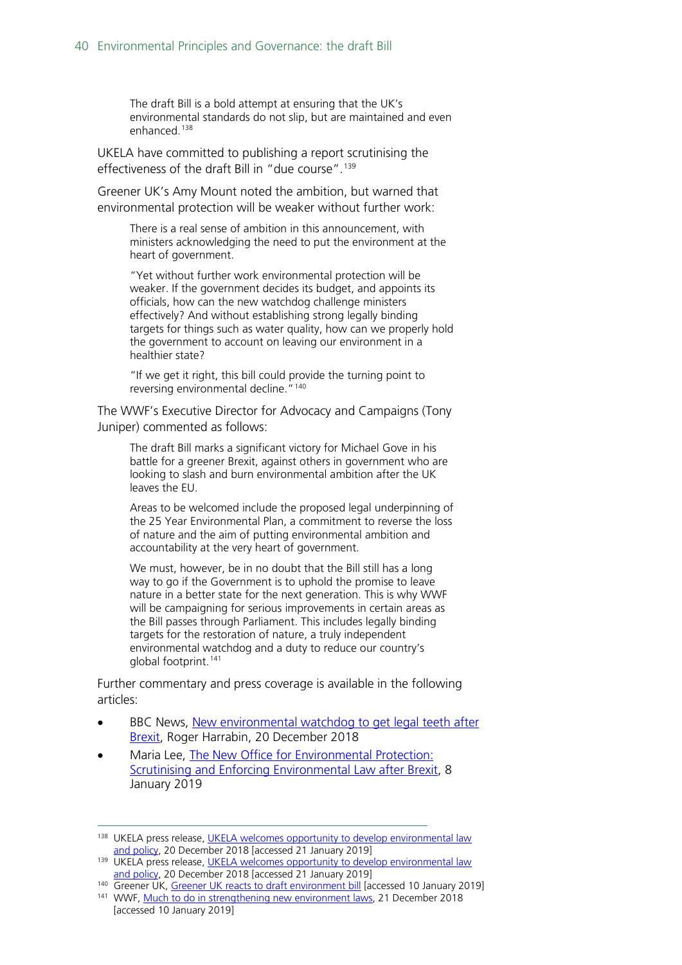The draft Bill is a bold attempt at ensuring that the UK's environmental standards do not slip, but are maintained and even enhanced. [138](#page-39-0)

UKELA have committed to publishing a report scrutinising the effectiveness of the draft Bill in "due course". [139](#page-39-1)

Greener UK's Amy Mount noted the ambition, but warned that environmental protection will be weaker without further work:

There is a real sense of ambition in this announcement, with ministers acknowledging the need to put the environment at the heart of government.

"Yet without further work environmental protection will be weaker. If the government decides its budget, and appoints its officials, how can the new watchdog challenge ministers effectively? And without establishing strong legally binding targets for things such as water quality, how can we properly hold the government to account on leaving our environment in a healthier state?

"If we get it right, this bill could provide the turning point to reversing environmental decline.<sup>"[140](#page-39-2)</sup>

The WWF's Executive Director for Advocacy and Campaigns (Tony Juniper) commented as follows:

The draft Bill marks a significant victory for Michael Gove in his battle for a greener Brexit, against others in government who are looking to slash and burn environmental ambition after the UK leaves the EU.

Areas to be welcomed include the proposed legal underpinning of the 25 Year Environmental Plan, a commitment to reverse the loss of nature and the aim of putting environmental ambition and accountability at the very heart of government.

We must, however, be in no doubt that the Bill still has a long way to go if the Government is to uphold the promise to leave nature in a better state for the next generation. This is why WWF will be campaigning for serious improvements in certain areas as the Bill passes through Parliament. This includes legally binding targets for the restoration of nature, a truly independent environmental watchdog and a duty to reduce our country's global footprint.[141](#page-39-3)

Further commentary and press coverage is available in the following articles:

- BBC News, New environmental watchdog to get legal teeth after [Brexit,](https://www.bbc.co.uk/news/uk-politics-46626932) Roger Harrabin, 20 December 2018
- Maria Lee, [The New Office for Environmental Protection:](https://papers.ssrn.com/sol3/papers.cfm?abstract_id=3312296)  [Scrutinising and Enforcing Environmental Law after Brexit,](https://papers.ssrn.com/sol3/papers.cfm?abstract_id=3312296) 8 January 2019

<span id="page-39-0"></span><sup>&</sup>lt;sup>138</sup> UKELA press release, [UKELA welcomes opportunity to develop environmental law](https://www.ukela.org/press-releases?pressid=116) and policy, 20 December 2018 [accessed 21 January 2019]

<span id="page-39-1"></span><sup>&</sup>lt;sup>139</sup> UKELA press release, UKELA welcomes opportunity to develop environmental law<br>[and policy,](https://www.ukela.org/press-releases?pressid=116) 20 December 2018 [accessed 21 January 2019]

<span id="page-39-2"></span><sup>140</sup> Greener UK, [Greener UK reacts to draft environment bill](https://greeneruk.org/greener-uk-reacts-draft-environment-bill) [accessed 10 January 2019]

<span id="page-39-3"></span><sup>141</sup> WWF, [Much to do in strengthening new environment laws,](https://www.wwf.org.uk/updates/much-do-strengthening-new-environment-laws) 21 December 2018 [accessed 10 January 2019]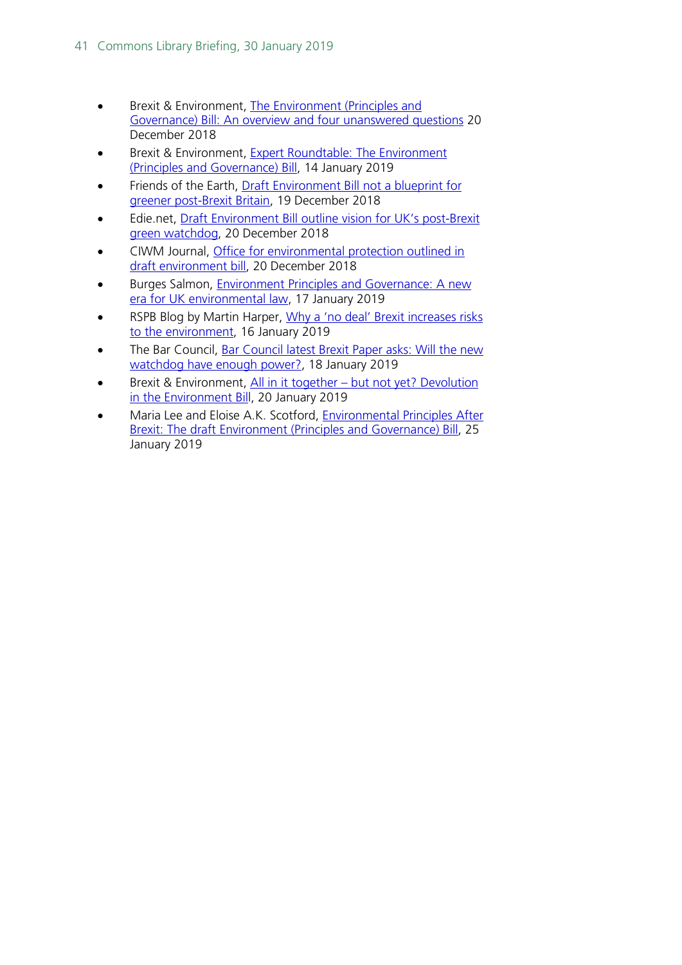- Brexit & Environment, [The Environment \(Principles and](https://www.brexitenvironment.co.uk/2018/12/20/environment-principles-and-governance-bill/)  [Governance\) Bill: An overview and four unanswered questions](https://www.brexitenvironment.co.uk/2018/12/20/environment-principles-and-governance-bill/) 20 December 2018
- **•** Brexit & Environment, **Expert Roundtable: The Environment** [\(Principles and Governance\) Bill,](https://www.brexitenvironment.co.uk/2019/01/14/expert-roundtable-environment-principles-and-governance-bill/) 14 January 2019
- Friends of the Earth, [Draft Environment Bill not a blueprint for](https://friendsoftheearth.uk/nature/draft-environment-bill-not-blueprint-greener-postbrexit-britain)  [greener post-Brexit Britain,](https://friendsoftheearth.uk/nature/draft-environment-bill-not-blueprint-greener-postbrexit-britain) 19 December 2018
- Edie.net, [Draft Environment Bill outline vision for UK's post-Brexit](https://www.edie.net/news/11/draft-environment-bill-post-brexit-green-watchdog-teeth--/)  [green watchdog,](https://www.edie.net/news/11/draft-environment-bill-post-brexit-green-watchdog-teeth--/) 20 December 2018
- CIWM Journal, [Office for environmental protection outlined in](https://ciwm-journal.co.uk/office-for-environmental-protection-outlined-in-draft-environment-bill/)  [draft environment bill,](https://ciwm-journal.co.uk/office-for-environmental-protection-outlined-in-draft-environment-bill/) 20 December 2018
- Burges Salmon, [Environment Principles and Governance: A new](https://www.burges-salmon.com/news-and-insight/legal-updates/environmental-principles-and-governance-a-new-era-for-uk-environmental-law/)  [era for UK environmental law,](https://www.burges-salmon.com/news-and-insight/legal-updates/environmental-principles-and-governance-a-new-era-for-uk-environmental-law/) 17 January 2019
- RSPB Blog by Martin Harper, Why a 'no deal' Brexit increases risks [to the environment,](https://community.rspb.org.uk/ourwork/b/martinharper/posts/why-a-no-deal-brexit-increases-risks-to-the-environment) 16 January 2019
- The Bar Council, Bar Council latest Brexit Paper asks: Will the new [watchdog have enough power?,](https://www.barcouncil.org.uk/media-centre/news-and-press-releases/2019/january/brexit-paper-28-who-will-hold-the-government-to-account-on-environment-post-brexit/) 18 January 2019
- Brexit & Environment, All in it together but not yet? Devolution [in the Environment Bill](https://hopuk-my.sharepoint.com/personal/smithld_parliament_uk/Documents/SES%20work/Brexit%20&%20Environment,%20All%20in%20it%20together%20%E2%80%93%20but%20not%20yet?%20Devolution%20in%20the%20Environment%20Bill,%2020%20January%202019), 20 January 2019
- Maria Lee and Eloise A.K. Scotford, [Environmental Principles After](https://papers.ssrn.com/sol3/papers.cfm?abstract_id=3322341)  [Brexit: The draft Environment \(Principles and Governance\) Bill,](https://papers.ssrn.com/sol3/papers.cfm?abstract_id=3322341) 25 January 2019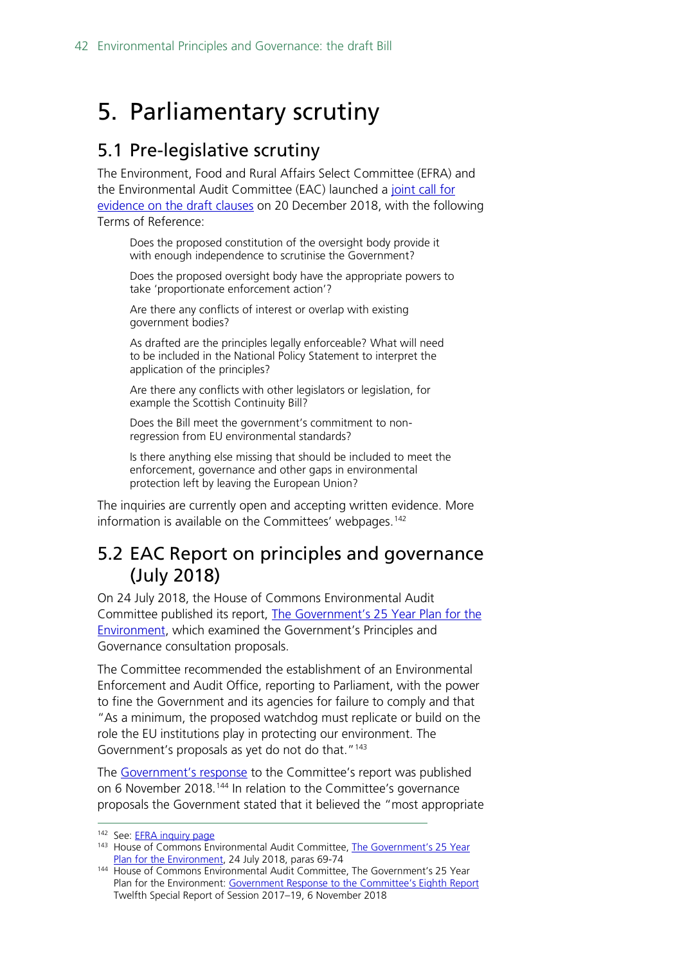# <span id="page-41-0"></span>5. Parliamentary scrutiny

# <span id="page-41-1"></span>5.1 Pre-legislative scrutiny

The Environment, Food and Rural Affairs Select Committee (EFRA) and the Environmental Audit Committee (EAC) launched a [joint call for](https://www.parliament.uk/business/committees/committees-a-z/commons-select/environment-food-and-rural-affairs-committee/inquiries/parliament-2017/scrutiny-of-the-draft-environment-bill-17-19/)  [evidence on the draft clauses](https://www.parliament.uk/business/committees/committees-a-z/commons-select/environment-food-and-rural-affairs-committee/inquiries/parliament-2017/scrutiny-of-the-draft-environment-bill-17-19/) on 20 December 2018, with the following Terms of Reference:

Does the proposed constitution of the oversight body provide it with enough independence to scrutinise the Government?

Does the proposed oversight body have the appropriate powers to take 'proportionate enforcement action'?

Are there any conflicts of interest or overlap with existing government bodies?

As drafted are the principles legally enforceable? What will need to be included in the National Policy Statement to interpret the application of the principles?

Are there any conflicts with other legislators or legislation, for example the Scottish Continuity Bill?

Does the Bill meet the government's commitment to nonregression from EU environmental standards?

Is there anything else missing that should be included to meet the enforcement, governance and other gaps in environmental protection left by leaving the European Union?

The inquiries are currently open and accepting written evidence. More information is available on the Committees' webpages.<sup>[142](#page-41-3)</sup>

# <span id="page-41-2"></span>5.2 EAC Report on principles and governance (July 2018)

On 24 July 2018, the House of Commons Environmental Audit Committee published its report, [The Government's 25 Year Plan for the](https://publications.parliament.uk/pa/cm201719/cmselect/cmenvaud/803/803.pdf)  [Environment,](https://publications.parliament.uk/pa/cm201719/cmselect/cmenvaud/803/803.pdf) which examined the Government's Principles and Governance consultation proposals.

The Committee recommended the establishment of an Environmental Enforcement and Audit Office, reporting to Parliament, with the power to fine the Government and its agencies for failure to comply and that "As a minimum, the proposed watchdog must replicate or build on the role the EU institutions play in protecting our environment. The Government's proposals as yet do not do that."<sup>[143](#page-41-4)</sup>

The [Government's response](https://publications.parliament.uk/pa/cm201719/cmselect/cmenvaud/1672/1672.pdf) to the Committee's report was published on 6 November 2018.<sup>[144](#page-41-5)</sup> In relation to the Committee's governance proposals the Government stated that it believed the "most appropriate

<span id="page-41-4"></span><span id="page-41-3"></span><sup>142</sup> See: **EFRA inquiry page** 

<sup>&</sup>lt;sup>143</sup> House of Commons Environmental Audit Committee, [The Government's 25](https://publications.parliament.uk/pa/cm201719/cmselect/cmenvaud/803/803.pdf) Year [Plan for the Environment,](https://publications.parliament.uk/pa/cm201719/cmselect/cmenvaud/803/803.pdf) 24 July 2018, paras 69-74

<span id="page-41-5"></span><sup>144</sup> House of Commons Environmental Audit Committee, The Government's 25 Year Plan for the Environment: [Government Response to the Committee's Eighth Report](https://publications.parliament.uk/pa/cm201719/cmselect/cmenvaud/1672/1672.pdf) Twelfth Special Report of Session 2017–19, 6 November 2018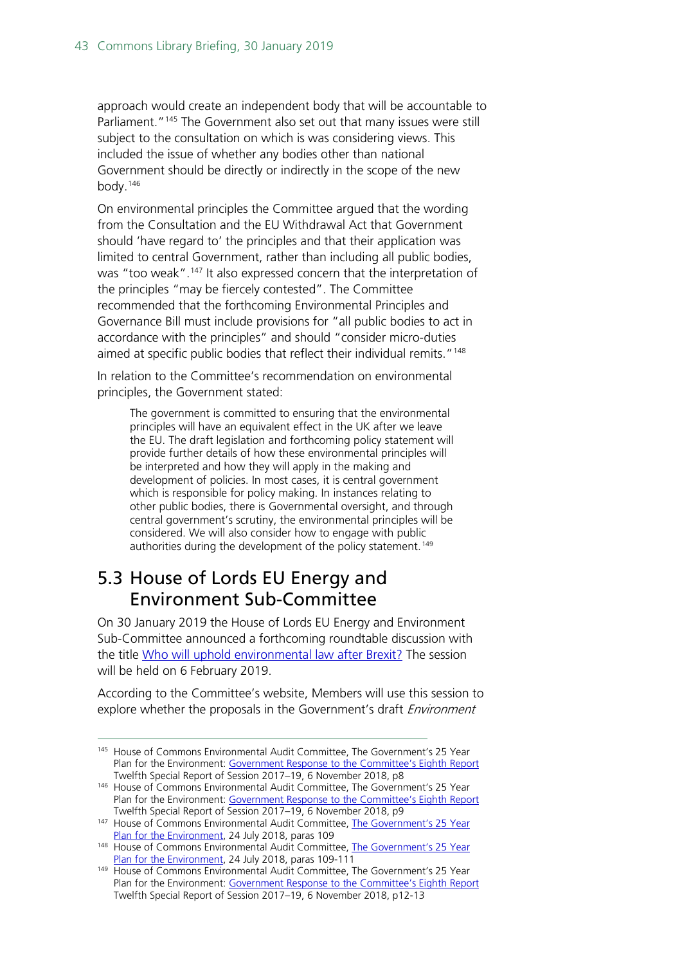approach would create an independent body that will be accountable to Parliament."<sup>[145](#page-42-1)</sup> The Government also set out that many issues were still subject to the consultation on which is was considering views. This included the issue of whether any bodies other than national Government should be directly or indirectly in the scope of the new body.[146](#page-42-2)

On environmental principles the Committee argued that the wording from the Consultation and the EU Withdrawal Act that Government should 'have regard to' the principles and that their application was limited to central Government, rather than including all public bodies, was "too weak".<sup>[147](#page-42-3)</sup> It also expressed concern that the interpretation of the principles "may be fiercely contested". The Committee recommended that the forthcoming Environmental Principles and Governance Bill must include provisions for "all public bodies to act in accordance with the principles" and should "consider micro-duties aimed at specific public bodies that reflect their individual remits."<sup>[148](#page-42-4)</sup>

In relation to the Committee's recommendation on environmental principles, the Government stated:

The government is committed to ensuring that the environmental principles will have an equivalent effect in the UK after we leave the EU. The draft legislation and forthcoming policy statement will provide further details of how these environmental principles will be interpreted and how they will apply in the making and development of policies. In most cases, it is central government which is responsible for policy making. In instances relating to other public bodies, there is Governmental oversight, and through central government's scrutiny, the environmental principles will be considered. We will also consider how to engage with public authorities during the development of the policy statement.<sup>[149](#page-42-5)</sup>

# <span id="page-42-0"></span>5.3 House of Lords EU Energy and Environment Sub-Committee

On 30 January 2019 the House of Lords EU Energy and Environment Sub-Committee announced a forthcoming roundtable discussion with the title [Who will uphold environmental law after Brexit?](https://www.parliament.uk/business/committees/committees-a-z/lords-select/eu-energy-environment-subcommittee/news-parliament-2017/post-brexit-environmental-law/) The session will be held on 6 February 2019.

According to the Committee's website, Members will use this session to explore whether the proposals in the Government's draft *Environment* 

<span id="page-42-1"></span><sup>145</sup> House of Commons Environmental Audit Committee, The Government's 25 Year Plan for the Environment: [Government Response to the Committee's Eighth Report](https://publications.parliament.uk/pa/cm201719/cmselect/cmenvaud/1672/1672.pdf) Twelfth Special Report of Session 2017–19, 6 November 2018, p8

<span id="page-42-2"></span><sup>146</sup> House of Commons Environmental Audit Committee, The Government's 25 Year Plan for the Environment: [Government Response to the Committee's Eighth Report](https://publications.parliament.uk/pa/cm201719/cmselect/cmenvaud/1672/1672.pdf) Twelfth Special Report of Session 2017–19, 6 November 2018, p9

<span id="page-42-3"></span><sup>&</sup>lt;sup>147</sup> House of Commons Environmental Audit Committee, The Government's 25 Year [Plan for the Environment,](https://publications.parliament.uk/pa/cm201719/cmselect/cmenvaud/803/803.pdf) 24 July 2018, paras 109

<span id="page-42-4"></span><sup>148</sup> House of Commons Environmental Audit Committee, The Government's 25 Year [Plan for the Environment,](https://publications.parliament.uk/pa/cm201719/cmselect/cmenvaud/803/803.pdf) 24 July 2018, paras 109-111

<span id="page-42-5"></span><sup>149</sup> House of Commons Environmental Audit Committee, The Government's 25 Year Plan for the Environment: [Government Response to the Committee's Eighth Report](https://publications.parliament.uk/pa/cm201719/cmselect/cmenvaud/1672/1672.pdf) Twelfth Special Report of Session 2017–19, 6 November 2018, p12-13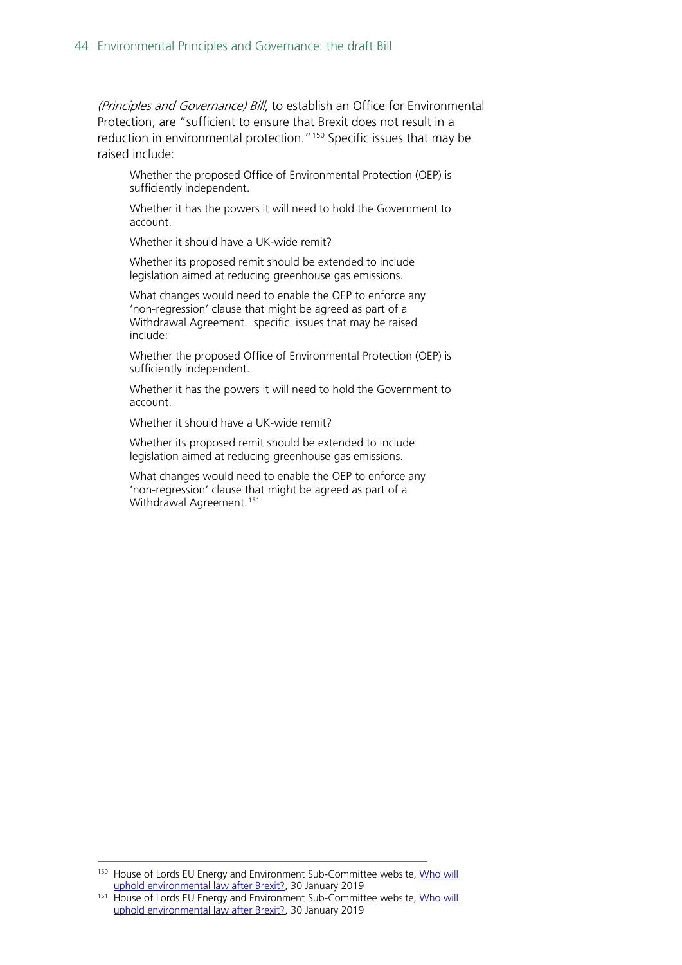(Principles and Governance) Bill, to establish an Office for Environmental Protection, are "sufficient to ensure that Brexit does not result in a reduction in environmental protection."<sup>[150](#page-43-0)</sup> Specific issues that may be raised include:

Whether the proposed Office of Environmental Protection (OEP) is sufficiently independent.

Whether it has the powers it will need to hold the Government to account.

Whether it should have a UK-wide remit?

Whether its proposed remit should be extended to include legislation aimed at reducing greenhouse gas emissions.

What changes would need to enable the OEP to enforce any 'non-regression' clause that might be agreed as part of a Withdrawal Agreement. specific issues that may be raised include:

Whether the proposed Office of Environmental Protection (OEP) is sufficiently independent.

Whether it has the powers it will need to hold the Government to account.

Whether it should have a UK-wide remit?

Whether its proposed remit should be extended to include legislation aimed at reducing greenhouse gas emissions.

What changes would need to enable the OEP to enforce any 'non-regression' clause that might be agreed as part of a Withdrawal Agreement.<sup>[151](#page-43-1)</sup>

<span id="page-43-0"></span><sup>150</sup> House of Lords EU Energy and Environment Sub-Committee website, Who will [uphold environmental law after Brexit?,](https://www.parliament.uk/business/committees/committees-a-z/lords-select/eu-energy-environment-subcommittee/news-parliament-2017/post-brexit-environmental-law/) 30 January 2019

<span id="page-43-1"></span><sup>151</sup> House of Lords EU Energy and Environment Sub-Committee website, Who will [uphold environmental law after Brexit?,](https://www.parliament.uk/business/committees/committees-a-z/lords-select/eu-energy-environment-subcommittee/news-parliament-2017/post-brexit-environmental-law/) 30 January 2019